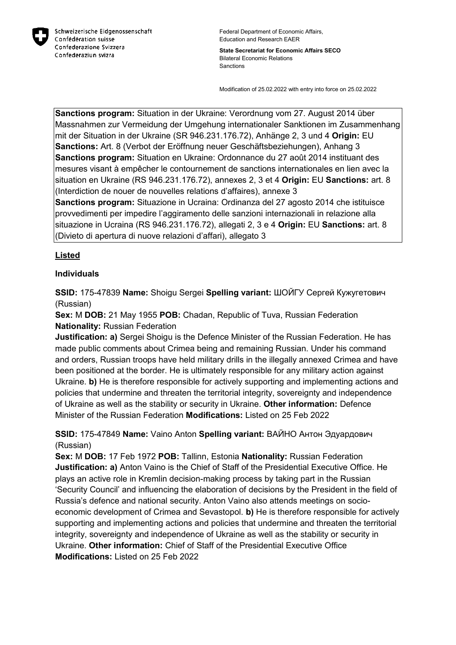

**State Secretariat for Economic Affairs SECO** Bilateral Economic Relations Sanctions

Modification of 25.02.2022 with entry into force on 25.02.2022

**Sanctions program:** Situation in der Ukraine: Verordnung vom 27. August 2014 über Massnahmen zur Vermeidung der Umgehung internationaler Sanktionen im Zusammenhang mit der Situation in der Ukraine (SR 946.231.176.72), Anhänge 2, 3 und 4 **Origin:** EU **Sanctions:** Art. 8 (Verbot der Eröffnung neuer Geschäftsbeziehungen), Anhang 3 **Sanctions program:** Situation en Ukraine: Ordonnance du 27 août 2014 instituant des mesures visant à empêcher le contournement de sanctions internationales en lien avec la situation en Ukraine (RS 946.231.176.72), annexes 2, 3 et 4 **Origin:** EU **Sanctions:** art. 8 (Interdiction de nouer de nouvelles relations d'affaires), annexe 3

**Sanctions program:** Situazione in Ucraina: Ordinanza del 27 agosto 2014 che istituisce provvedimenti per impedire l'aggiramento delle sanzioni internazionali in relazione alla situazione in Ucraina (RS 946.231.176.72), allegati 2, 3 e 4 **Origin:** EU **Sanctions:** art. 8 (Divieto di apertura di nuove relazioni d'affari), allegato 3

#### **Listed**

#### **Individuals**

**SSID:** 175-47839 **Name:** Shoigu Sergei **Spelling variant:** ШОЙГУ Сергей Кужугетович (Russian)

**Sex:** M **DOB:** 21 May 1955 **POB:** Chadan, Republic of Tuva, Russian Federation **Nationality:** Russian Federation

**Justification: a)** Sergei Shoigu is the Defence Minister of the Russian Federation. He has made public comments about Crimea being and remaining Russian. Under his command and orders, Russian troops have held military drills in the illegally annexed Crimea and have been positioned at the border. He is ultimately responsible for any military action against Ukraine. **b)** He is therefore responsible for actively supporting and implementing actions and policies that undermine and threaten the territorial integrity, sovereignty and independence of Ukraine as well as the stability or security in Ukraine. **Other information:** Defence Minister of the Russian Federation **Modifications:** Listed on 25 Feb 2022

**SSID:** 175-47849 **Name:** Vaino Anton **Spelling variant:** ВАЙНО Антон Эдуардович (Russian)

**Sex:** M **DOB:** 17 Feb 1972 **POB:** Tallinn, Estonia **Nationality:** Russian Federation **Justification: a)** Anton Vaino is the Chief of Staff of the Presidential Executive Office. He plays an active role in Kremlin decision-making process by taking part in the Russian 'Security Council' and influencing the elaboration of decisions by the President in the field of Russia's defence and national security. Anton Vaino also attends meetings on socioeconomic development of Crimea and Sevastopol. **b)** He is therefore responsible for actively supporting and implementing actions and policies that undermine and threaten the territorial integrity, sovereignty and independence of Ukraine as well as the stability or security in Ukraine. **Other information:** Chief of Staff of the Presidential Executive Office **Modifications:** Listed on 25 Feb 2022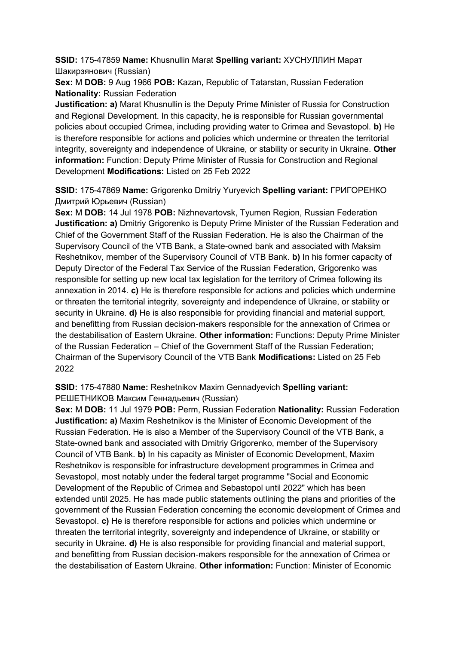**SSID:** 175-47859 **Name:** Khusnullin Marat **Spelling variant:** ХУСНУЛЛИН Марат Шакирзянович (Russian)

**Sex:** M **DOB:** 9 Aug 1966 **POB:** Kazan, Republic of Tatarstan, Russian Federation **Nationality:** Russian Federation

**Justification: a)** Marat Khusnullin is the Deputy Prime Minister of Russia for Construction and Regional Development. In this capacity, he is responsible for Russian governmental policies about occupied Crimea, including providing water to Crimea and Sevastopol. **b)** He is therefore responsible for actions and policies which undermine or threaten the territorial integrity, sovereignty and independence of Ukraine, or stability or security in Ukraine. **Other information:** Function: Deputy Prime Minister of Russia for Construction and Regional Development **Modifications:** Listed on 25 Feb 2022

**SSID:** 175-47869 **Name:** Grigorenko Dmitriy Yuryevich **Spelling variant:** ГРИГОРЕНКО Дмитрий Юрьевич (Russian)

**Sex:** M **DOB:** 14 Jul 1978 **POB:** Nizhnevartovsk, Tyumen Region, Russian Federation **Justification: a)** Dmitriy Grigorenko is Deputy Prime Minister of the Russian Federation and Chief of the Government Staff of the Russian Federation. He is also the Chairman of the Supervisory Council of the VTB Bank, a State-owned bank and associated with Maksim Reshetnikov, member of the Supervisory Council of VTB Bank. **b)** In his former capacity of Deputy Director of the Federal Tax Service of the Russian Federation, Grigorenko was responsible for setting up new local tax legislation for the territory of Crimea following its annexation in 2014. **c)** He is therefore responsible for actions and policies which undermine or threaten the territorial integrity, sovereignty and independence of Ukraine, or stability or security in Ukraine. **d)** He is also responsible for providing financial and material support, and benefitting from Russian decision-makers responsible for the annexation of Crimea or the destabilisation of Eastern Ukraine. **Other information:** Functions: Deputy Prime Minister of the Russian Federation – Chief of the Government Staff of the Russian Federation; Chairman of the Supervisory Council of the VTB Bank **Modifications:** Listed on 25 Feb 2022

**SSID:** 175-47880 **Name:** Reshetnikov Maxim Gennadyevich **Spelling variant:**  РЕШЕТНИКОВ Максим Геннадьевич (Russian)

**Sex:** M **DOB:** 11 Jul 1979 **POB:** Perm, Russian Federation **Nationality:** Russian Federation **Justification: a)** Maxim Reshetnikov is the Minister of Economic Development of the Russian Federation. He is also a Member of the Supervisory Council of the VTB Bank, a State-owned bank and associated with Dmitriy Grigorenko, member of the Supervisory Council of VTB Bank. **b)** In his capacity as Minister of Economic Development, Maxim Reshetnikov is responsible for infrastructure development programmes in Crimea and Sevastopol, most notably under the federal target programme "Social and Economic Development of the Republic of Crimea and Sebastopol until 2022" which has been extended until 2025. He has made public statements outlining the plans and priorities of the government of the Russian Federation concerning the economic development of Crimea and Sevastopol. **c)** He is therefore responsible for actions and policies which undermine or threaten the territorial integrity, sovereignty and independence of Ukraine, or stability or security in Ukraine. **d)** He is also responsible for providing financial and material support, and benefitting from Russian decision-makers responsible for the annexation of Crimea or the destabilisation of Eastern Ukraine. **Other information:** Function: Minister of Economic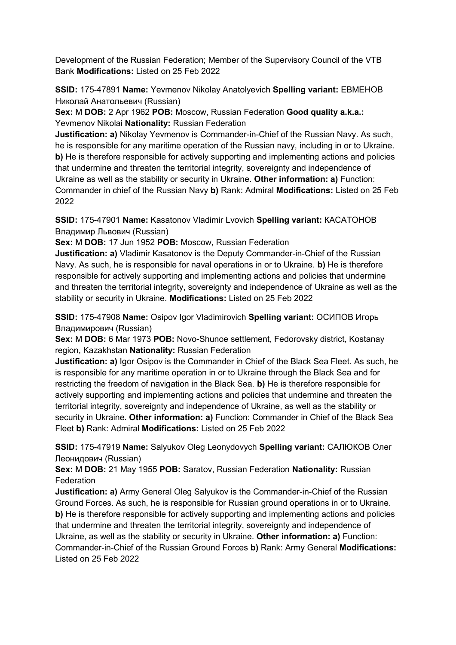Development of the Russian Federation; Member of the Supervisory Council of the VTB Bank **Modifications:** Listed on 25 Feb 2022

**SSID:** 175-47891 **Name:** Yevmenov Nikolay Anatolyevich **Spelling variant:** ЕВМЕНОВ Николай Анатольевич (Russian)

**Sex:** M **DOB:** 2 Apr 1962 **POB:** Moscow, Russian Federation **Good quality a.k.a.:**  Yevmenov Nikolai **Nationality:** Russian Federation

**Justification: a)** Nikolay Yevmenov is Commander-in-Chief of the Russian Navy. As such, he is responsible for any maritime operation of the Russian navy, including in or to Ukraine. **b)** He is therefore responsible for actively supporting and implementing actions and policies that undermine and threaten the territorial integrity, sovereignty and independence of Ukraine as well as the stability or security in Ukraine. **Other information: a)** Function: Commander in chief of the Russian Navy **b)** Rank: Admiral **Modifications:** Listed on 25 Feb 2022

**SSID:** 175-47901 **Name:** Kasatonov Vladimir Lvovich **Spelling variant:** КАСАТОНОВ Владимир Львович (Russian)

**Sex:** M **DOB:** 17 Jun 1952 **POB:** Moscow, Russian Federation

**Justification: a)** Vladimir Kasatonov is the Deputy Commander-in-Chief of the Russian Navy. As such, he is responsible for naval operations in or to Ukraine. **b)** He is therefore responsible for actively supporting and implementing actions and policies that undermine and threaten the territorial integrity, sovereignty and independence of Ukraine as well as the stability or security in Ukraine. **Modifications:** Listed on 25 Feb 2022

**SSID:** 175-47908 **Name:** Osipov Igor Vladimirovich **Spelling variant:** ОСИПОВ Игорь Владимирович (Russian)

**Sex:** M **DOB:** 6 Mar 1973 **POB:** Novo-Shunoe settlement, Fedorovsky district, Kostanay region, Kazakhstan **Nationality:** Russian Federation

**Justification: a)** Igor Osipov is the Commander in Chief of the Black Sea Fleet. As such, he is responsible for any maritime operation in or to Ukraine through the Black Sea and for restricting the freedom of navigation in the Black Sea. **b)** He is therefore responsible for actively supporting and implementing actions and policies that undermine and threaten the territorial integrity, sovereignty and independence of Ukraine, as well as the stability or security in Ukraine. **Other information: a)** Function: Commander in Chief of the Black Sea Fleet **b)** Rank: Admiral **Modifications:** Listed on 25 Feb 2022

**SSID:** 175-47919 **Name:** Salyukov Oleg Leonydovych **Spelling variant:** САЛЮКОВ Олег Леонидович (Russian)

**Sex:** M **DOB:** 21 May 1955 **POB:** Saratov, Russian Federation **Nationality:** Russian **Federation** 

**Justification: a)** Army General Oleg Salyukov is the Commander-in-Chief of the Russian Ground Forces. As such, he is responsible for Russian ground operations in or to Ukraine. **b)** He is therefore responsible for actively supporting and implementing actions and policies that undermine and threaten the territorial integrity, sovereignty and independence of Ukraine, as well as the stability or security in Ukraine. **Other information: a)** Function: Commander-in-Chief of the Russian Ground Forces **b)** Rank: Army General **Modifications:**  Listed on 25 Feb 2022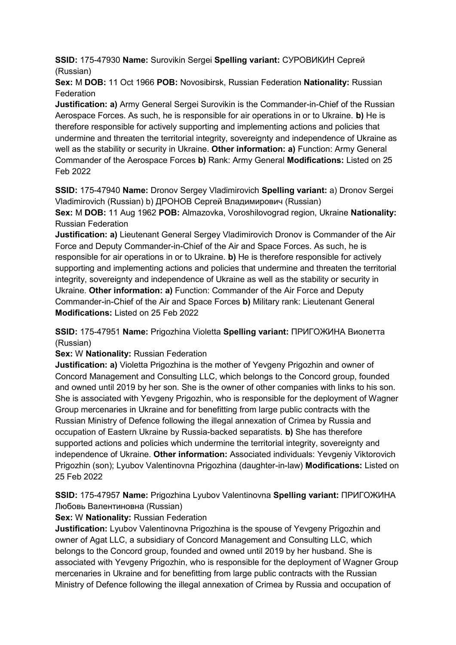**SSID:** 175-47930 **Name:** Surovikin Sergei **Spelling variant:** СУРОВИКИН Сергей (Russian)

**Sex:** M **DOB:** 11 Oct 1966 **POB:** Novosibirsk, Russian Federation **Nationality:** Russian **Federation** 

**Justification: a)** Army General Sergei Surovikin is the Commander-in-Chief of the Russian Aerospace Forces. As such, he is responsible for air operations in or to Ukraine. **b)** He is therefore responsible for actively supporting and implementing actions and policies that undermine and threaten the territorial integrity, sovereignty and independence of Ukraine as well as the stability or security in Ukraine. **Other information: a)** Function: Army General Commander of the Aerospace Forces **b)** Rank: Army General **Modifications:** Listed on 25 Feb 2022

**SSID:** 175-47940 **Name:** Dronov Sergey Vladimirovich **Spelling variant:** a) Dronov Sergei Vladimirovich (Russian) b) ДРОНОВ Сергей Владимирович (Russian)

**Sex:** M **DOB:** 11 Aug 1962 **POB:** Almazovka, Voroshilovograd region, Ukraine **Nationality:** Russian Federation

**Justification: a)** Lieutenant General Sergey Vladimirovich Dronov is Commander of the Air Force and Deputy Commander-in-Chief of the Air and Space Forces. As such, he is responsible for air operations in or to Ukraine. **b)** He is therefore responsible for actively supporting and implementing actions and policies that undermine and threaten the territorial integrity, sovereignty and independence of Ukraine as well as the stability or security in Ukraine. **Other information: a)** Function: Commander of the Air Force and Deputy Commander-in-Chief of the Air and Space Forces **b)** Military rank: Lieutenant General **Modifications:** Listed on 25 Feb 2022

**SSID:** 175-47951 **Name:** Prigozhina Violetta **Spelling variant:** ПРИГОЖИНА Виолетта (Russian)

**Sex:** W **Nationality:** Russian Federation

**Justification: a)** Violetta Prigozhina is the mother of Yevgeny Prigozhin and owner of Concord Management and Consulting LLC, which belongs to the Concord group, founded and owned until 2019 by her son. She is the owner of other companies with links to his son. She is associated with Yevgeny Prigozhin, who is responsible for the deployment of Wagner Group mercenaries in Ukraine and for benefitting from large public contracts with the Russian Ministry of Defence following the illegal annexation of Crimea by Russia and occupation of Eastern Ukraine by Russia-backed separatists. **b)** She has therefore supported actions and policies which undermine the territorial integrity, sovereignty and independence of Ukraine. **Other information:** Associated individuals: Yevgeniy Viktorovich Prigozhin (son); Lyubov Valentinovna Prigozhina (daughter-in-law) **Modifications:** Listed on 25 Feb 2022

**SSID:** 175-47957 **Name:** Prigozhina Lyubov Valentinovna **Spelling variant:** ПРИГОЖИНА Любовь Валентиновна (Russian)

**Sex:** W **Nationality:** Russian Federation

**Justification:** Lyubov Valentinovna Prigozhina is the spouse of Yevgeny Prigozhin and owner of Agat LLC, a subsidiary of Concord Management and Consulting LLC, which belongs to the Concord group, founded and owned until 2019 by her husband. She is associated with Yevgeny Prigozhin, who is responsible for the deployment of Wagner Group mercenaries in Ukraine and for benefitting from large public contracts with the Russian Ministry of Defence following the illegal annexation of Crimea by Russia and occupation of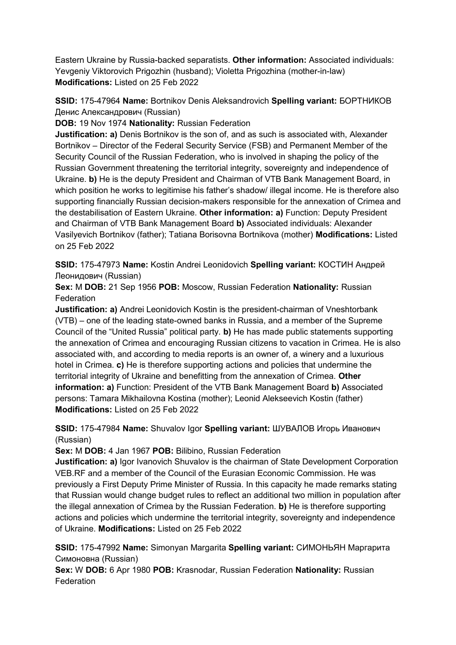Eastern Ukraine by Russia-backed separatists. **Other information:** Associated individuals: Yevgeniy Viktorovich Prigozhin (husband); Violetta Prigozhina (mother-in-law) **Modifications:** Listed on 25 Feb 2022

**SSID:** 175-47964 **Name:** Bortnikov Denis Aleksandrovich **Spelling variant:** БОРТНИКОВ Денис Александрович (Russian)

**DOB:** 19 Nov 1974 **Nationality:** Russian Federation

**Justification: a)** Denis Bortnikov is the son of, and as such is associated with, Alexander Bortnikov – Director of the Federal Security Service (FSB) and Permanent Member of the Security Council of the Russian Federation, who is involved in shaping the policy of the Russian Government threatening the territorial integrity, sovereignty and independence of Ukraine. **b)** He is the deputy President and Chairman of VTB Bank Management Board, in which position he works to legitimise his father's shadow/ illegal income. He is therefore also supporting financially Russian decision-makers responsible for the annexation of Crimea and the destabilisation of Eastern Ukraine. **Other information: a)** Function: Deputy President and Chairman of VTB Bank Management Board **b)** Associated individuals: Alexander Vasilyevich Bortnikov (father); Tatiana Borisovna Bortnikova (mother) **Modifications:** Listed on 25 Feb 2022

**SSID:** 175-47973 **Name:** Kostin Andrei Leonidovich **Spelling variant:** КОСТИН Андрей Леонидович (Russian)

**Sex:** M **DOB:** 21 Sep 1956 **POB:** Moscow, Russian Federation **Nationality:** Russian **Federation** 

**Justification: a)** Andrei Leonidovich Kostin is the president-chairman of Vneshtorbank (VTB) – one of the leading state-owned banks in Russia, and a member of the Supreme Council of the "United Russia" political party. **b)** He has made public statements supporting the annexation of Crimea and encouraging Russian citizens to vacation in Crimea. He is also associated with, and according to media reports is an owner of, a winery and a luxurious hotel in Crimea. **c)** He is therefore supporting actions and policies that undermine the territorial integrity of Ukraine and benefitting from the annexation of Crimea. **Other information: a)** Function: President of the VTB Bank Management Board **b)** Associated persons: Tamara Mikhailovna Kostina (mother); Leonid Alekseevich Kostin (father) **Modifications:** Listed on 25 Feb 2022

**SSID:** 175-47984 **Name:** Shuvalov Igor **Spelling variant:** ШУВАЛОВ Игорь Иванович (Russian)

**Sex:** M **DOB:** 4 Jan 1967 **POB:** Bilibino, Russian Federation

**Justification: a)** Igor Ivanovich Shuvalov is the chairman of State Development Corporation VEB.RF and a member of the Council of the Eurasian Economic Commission. He was previously a First Deputy Prime Minister of Russia. In this capacity he made remarks stating that Russian would change budget rules to reflect an additional two million in population after the illegal annexation of Crimea by the Russian Federation. **b)** He is therefore supporting actions and policies which undermine the territorial integrity, sovereignty and independence of Ukraine. **Modifications:** Listed on 25 Feb 2022

**SSID:** 175-47992 **Name:** Simonyan Margarita **Spelling variant:** СИМОНЬЯН Маргарита Симоновна (Russian)

**Sex:** W **DOB:** 6 Apr 1980 **POB:** Krasnodar, Russian Federation **Nationality:** Russian **Federation**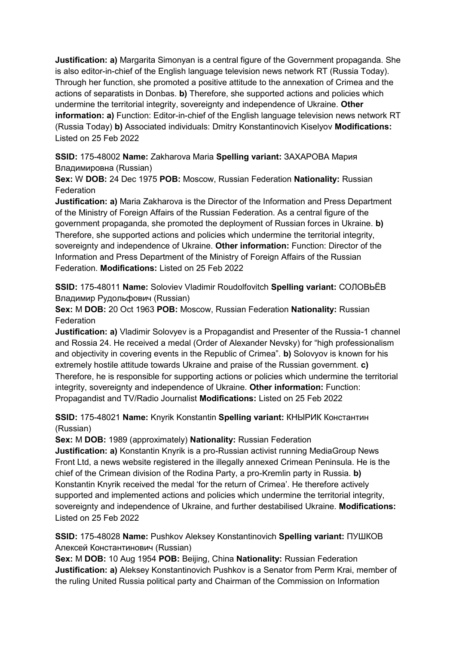**Justification: a)** Margarita Simonyan is a central figure of the Government propaganda. She is also editor-in-chief of the English language television news network RT (Russia Today). Through her function, she promoted a positive attitude to the annexation of Crimea and the actions of separatists in Donbas. **b)** Therefore, she supported actions and policies which undermine the territorial integrity, sovereignty and independence of Ukraine. **Other information: a)** Function: Editor-in-chief of the English language television news network RT (Russia Today) **b)** Associated individuals: Dmitry Konstantinovich Kiselyov **Modifications:**  Listed on 25 Feb 2022

**SSID:** 175-48002 **Name:** Zakharova Maria **Spelling variant:** ЗАХАРОВА Мария Владимировна (Russian)

**Sex:** W **DOB:** 24 Dec 1975 **POB:** Moscow, Russian Federation **Nationality:** Russian **Federation** 

**Justification: a)** Maria Zakharova is the Director of the Information and Press Department of the Ministry of Foreign Affairs of the Russian Federation. As a central figure of the government propaganda, she promoted the deployment of Russian forces in Ukraine. **b)**  Therefore, she supported actions and policies which undermine the territorial integrity, sovereignty and independence of Ukraine. **Other information:** Function: Director of the Information and Press Department of the Ministry of Foreign Affairs of the Russian Federation. **Modifications:** Listed on 25 Feb 2022

**SSID:** 175-48011 **Name:** Soloviev Vladimir Roudolfovitch **Spelling variant:** СОЛОВЬЁВ Владимир Рудольфович (Russian)

**Sex:** M **DOB:** 20 Oct 1963 **POB:** Moscow, Russian Federation **Nationality:** Russian Federation

**Justification: a)** Vladimir Solovyev is a Propagandist and Presenter of the Russia-1 channel and Rossia 24. He received a medal (Order of Alexander Nevsky) for "high professionalism and objectivity in covering events in the Republic of Crimea". **b)** Solovyov is known for his extremely hostile attitude towards Ukraine and praise of the Russian government. **c)**  Therefore, he is responsible for supporting actions or policies which undermine the territorial integrity, sovereignty and independence of Ukraine. **Other information:** Function: Propagandist and TV/Radio Journalist **Modifications:** Listed on 25 Feb 2022

**SSID:** 175-48021 **Name:** Knyrik Konstantin **Spelling variant:** КНЫРИК Константин (Russian)

**Sex:** M **DOB:** 1989 (approximately) **Nationality:** Russian Federation

**Justification: a)** Konstantin Knyrik is a pro-Russian activist running MediaGroup News Front Ltd, a news website registered in the illegally annexed Crimean Peninsula. He is the chief of the Crimean division of the Rodina Party, a pro-Kremlin party in Russia. **b)**  Konstantin Knyrik received the medal 'for the return of Crimea'. He therefore actively supported and implemented actions and policies which undermine the territorial integrity, sovereignty and independence of Ukraine, and further destabilised Ukraine. **Modifications:**  Listed on 25 Feb 2022

**SSID:** 175-48028 **Name:** Pushkov Aleksey Konstantinovich **Spelling variant:** ПУШКОВ Алексей Константинович (Russian)

**Sex:** M **DOB:** 10 Aug 1954 **POB:** Beijing, China **Nationality:** Russian Federation **Justification: a)** Aleksey Konstantinovich Pushkov is a Senator from Perm Krai, member of the ruling United Russia political party and Chairman of the Commission on Information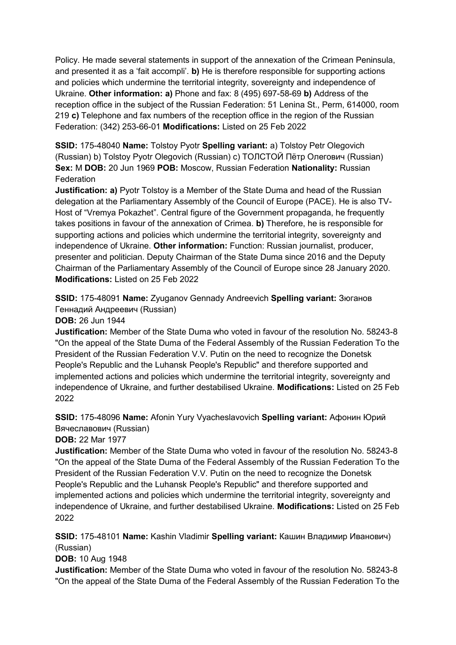Policy. He made several statements in support of the annexation of the Crimean Peninsula, and presented it as a 'fait accompli'. **b)** He is therefore responsible for supporting actions and policies which undermine the territorial integrity, sovereignty and independence of Ukraine. **Other information: a)** Phone and fax: 8 (495) 697-58-69 **b)** Address of the reception office in the subject of the Russian Federation: 51 Lenina St., Perm, 614000, room 219 **c)** Telephone and fax numbers of the reception office in the region of the Russian Federation: (342) 253-66-01 **Modifications:** Listed on 25 Feb 2022

**SSID:** 175-48040 **Name:** Tolstoy Pyotr **Spelling variant:** a) Tolstoy Petr Olegovich (Russian) b) Tolstoy Pyotr Olegovich (Russian) c) ТОЛСТОЙ Пётр Олегович (Russian) **Sex:** M **DOB:** 20 Jun 1969 **POB:** Moscow, Russian Federation **Nationality:** Russian **Federation** 

**Justification: a)** Pyotr Tolstoy is a Member of the State Duma and head of the Russian delegation at the Parliamentary Assembly of the Council of Europe (PACE). He is also TV-Host of "Vremya Pokazhet". Central figure of the Government propaganda, he frequently takes positions in favour of the annexation of Crimea. **b)** Therefore, he is responsible for supporting actions and policies which undermine the territorial integrity, sovereignty and independence of Ukraine. **Other information:** Function: Russian journalist, producer, presenter and politician. Deputy Chairman of the State Duma since 2016 and the Deputy Chairman of the Parliamentary Assembly of the Council of Europe since 28 January 2020. **Modifications:** Listed on 25 Feb 2022

**SSID:** 175-48091 **Name:** Zyuganov Gennady Andreevich **Spelling variant:** Зюганов Геннадий Андреевич (Russian)

**DOB:** 26 Jun 1944

**Justification:** Member of the State Duma who voted in favour of the resolution No. 58243-8 "On the appeal of the State Duma of the Federal Assembly of the Russian Federation To the President of the Russian Federation V.V. Putin on the need to recognize the Donetsk People's Republic and the Luhansk People's Republic" and therefore supported and implemented actions and policies which undermine the territorial integrity, sovereignty and independence of Ukraine, and further destabilised Ukraine. **Modifications:** Listed on 25 Feb 2022

**SSID:** 175-48096 **Name:** Afonin Yury Vyacheslavovich **Spelling variant:** Афонин Юрий Вячеславович (Russian)

**DOB:** 22 Mar 1977

**Justification:** Member of the State Duma who voted in favour of the resolution No. 58243-8 "On the appeal of the State Duma of the Federal Assembly of the Russian Federation To the President of the Russian Federation V.V. Putin on the need to recognize the Donetsk People's Republic and the Luhansk People's Republic" and therefore supported and implemented actions and policies which undermine the territorial integrity, sovereignty and independence of Ukraine, and further destabilised Ukraine. **Modifications:** Listed on 25 Feb 2022

**SSID:** 175-48101 **Name:** Kashin Vladimir **Spelling variant:** Кашин Владимир Иванович) (Russian)

**DOB:** 10 Aug 1948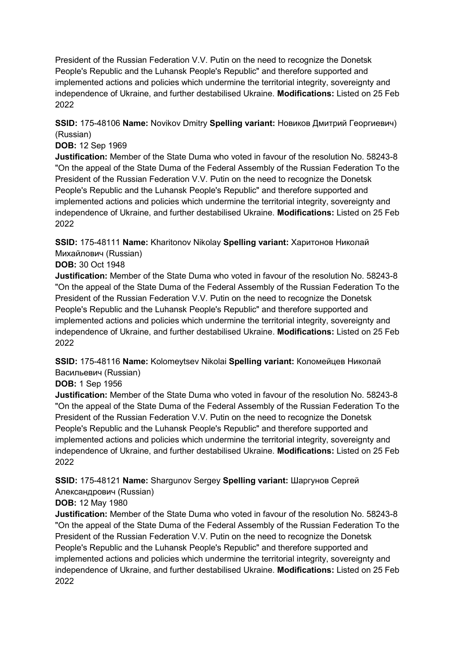**SSID:** 175-48106 **Name:** Novikov Dmitry **Spelling variant:** Новиков Дмитрий Георгиевич) (Russian)

#### **DOB:** 12 Sep 1969

**Justification:** Member of the State Duma who voted in favour of the resolution No. 58243-8 "On the appeal of the State Duma of the Federal Assembly of the Russian Federation To the President of the Russian Federation V.V. Putin on the need to recognize the Donetsk People's Republic and the Luhansk People's Republic" and therefore supported and implemented actions and policies which undermine the territorial integrity, sovereignty and independence of Ukraine, and further destabilised Ukraine. **Modifications:** Listed on 25 Feb 2022

**SSID:** 175-48111 **Name:** Kharitonov Nikolay **Spelling variant:** Харитонов Николай Михайлович (Russian)

#### **DOB:** 30 Oct 1948

**Justification:** Member of the State Duma who voted in favour of the resolution No. 58243-8 "On the appeal of the State Duma of the Federal Assembly of the Russian Federation To the President of the Russian Federation V.V. Putin on the need to recognize the Donetsk People's Republic and the Luhansk People's Republic" and therefore supported and implemented actions and policies which undermine the territorial integrity, sovereignty and independence of Ukraine, and further destabilised Ukraine. **Modifications:** Listed on 25 Feb 2022

**SSID:** 175-48116 **Name:** Kolomeytsev Nikolai **Spelling variant:** Коломейцев Николай Васильевич (Russian)

#### **DOB:** 1 Sep 1956

**Justification:** Member of the State Duma who voted in favour of the resolution No. 58243-8 "On the appeal of the State Duma of the Federal Assembly of the Russian Federation To the President of the Russian Federation V.V. Putin on the need to recognize the Donetsk People's Republic and the Luhansk People's Republic" and therefore supported and implemented actions and policies which undermine the territorial integrity, sovereignty and independence of Ukraine, and further destabilised Ukraine. **Modifications:** Listed on 25 Feb 2022

**SSID:** 175-48121 **Name:** Shargunov Sergey **Spelling variant:** Шаргунов Сергей

# Александрович (Russian)

## **DOB:** 12 May 1980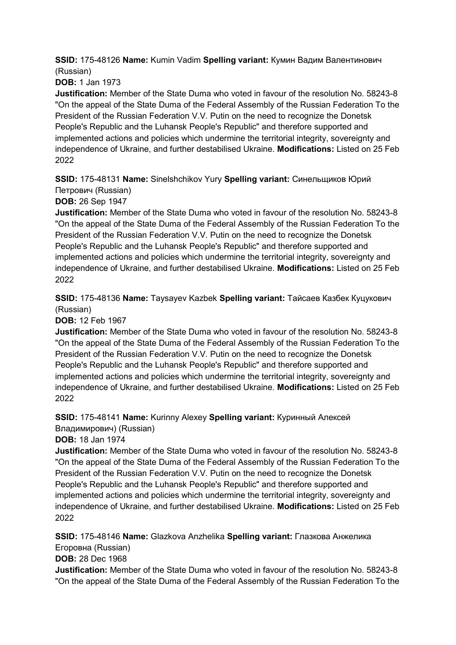**SSID:** 175-48126 **Name:** Kumin Vadim **Spelling variant:** Кумин Вадим Валентинович (Russian)

**DOB:** 1 Jan 1973

**Justification:** Member of the State Duma who voted in favour of the resolution No. 58243-8 "On the appeal of the State Duma of the Federal Assembly of the Russian Federation To the President of the Russian Federation V.V. Putin on the need to recognize the Donetsk People's Republic and the Luhansk People's Republic" and therefore supported and implemented actions and policies which undermine the territorial integrity, sovereignty and independence of Ukraine, and further destabilised Ukraine. **Modifications:** Listed on 25 Feb 2022

**SSID:** 175-48131 **Name:** Sinelshchikov Yury **Spelling variant:** Синельщиков Юрий Петрович (Russian)

**DOB:** 26 Sep 1947

**Justification:** Member of the State Duma who voted in favour of the resolution No. 58243-8 "On the appeal of the State Duma of the Federal Assembly of the Russian Federation To the President of the Russian Federation V.V. Putin on the need to recognize the Donetsk People's Republic and the Luhansk People's Republic" and therefore supported and implemented actions and policies which undermine the territorial integrity, sovereignty and independence of Ukraine, and further destabilised Ukraine. **Modifications:** Listed on 25 Feb 2022

**SSID:** 175-48136 **Name:** Taysayev Kazbek **Spelling variant:** Тайсаев Казбек Куцукович (Russian)

**DOB:** 12 Feb 1967

**Justification:** Member of the State Duma who voted in favour of the resolution No. 58243-8 "On the appeal of the State Duma of the Federal Assembly of the Russian Federation To the President of the Russian Federation V.V. Putin on the need to recognize the Donetsk People's Republic and the Luhansk People's Republic" and therefore supported and implemented actions and policies which undermine the territorial integrity, sovereignty and independence of Ukraine, and further destabilised Ukraine. **Modifications:** Listed on 25 Feb 2022

**SSID:** 175-48141 **Name:** Kurinny Alexey **Spelling variant:** Куринный Алексей Владимирович) (Russian)

**DOB:** 18 Jan 1974

**Justification:** Member of the State Duma who voted in favour of the resolution No. 58243-8 "On the appeal of the State Duma of the Federal Assembly of the Russian Federation To the President of the Russian Federation V.V. Putin on the need to recognize the Donetsk People's Republic and the Luhansk People's Republic" and therefore supported and implemented actions and policies which undermine the territorial integrity, sovereignty and independence of Ukraine, and further destabilised Ukraine. **Modifications:** Listed on 25 Feb 2022

**SSID:** 175-48146 **Name:** Glazkova Anzhelika **Spelling variant:** Глазкова Анжелика Егоровна (Russian)

**DOB:** 28 Dec 1968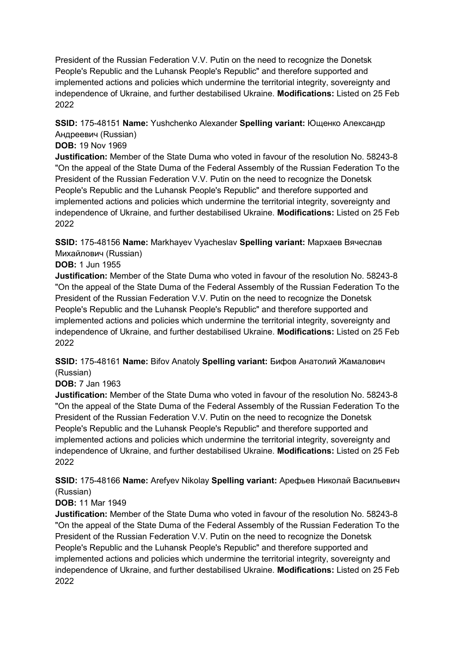## **SSID:** 175-48151 **Name:** Yushchenko Alexander **Spelling variant:** Ющенко Александр Андреевич (Russian)

#### **DOB:** 19 Nov 1969

**Justification:** Member of the State Duma who voted in favour of the resolution No. 58243-8 "On the appeal of the State Duma of the Federal Assembly of the Russian Federation To the President of the Russian Federation V.V. Putin on the need to recognize the Donetsk People's Republic and the Luhansk People's Republic" and therefore supported and implemented actions and policies which undermine the territorial integrity, sovereignty and independence of Ukraine, and further destabilised Ukraine. **Modifications:** Listed on 25 Feb 2022

**SSID:** 175-48156 **Name:** Markhayev Vyacheslav **Spelling variant:** Мархаев Вячеслав Михайлович (Russian)

#### **DOB:** 1 Jun 1955

**Justification:** Member of the State Duma who voted in favour of the resolution No. 58243-8 "On the appeal of the State Duma of the Federal Assembly of the Russian Federation To the President of the Russian Federation V.V. Putin on the need to recognize the Donetsk People's Republic and the Luhansk People's Republic" and therefore supported and implemented actions and policies which undermine the territorial integrity, sovereignty and independence of Ukraine, and further destabilised Ukraine. **Modifications:** Listed on 25 Feb 2022

**SSID:** 175-48161 **Name:** Bifov Anatoly **Spelling variant:** Бифов Aнатолий Жамалович (Russian)

## **DOB:** 7 Jan 1963

**Justification:** Member of the State Duma who voted in favour of the resolution No. 58243-8 "On the appeal of the State Duma of the Federal Assembly of the Russian Federation To the President of the Russian Federation V.V. Putin on the need to recognize the Donetsk People's Republic and the Luhansk People's Republic" and therefore supported and implemented actions and policies which undermine the territorial integrity, sovereignty and independence of Ukraine, and further destabilised Ukraine. **Modifications:** Listed on 25 Feb 2022

**SSID:** 175-48166 **Name:** Arefyev Nikolay **Spelling variant:** Арефьев Николай Васильевич (Russian)

## **DOB:** 11 Mar 1949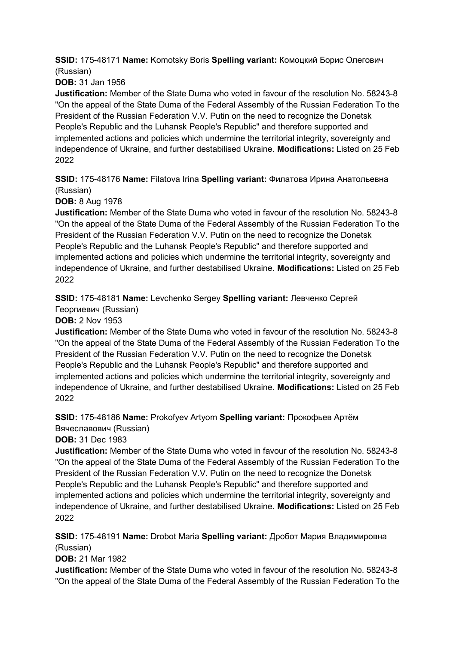**SSID:** 175-48171 **Name:** Komotsky Boris **Spelling variant:** Комоцкий Борис Олегович (Russian)

**DOB:** 31 Jan 1956

**Justification:** Member of the State Duma who voted in favour of the resolution No. 58243-8 "On the appeal of the State Duma of the Federal Assembly of the Russian Federation To the President of the Russian Federation V.V. Putin on the need to recognize the Donetsk People's Republic and the Luhansk People's Republic" and therefore supported and implemented actions and policies which undermine the territorial integrity, sovereignty and independence of Ukraine, and further destabilised Ukraine. **Modifications:** Listed on 25 Feb 2022

**SSID:** 175-48176 **Name:** Filatova Irina **Spelling variant:** Филатова Ирина Анатольевна (Russian)

**DOB:** 8 Aug 1978

**Justification:** Member of the State Duma who voted in favour of the resolution No. 58243-8 "On the appeal of the State Duma of the Federal Assembly of the Russian Federation To the President of the Russian Federation V.V. Putin on the need to recognize the Donetsk People's Republic and the Luhansk People's Republic" and therefore supported and implemented actions and policies which undermine the territorial integrity, sovereignty and independence of Ukraine, and further destabilised Ukraine. **Modifications:** Listed on 25 Feb 2022

**SSID:** 175-48181 **Name:** Levchenko Sergey **Spelling variant:** Левченко Сергей

Георгиевич (Russian)

**DOB:** 2 Nov 1953

**Justification:** Member of the State Duma who voted in favour of the resolution No. 58243-8 "On the appeal of the State Duma of the Federal Assembly of the Russian Federation To the President of the Russian Federation V.V. Putin on the need to recognize the Donetsk People's Republic and the Luhansk People's Republic" and therefore supported and implemented actions and policies which undermine the territorial integrity, sovereignty and independence of Ukraine, and further destabilised Ukraine. **Modifications:** Listed on 25 Feb 2022

**SSID:** 175-48186 **Name:** Prokofyev Artyom **Spelling variant:** Прокофьев Артём Вячеславович (Russian)

**DOB:** 31 Dec 1983

**Justification:** Member of the State Duma who voted in favour of the resolution No. 58243-8 "On the appeal of the State Duma of the Federal Assembly of the Russian Federation To the President of the Russian Federation V.V. Putin on the need to recognize the Donetsk People's Republic and the Luhansk People's Republic" and therefore supported and implemented actions and policies which undermine the territorial integrity, sovereignty and independence of Ukraine, and further destabilised Ukraine. **Modifications:** Listed on 25 Feb 2022

**SSID:** 175-48191 **Name:** Drobot Maria **Spelling variant:** Дробот Мария Владимировна (Russian)

**DOB:** 21 Mar 1982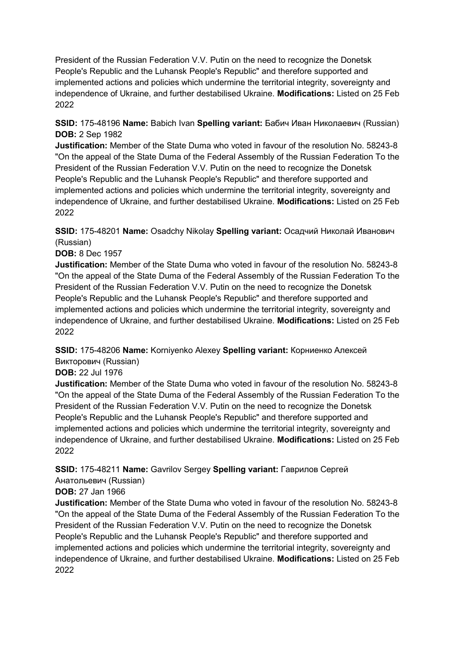**SSID:** 175-48196 **Name:** Babich Ivan **Spelling variant:** Бабич Иван Николаевич (Russian) **DOB:** 2 Sep 1982

**Justification:** Member of the State Duma who voted in favour of the resolution No. 58243-8 "On the appeal of the State Duma of the Federal Assembly of the Russian Federation To the President of the Russian Federation V.V. Putin on the need to recognize the Donetsk People's Republic and the Luhansk People's Republic" and therefore supported and implemented actions and policies which undermine the territorial integrity, sovereignty and independence of Ukraine, and further destabilised Ukraine. **Modifications:** Listed on 25 Feb 2022

**SSID:** 175-48201 **Name:** Osadchy Nikolay **Spelling variant:** Осадчий Николай Иванович (Russian)

#### **DOB:** 8 Dec 1957

**Justification:** Member of the State Duma who voted in favour of the resolution No. 58243-8 "On the appeal of the State Duma of the Federal Assembly of the Russian Federation To the President of the Russian Federation V.V. Putin on the need to recognize the Donetsk People's Republic and the Luhansk People's Republic" and therefore supported and implemented actions and policies which undermine the territorial integrity, sovereignty and independence of Ukraine, and further destabilised Ukraine. **Modifications:** Listed on 25 Feb 2022

## **SSID:** 175-48206 **Name:** Korniyenko Alexey **Spelling variant:** Корниенко Алексей Викторович (Russian)

#### **DOB:** 22 Jul 1976

**Justification:** Member of the State Duma who voted in favour of the resolution No. 58243-8 "On the appeal of the State Duma of the Federal Assembly of the Russian Federation To the President of the Russian Federation V.V. Putin on the need to recognize the Donetsk People's Republic and the Luhansk People's Republic" and therefore supported and implemented actions and policies which undermine the territorial integrity, sovereignty and independence of Ukraine, and further destabilised Ukraine. **Modifications:** Listed on 25 Feb 2022

# **SSID:** 175-48211 **Name:** Gavrilov Sergey **Spelling variant:** Гаврилов Сергей Анатольевич (Russian)

#### **DOB:** 27 Jan 1966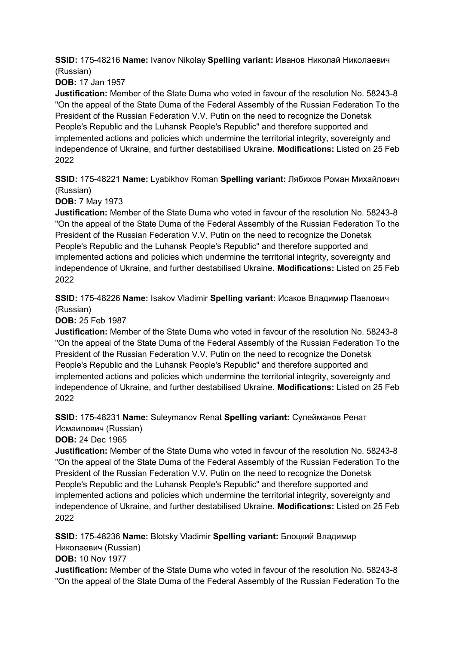**SSID:** 175-48216 **Name:** Ivanov Nikolay **Spelling variant:** Иванов Николай Николаевич (Russian)

**DOB:** 17 Jan 1957

**Justification:** Member of the State Duma who voted in favour of the resolution No. 58243-8 "On the appeal of the State Duma of the Federal Assembly of the Russian Federation To the President of the Russian Federation V.V. Putin on the need to recognize the Donetsk People's Republic and the Luhansk People's Republic" and therefore supported and implemented actions and policies which undermine the territorial integrity, sovereignty and independence of Ukraine, and further destabilised Ukraine. **Modifications:** Listed on 25 Feb 2022

**SSID:** 175-48221 **Name:** Lyabikhov Roman **Spelling variant:** Лябихов Роман Михайлович (Russian)

**DOB:** 7 May 1973

**Justification:** Member of the State Duma who voted in favour of the resolution No. 58243-8 "On the appeal of the State Duma of the Federal Assembly of the Russian Federation To the President of the Russian Federation V.V. Putin on the need to recognize the Donetsk People's Republic and the Luhansk People's Republic" and therefore supported and implemented actions and policies which undermine the territorial integrity, sovereignty and independence of Ukraine, and further destabilised Ukraine. **Modifications:** Listed on 25 Feb 2022

**SSID:** 175-48226 **Name:** Isakov Vladimir **Spelling variant:** Исаков Владимир Павлович (Russian)

**DOB:** 25 Feb 1987

**Justification:** Member of the State Duma who voted in favour of the resolution No. 58243-8 "On the appeal of the State Duma of the Federal Assembly of the Russian Federation To the President of the Russian Federation V.V. Putin on the need to recognize the Donetsk People's Republic and the Luhansk People's Republic" and therefore supported and implemented actions and policies which undermine the territorial integrity, sovereignty and independence of Ukraine, and further destabilised Ukraine. **Modifications:** Listed on 25 Feb 2022

**SSID:** 175-48231 **Name:** Suleymanov Renat **Spelling variant:** Сулейманов Ренат Исмаилович (Russian)

**DOB:** 24 Dec 1965

**Justification:** Member of the State Duma who voted in favour of the resolution No. 58243-8 "On the appeal of the State Duma of the Federal Assembly of the Russian Federation To the President of the Russian Federation V.V. Putin on the need to recognize the Donetsk People's Republic and the Luhansk People's Republic" and therefore supported and implemented actions and policies which undermine the territorial integrity, sovereignty and independence of Ukraine, and further destabilised Ukraine. **Modifications:** Listed on 25 Feb 2022

**SSID:** 175-48236 **Name:** Blotsky Vladimir **Spelling variant:** Блоцкий Владимир

Николаевич (Russian)

**DOB:** 10 Nov 1977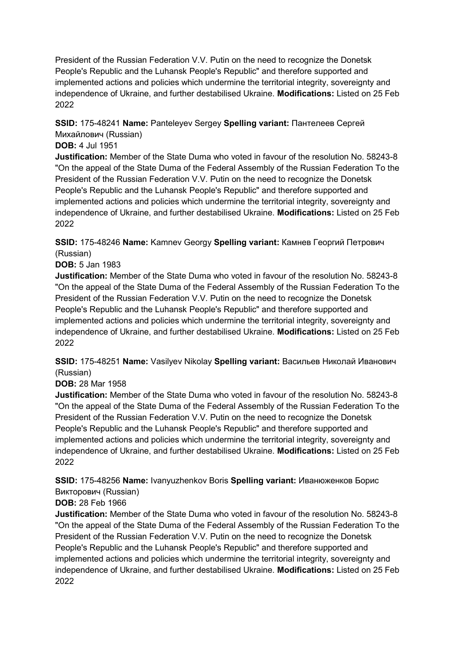**SSID:** 175-48241 **Name:** Panteleyev Sergey **Spelling variant:** Пантелеев Сергей Михайлович (Russian)

#### **DOB:** 4 Jul 1951

**Justification:** Member of the State Duma who voted in favour of the resolution No. 58243-8 "On the appeal of the State Duma of the Federal Assembly of the Russian Federation To the President of the Russian Federation V.V. Putin on the need to recognize the Donetsk People's Republic and the Luhansk People's Republic" and therefore supported and implemented actions and policies which undermine the territorial integrity, sovereignty and independence of Ukraine, and further destabilised Ukraine. **Modifications:** Listed on 25 Feb 2022

**SSID:** 175-48246 **Name:** Kamnev Georgy **Spelling variant:** Камнев Георгий Петрович (Russian)

**DOB:** 5 Jan 1983

**Justification:** Member of the State Duma who voted in favour of the resolution No. 58243-8 "On the appeal of the State Duma of the Federal Assembly of the Russian Federation To the President of the Russian Federation V.V. Putin on the need to recognize the Donetsk People's Republic and the Luhansk People's Republic" and therefore supported and implemented actions and policies which undermine the territorial integrity, sovereignty and independence of Ukraine, and further destabilised Ukraine. **Modifications:** Listed on 25 Feb 2022

**SSID:** 175-48251 **Name:** Vasilyev Nikolay **Spelling variant:** Васильев Николай Иванович (Russian)

#### **DOB:** 28 Mar 1958

**Justification:** Member of the State Duma who voted in favour of the resolution No. 58243-8 "On the appeal of the State Duma of the Federal Assembly of the Russian Federation To the President of the Russian Federation V.V. Putin on the need to recognize the Donetsk People's Republic and the Luhansk People's Republic" and therefore supported and implemented actions and policies which undermine the territorial integrity, sovereignty and independence of Ukraine, and further destabilised Ukraine. **Modifications:** Listed on 25 Feb 2022

**SSID:** 175-48256 **Name:** Ivanyuzhenkov Boris **Spelling variant:** Иванюженков Борис Викторович (Russian)

## **DOB:** 28 Feb 1966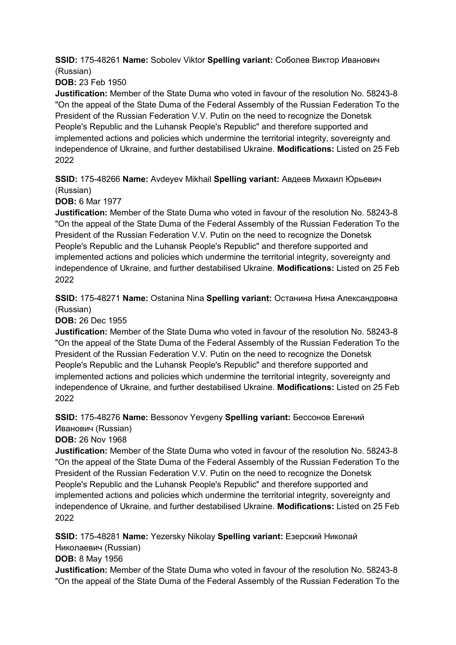**SSID:** 175-48261 **Name:** Sobolev Viktor **Spelling variant:** Соболев Виктор Иванович (Russian)

**DOB:** 23 Feb 1950

**Justification:** Member of the State Duma who voted in favour of the resolution No. 58243-8 "On the appeal of the State Duma of the Federal Assembly of the Russian Federation To the President of the Russian Federation V.V. Putin on the need to recognize the Donetsk People's Republic and the Luhansk People's Republic" and therefore supported and implemented actions and policies which undermine the territorial integrity, sovereignty and independence of Ukraine, and further destabilised Ukraine. **Modifications:** Listed on 25 Feb 2022

**SSID:** 175-48266 **Name:** Avdeyev Mikhail **Spelling variant:** Авдеев Михаил Юрьевич (Russian)

**DOB:** 6 Mar 1977

**Justification:** Member of the State Duma who voted in favour of the resolution No. 58243-8 "On the appeal of the State Duma of the Federal Assembly of the Russian Federation To the President of the Russian Federation V.V. Putin on the need to recognize the Donetsk People's Republic and the Luhansk People's Republic" and therefore supported and implemented actions and policies which undermine the territorial integrity, sovereignty and independence of Ukraine, and further destabilised Ukraine. **Modifications:** Listed on 25 Feb 2022

**SSID:** 175-48271 **Name:** Ostanina Nina **Spelling variant:** Останина Нина Александровна (Russian)

**DOB:** 26 Dec 1955

**Justification:** Member of the State Duma who voted in favour of the resolution No. 58243-8 "On the appeal of the State Duma of the Federal Assembly of the Russian Federation To the President of the Russian Federation V.V. Putin on the need to recognize the Donetsk People's Republic and the Luhansk People's Republic" and therefore supported and implemented actions and policies which undermine the territorial integrity, sovereignty and independence of Ukraine, and further destabilised Ukraine. **Modifications:** Listed on 25 Feb 2022

**SSID:** 175-48276 **Name:** Bessonov Yevgeny **Spelling variant:** Бессонов Евгений Иванович (Russian)

**DOB:** 26 Nov 1968

**Justification:** Member of the State Duma who voted in favour of the resolution No. 58243-8 "On the appeal of the State Duma of the Federal Assembly of the Russian Federation To the President of the Russian Federation V.V. Putin on the need to recognize the Donetsk People's Republic and the Luhansk People's Republic" and therefore supported and implemented actions and policies which undermine the territorial integrity, sovereignty and independence of Ukraine, and further destabilised Ukraine. **Modifications:** Listed on 25 Feb 2022

**SSID:** 175-48281 **Name:** Yezersky Nikolay **Spelling variant:** Езерский Николай

Николаевич (Russian)

**DOB:** 8 May 1956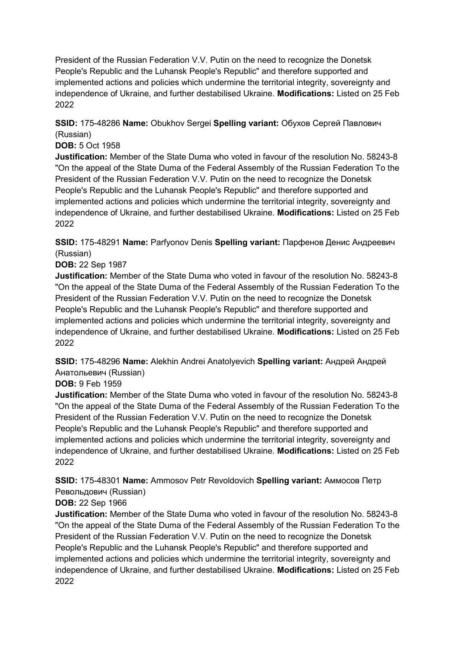**SSID:** 175-48286 **Name:** Obukhov Sergei **Spelling variant:** Обухов Сергей Павлович (Russian)

#### **DOB:** 5 Oct 1958

**Justification:** Member of the State Duma who voted in favour of the resolution No. 58243-8 "On the appeal of the State Duma of the Federal Assembly of the Russian Federation To the President of the Russian Federation V.V. Putin on the need to recognize the Donetsk People's Republic and the Luhansk People's Republic" and therefore supported and implemented actions and policies which undermine the territorial integrity, sovereignty and independence of Ukraine, and further destabilised Ukraine. **Modifications:** Listed on 25 Feb 2022

**SSID:** 175-48291 **Name:** Parfyonov Denis **Spelling variant:** Парфенов Денис Андреевич (Russian)

#### **DOB:** 22 Sep 1987

**Justification:** Member of the State Duma who voted in favour of the resolution No. 58243-8 "On the appeal of the State Duma of the Federal Assembly of the Russian Federation To the President of the Russian Federation V.V. Putin on the need to recognize the Donetsk People's Republic and the Luhansk People's Republic" and therefore supported and implemented actions and policies which undermine the territorial integrity, sovereignty and independence of Ukraine, and further destabilised Ukraine. **Modifications:** Listed on 25 Feb 2022

**SSID:** 175-48296 **Name:** Alekhin Andrei Anatolyevich **Spelling variant:** Андрей Андрей Анатольевич (Russian)

#### **DOB:** 9 Feb 1959

**Justification:** Member of the State Duma who voted in favour of the resolution No. 58243-8 "On the appeal of the State Duma of the Federal Assembly of the Russian Federation To the President of the Russian Federation V.V. Putin on the need to recognize the Donetsk People's Republic and the Luhansk People's Republic" and therefore supported and implemented actions and policies which undermine the territorial integrity, sovereignty and independence of Ukraine, and further destabilised Ukraine. **Modifications:** Listed on 25 Feb 2022

**SSID:** 175-48301 **Name:** Ammosov Petr Revoldovich **Spelling variant:** Аммосов Петр Револьдович (Russian)

## **DOB:** 22 Sep 1966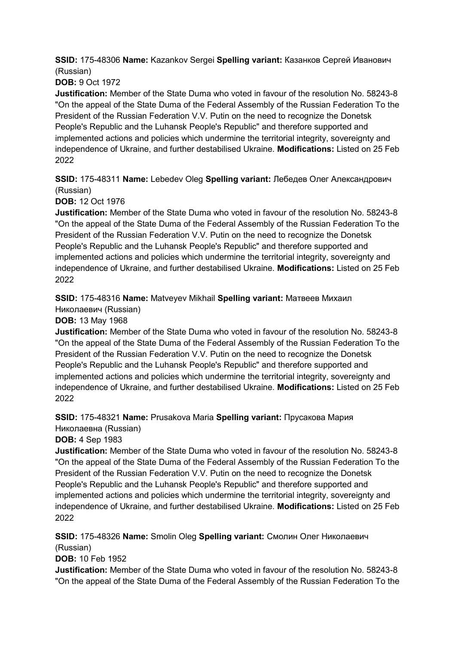**SSID:** 175-48306 **Name:** Kazankov Sergei **Spelling variant:** Казанков Сергей Иванович (Russian)

**DOB:** 9 Oct 1972

**Justification:** Member of the State Duma who voted in favour of the resolution No. 58243-8 "On the appeal of the State Duma of the Federal Assembly of the Russian Federation To the President of the Russian Federation V.V. Putin on the need to recognize the Donetsk People's Republic and the Luhansk People's Republic" and therefore supported and implemented actions and policies which undermine the territorial integrity, sovereignty and independence of Ukraine, and further destabilised Ukraine. **Modifications:** Listed on 25 Feb 2022

**SSID:** 175-48311 **Name:** Lebedev Oleg **Spelling variant:** Лебедев Олег Александрович (Russian)

**DOB:** 12 Oct 1976

**Justification:** Member of the State Duma who voted in favour of the resolution No. 58243-8 "On the appeal of the State Duma of the Federal Assembly of the Russian Federation To the President of the Russian Federation V.V. Putin on the need to recognize the Donetsk People's Republic and the Luhansk People's Republic" and therefore supported and implemented actions and policies which undermine the territorial integrity, sovereignty and independence of Ukraine, and further destabilised Ukraine. **Modifications:** Listed on 25 Feb 2022

**SSID:** 175-48316 **Name:** Matveyev Mikhail **Spelling variant:** Матвеев Михаил

Николаевич (Russian)

**DOB:** 13 May 1968

**Justification:** Member of the State Duma who voted in favour of the resolution No. 58243-8 "On the appeal of the State Duma of the Federal Assembly of the Russian Federation To the President of the Russian Federation V.V. Putin on the need to recognize the Donetsk People's Republic and the Luhansk People's Republic" and therefore supported and implemented actions and policies which undermine the territorial integrity, sovereignty and independence of Ukraine, and further destabilised Ukraine. **Modifications:** Listed on 25 Feb 2022

**SSID:** 175-48321 **Name:** Prusakova Maria **Spelling variant:** Прусакова Мария Николаевна (Russian)

**DOB:** 4 Sep 1983

**Justification:** Member of the State Duma who voted in favour of the resolution No. 58243-8 "On the appeal of the State Duma of the Federal Assembly of the Russian Federation To the President of the Russian Federation V.V. Putin on the need to recognize the Donetsk People's Republic and the Luhansk People's Republic" and therefore supported and implemented actions and policies which undermine the territorial integrity, sovereignty and independence of Ukraine, and further destabilised Ukraine. **Modifications:** Listed on 25 Feb 2022

**SSID:** 175-48326 **Name:** Smolin Oleg **Spelling variant:** Смолин Олег Николаевич (Russian)

**DOB:** 10 Feb 1952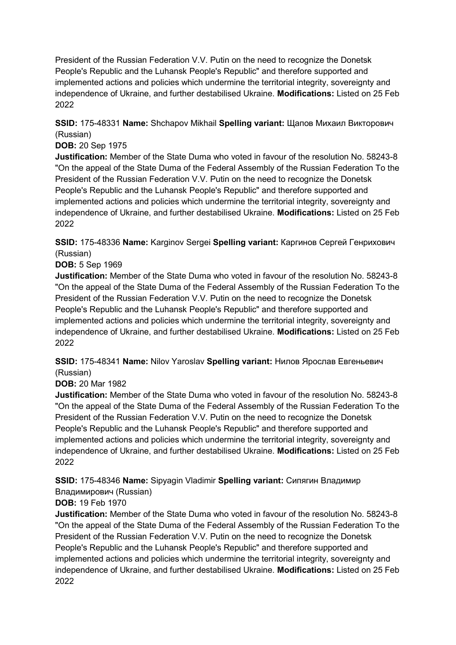**SSID:** 175-48331 **Name:** Shchapov Mikhail **Spelling variant:** Щапов Михаил Викторович (Russian)

#### **DOB:** 20 Sep 1975

**Justification:** Member of the State Duma who voted in favour of the resolution No. 58243-8 "On the appeal of the State Duma of the Federal Assembly of the Russian Federation To the President of the Russian Federation V.V. Putin on the need to recognize the Donetsk People's Republic and the Luhansk People's Republic" and therefore supported and implemented actions and policies which undermine the territorial integrity, sovereignty and independence of Ukraine, and further destabilised Ukraine. **Modifications:** Listed on 25 Feb 2022

**SSID:** 175-48336 **Name:** Karginov Sergei **Spelling variant:** Каргинов Сергей Генрихович (Russian)

#### **DOB:** 5 Sep 1969

**Justification:** Member of the State Duma who voted in favour of the resolution No. 58243-8 "On the appeal of the State Duma of the Federal Assembly of the Russian Federation To the President of the Russian Federation V.V. Putin on the need to recognize the Donetsk People's Republic and the Luhansk People's Republic" and therefore supported and implemented actions and policies which undermine the territorial integrity, sovereignty and independence of Ukraine, and further destabilised Ukraine. **Modifications:** Listed on 25 Feb 2022

**SSID:** 175-48341 **Name:** Nilov Yaroslav **Spelling variant:** Нилов Ярослав Евгеньевич (Russian)

#### **DOB:** 20 Mar 1982

**Justification:** Member of the State Duma who voted in favour of the resolution No. 58243-8 "On the appeal of the State Duma of the Federal Assembly of the Russian Federation To the President of the Russian Federation V.V. Putin on the need to recognize the Donetsk People's Republic and the Luhansk People's Republic" and therefore supported and implemented actions and policies which undermine the territorial integrity, sovereignty and independence of Ukraine, and further destabilised Ukraine. **Modifications:** Listed on 25 Feb 2022

**SSID:** 175-48346 **Name:** Sipyagin Vladimir **Spelling variant:** Сипягин Владимир

#### Владимирович (Russian) **DOB:** 19 Feb 1970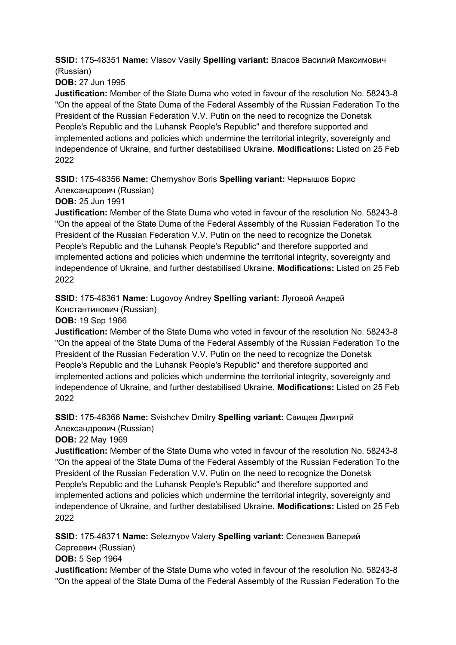**SSID:** 175-48351 **Name:** Vlasov Vasily **Spelling variant:** Власов Василий Максимович (Russian)

**DOB:** 27 Jun 1995

**Justification:** Member of the State Duma who voted in favour of the resolution No. 58243-8 "On the appeal of the State Duma of the Federal Assembly of the Russian Federation To the President of the Russian Federation V.V. Putin on the need to recognize the Donetsk People's Republic and the Luhansk People's Republic" and therefore supported and implemented actions and policies which undermine the territorial integrity, sovereignty and independence of Ukraine, and further destabilised Ukraine. **Modifications:** Listed on 25 Feb 2022

**SSID:** 175-48356 **Name:** Chernyshov Boris **Spelling variant:** Чернышов Борис

Александрович (Russian)

**DOB:** 25 Jun 1991

**Justification:** Member of the State Duma who voted in favour of the resolution No. 58243-8 "On the appeal of the State Duma of the Federal Assembly of the Russian Federation To the President of the Russian Federation V.V. Putin on the need to recognize the Donetsk People's Republic and the Luhansk People's Republic" and therefore supported and implemented actions and policies which undermine the territorial integrity, sovereignty and independence of Ukraine, and further destabilised Ukraine. **Modifications:** Listed on 25 Feb 2022

**SSID:** 175-48361 **Name:** Lugovoy Andrey **Spelling variant:** Луговой Андрей

Константинович (Russian)

**DOB:** 19 Sep 1966

**Justification:** Member of the State Duma who voted in favour of the resolution No. 58243-8 "On the appeal of the State Duma of the Federal Assembly of the Russian Federation To the President of the Russian Federation V.V. Putin on the need to recognize the Donetsk People's Republic and the Luhansk People's Republic" and therefore supported and implemented actions and policies which undermine the territorial integrity, sovereignty and independence of Ukraine, and further destabilised Ukraine. **Modifications:** Listed on 25 Feb 2022

**SSID:** 175-48366 **Name:** Svishchev Dmitry **Spelling variant:** Свищев Дмитрий Александрович (Russian)

**DOB:** 22 May 1969

**Justification:** Member of the State Duma who voted in favour of the resolution No. 58243-8 "On the appeal of the State Duma of the Federal Assembly of the Russian Federation To the President of the Russian Federation V.V. Putin on the need to recognize the Donetsk People's Republic and the Luhansk People's Republic" and therefore supported and implemented actions and policies which undermine the territorial integrity, sovereignty and independence of Ukraine, and further destabilised Ukraine. **Modifications:** Listed on 25 Feb 2022

**SSID:** 175-48371 **Name:** Seleznyov Valery **Spelling variant:** Селезнев Валерий

Сергеевич (Russian)

**DOB:** 5 Sep 1964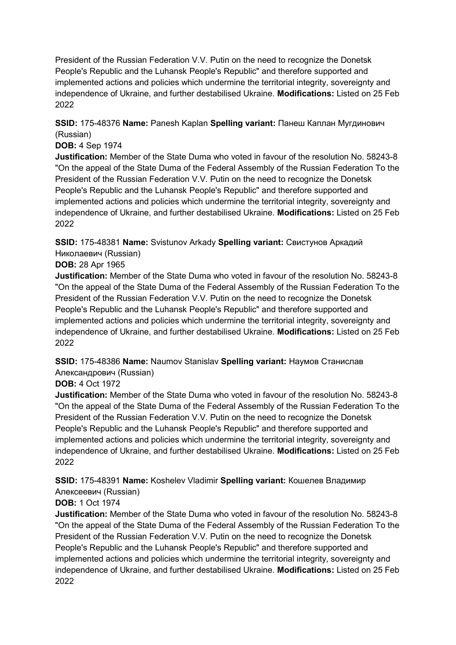**SSID:** 175-48376 **Name:** Panesh Kaplan **Spelling variant:** Панеш Каплан Мугдинович (Russian)

#### **DOB:** 4 Sep 1974

**Justification:** Member of the State Duma who voted in favour of the resolution No. 58243-8 "On the appeal of the State Duma of the Federal Assembly of the Russian Federation To the President of the Russian Federation V.V. Putin on the need to recognize the Donetsk People's Republic and the Luhansk People's Republic" and therefore supported and implemented actions and policies which undermine the territorial integrity, sovereignty and independence of Ukraine, and further destabilised Ukraine. **Modifications:** Listed on 25 Feb 2022

**SSID:** 175-48381 **Name:** Svistunov Arkady **Spelling variant:** Свистунов Аркадий Николаевич (Russian)

#### **DOB:** 28 Apr 1965

**Justification:** Member of the State Duma who voted in favour of the resolution No. 58243-8 "On the appeal of the State Duma of the Federal Assembly of the Russian Federation To the President of the Russian Federation V.V. Putin on the need to recognize the Donetsk People's Republic and the Luhansk People's Republic" and therefore supported and implemented actions and policies which undermine the territorial integrity, sovereignty and independence of Ukraine, and further destabilised Ukraine. **Modifications:** Listed on 25 Feb 2022

**SSID:** 175-48386 **Name:** Naumov Stanislav **Spelling variant:** Наумов Станислав Александрович (Russian)

#### **DOB:** 4 Oct 1972

**Justification:** Member of the State Duma who voted in favour of the resolution No. 58243-8 "On the appeal of the State Duma of the Federal Assembly of the Russian Federation To the President of the Russian Federation V.V. Putin on the need to recognize the Donetsk People's Republic and the Luhansk People's Republic" and therefore supported and implemented actions and policies which undermine the territorial integrity, sovereignty and independence of Ukraine, and further destabilised Ukraine. **Modifications:** Listed on 25 Feb 2022

**SSID:** 175-48391 **Name:** Koshelev Vladimir **Spelling variant:** Кошелев Владимир Алексеевич (Russian)

# **DOB:** 1 Oct 1974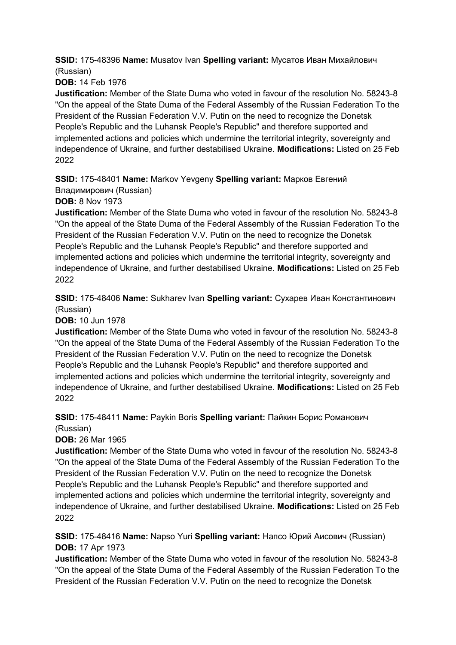**SSID:** 175-48396 **Name:** Musatov Ivan **Spelling variant:** Мусатов Иван Михайлович (Russian)

**DOB:** 14 Feb 1976

**Justification:** Member of the State Duma who voted in favour of the resolution No. 58243-8 "On the appeal of the State Duma of the Federal Assembly of the Russian Federation To the President of the Russian Federation V.V. Putin on the need to recognize the Donetsk People's Republic and the Luhansk People's Republic" and therefore supported and implemented actions and policies which undermine the territorial integrity, sovereignty and independence of Ukraine, and further destabilised Ukraine. **Modifications:** Listed on 25 Feb 2022

# **SSID:** 175-48401 **Name:** Markov Yevgeny **Spelling variant:** Марков Евгений

Владимирович (Russian)

**DOB:** 8 Nov 1973

**Justification:** Member of the State Duma who voted in favour of the resolution No. 58243-8 "On the appeal of the State Duma of the Federal Assembly of the Russian Federation To the President of the Russian Federation V.V. Putin on the need to recognize the Donetsk People's Republic and the Luhansk People's Republic" and therefore supported and implemented actions and policies which undermine the territorial integrity, sovereignty and independence of Ukraine, and further destabilised Ukraine. **Modifications:** Listed on 25 Feb 2022

**SSID:** 175-48406 **Name:** Sukharev Ivan **Spelling variant:** Сухарев Иван Константинович (Russian)

**DOB:** 10 Jun 1978

**Justification:** Member of the State Duma who voted in favour of the resolution No. 58243-8 "On the appeal of the State Duma of the Federal Assembly of the Russian Federation To the President of the Russian Federation V.V. Putin on the need to recognize the Donetsk People's Republic and the Luhansk People's Republic" and therefore supported and implemented actions and policies which undermine the territorial integrity, sovereignty and independence of Ukraine, and further destabilised Ukraine. **Modifications:** Listed on 25 Feb 2022

#### **SSID:** 175-48411 **Name:** Paykin Boris **Spelling variant:** Пайкин Борис Романович (Russian)

**DOB:** 26 Mar 1965

**Justification:** Member of the State Duma who voted in favour of the resolution No. 58243-8 "On the appeal of the State Duma of the Federal Assembly of the Russian Federation To the President of the Russian Federation V.V. Putin on the need to recognize the Donetsk People's Republic and the Luhansk People's Republic" and therefore supported and implemented actions and policies which undermine the territorial integrity, sovereignty and independence of Ukraine, and further destabilised Ukraine. **Modifications:** Listed on 25 Feb 2022

#### **SSID:** 175-48416 **Name:** Napso Yuri **Spelling variant:** Напсо Юрий Аисович (Russian) **DOB:** 17 Apr 1973

**Justification:** Member of the State Duma who voted in favour of the resolution No. 58243-8 "On the appeal of the State Duma of the Federal Assembly of the Russian Federation To the President of the Russian Federation V.V. Putin on the need to recognize the Donetsk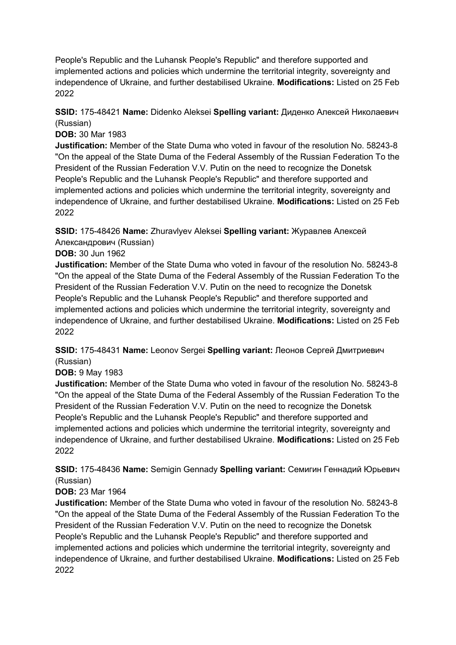People's Republic and the Luhansk People's Republic" and therefore supported and implemented actions and policies which undermine the territorial integrity, sovereignty and independence of Ukraine, and further destabilised Ukraine. **Modifications:** Listed on 25 Feb 2022

#### **SSID:** 175-48421 **Name:** Didenko Aleksei **Spelling variant:** Диденко Алексей Николаевич (Russian)

**DOB:** 30 Mar 1983

**Justification:** Member of the State Duma who voted in favour of the resolution No. 58243-8 "On the appeal of the State Duma of the Federal Assembly of the Russian Federation To the President of the Russian Federation V.V. Putin on the need to recognize the Donetsk People's Republic and the Luhansk People's Republic" and therefore supported and implemented actions and policies which undermine the territorial integrity, sovereignty and independence of Ukraine, and further destabilised Ukraine. **Modifications:** Listed on 25 Feb 2022

**SSID:** 175-48426 **Name:** Zhuravlyev Aleksei **Spelling variant:** Журавлев Алексей Александрович (Russian)

#### **DOB:** 30 Jun 1962

**Justification:** Member of the State Duma who voted in favour of the resolution No. 58243-8 "On the appeal of the State Duma of the Federal Assembly of the Russian Federation To the President of the Russian Federation V.V. Putin on the need to recognize the Donetsk People's Republic and the Luhansk People's Republic" and therefore supported and implemented actions and policies which undermine the territorial integrity, sovereignty and independence of Ukraine, and further destabilised Ukraine. **Modifications:** Listed on 25 Feb 2022

#### **SSID:** 175-48431 **Name:** Leonov Sergei **Spelling variant:** Леонов Сергей Дмитриевич (Russian)

**DOB:** 9 May 1983

**Justification:** Member of the State Duma who voted in favour of the resolution No. 58243-8 "On the appeal of the State Duma of the Federal Assembly of the Russian Federation To the President of the Russian Federation V.V. Putin on the need to recognize the Donetsk People's Republic and the Luhansk People's Republic" and therefore supported and implemented actions and policies which undermine the territorial integrity, sovereignty and independence of Ukraine, and further destabilised Ukraine. **Modifications:** Listed on 25 Feb 2022

**SSID:** 175-48436 **Name:** Semigin Gennady **Spelling variant:** Семигин Геннадий Юрьевич (Russian)

## **DOB:** 23 Mar 1964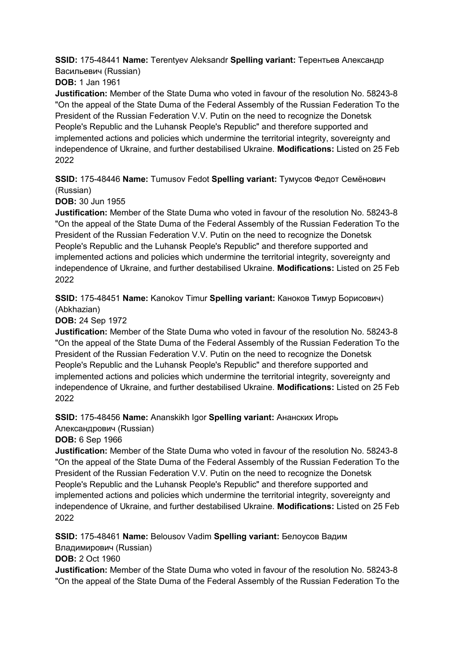**SSID:** 175-48441 **Name:** Terentyev Aleksandr **Spelling variant:** Терентьев Александр Васильевич (Russian)

**DOB:** 1 Jan 1961

**Justification:** Member of the State Duma who voted in favour of the resolution No. 58243-8 "On the appeal of the State Duma of the Federal Assembly of the Russian Federation To the President of the Russian Federation V.V. Putin on the need to recognize the Donetsk People's Republic and the Luhansk People's Republic" and therefore supported and implemented actions and policies which undermine the territorial integrity, sovereignty and independence of Ukraine, and further destabilised Ukraine. **Modifications:** Listed on 25 Feb 2022

**SSID:** 175-48446 **Name:** Tumusov Fedot **Spelling variant:** Тумусов Федот Семёнович (Russian)

**DOB:** 30 Jun 1955

**Justification:** Member of the State Duma who voted in favour of the resolution No. 58243-8 "On the appeal of the State Duma of the Federal Assembly of the Russian Federation To the President of the Russian Federation V.V. Putin on the need to recognize the Donetsk People's Republic and the Luhansk People's Republic" and therefore supported and implemented actions and policies which undermine the territorial integrity, sovereignty and independence of Ukraine, and further destabilised Ukraine. **Modifications:** Listed on 25 Feb 2022

**SSID:** 175-48451 **Name:** Kanokov Timur **Spelling variant:** Каноков Тимур Борисович) (Abkhazian)

**DOB:** 24 Sep 1972

**Justification:** Member of the State Duma who voted in favour of the resolution No. 58243-8 "On the appeal of the State Duma of the Federal Assembly of the Russian Federation To the President of the Russian Federation V.V. Putin on the need to recognize the Donetsk People's Republic and the Luhansk People's Republic" and therefore supported and implemented actions and policies which undermine the territorial integrity, sovereignty and independence of Ukraine, and further destabilised Ukraine. **Modifications:** Listed on 25 Feb 2022

**SSID:** 175-48456 **Name:** Ananskikh Igor **Spelling variant:** Ананских Игорь

Александрович (Russian)

**DOB:** 6 Sep 1966

**Justification:** Member of the State Duma who voted in favour of the resolution No. 58243-8 "On the appeal of the State Duma of the Federal Assembly of the Russian Federation To the President of the Russian Federation V.V. Putin on the need to recognize the Donetsk People's Republic and the Luhansk People's Republic" and therefore supported and implemented actions and policies which undermine the territorial integrity, sovereignty and independence of Ukraine, and further destabilised Ukraine. **Modifications:** Listed on 25 Feb 2022

**SSID:** 175-48461 **Name:** Belousov Vadim **Spelling variant:** Белоусов Вадим

Владимирович (Russian)

**DOB:** 2 Oct 1960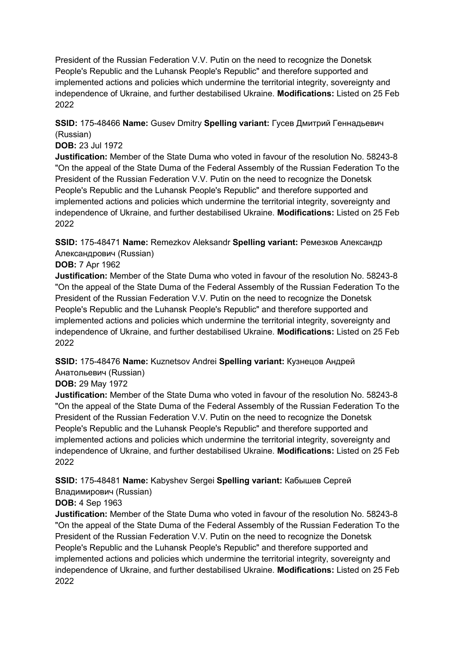**SSID:** 175-48466 **Name:** Gusev Dmitry **Spelling variant:** Гусев Дмитрий Геннадьевич (Russian)

#### **DOB:** 23 Jul 1972

**Justification:** Member of the State Duma who voted in favour of the resolution No. 58243-8 "On the appeal of the State Duma of the Federal Assembly of the Russian Federation To the President of the Russian Federation V.V. Putin on the need to recognize the Donetsk People's Republic and the Luhansk People's Republic" and therefore supported and implemented actions and policies which undermine the territorial integrity, sovereignty and independence of Ukraine, and further destabilised Ukraine. **Modifications:** Listed on 25 Feb 2022

**SSID:** 175-48471 **Name:** Remezkov Aleksandr **Spelling variant:** Ремезков Александр Александрович (Russian)

#### **DOB:** 7 Apr 1962

**Justification:** Member of the State Duma who voted in favour of the resolution No. 58243-8 "On the appeal of the State Duma of the Federal Assembly of the Russian Federation To the President of the Russian Federation V.V. Putin on the need to recognize the Donetsk People's Republic and the Luhansk People's Republic" and therefore supported and implemented actions and policies which undermine the territorial integrity, sovereignty and independence of Ukraine, and further destabilised Ukraine. **Modifications:** Listed on 25 Feb 2022

**SSID:** 175-48476 **Name:** Kuznetsov Andrei **Spelling variant:** Кузнецов Андрей Анатольевич (Russian)

## **DOB:** 29 May 1972

**Justification:** Member of the State Duma who voted in favour of the resolution No. 58243-8 "On the appeal of the State Duma of the Federal Assembly of the Russian Federation To the President of the Russian Federation V.V. Putin on the need to recognize the Donetsk People's Republic and the Luhansk People's Republic" and therefore supported and implemented actions and policies which undermine the territorial integrity, sovereignty and independence of Ukraine, and further destabilised Ukraine. **Modifications:** Listed on 25 Feb 2022

**SSID:** 175-48481 **Name:** Kabyshev Sergei **Spelling variant:** Кабышев Сергей

# Владимирович (Russian)

#### **DOB:** 4 Sep 1963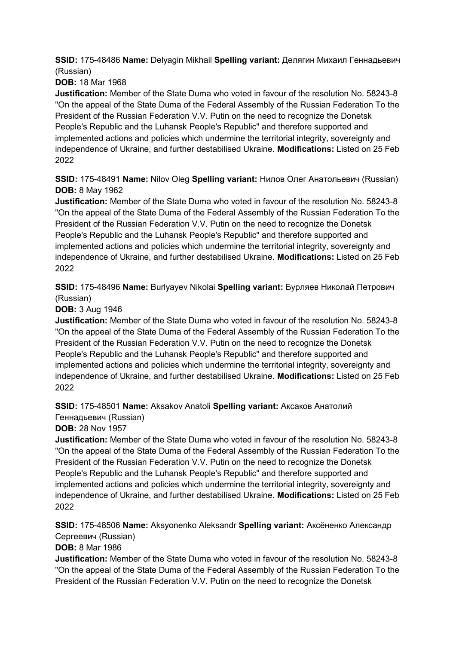**SSID:** 175-48486 **Name:** Delyagin Mikhail **Spelling variant:** Делягин Михаил Геннадьевич (Russian)

**DOB:** 18 Mar 1968

**Justification:** Member of the State Duma who voted in favour of the resolution No. 58243-8 "On the appeal of the State Duma of the Federal Assembly of the Russian Federation To the President of the Russian Federation V.V. Putin on the need to recognize the Donetsk People's Republic and the Luhansk People's Republic" and therefore supported and implemented actions and policies which undermine the territorial integrity, sovereignty and independence of Ukraine, and further destabilised Ukraine. **Modifications:** Listed on 25 Feb 2022

**SSID:** 175-48491 **Name:** Nilov Oleg **Spelling variant:** Нилов Олег Анатольевич (Russian) **DOB:** 8 May 1962

**Justification:** Member of the State Duma who voted in favour of the resolution No. 58243-8 "On the appeal of the State Duma of the Federal Assembly of the Russian Federation To the President of the Russian Federation V.V. Putin on the need to recognize the Donetsk People's Republic and the Luhansk People's Republic" and therefore supported and implemented actions and policies which undermine the territorial integrity, sovereignty and independence of Ukraine, and further destabilised Ukraine. **Modifications:** Listed on 25 Feb 2022

**SSID:** 175-48496 **Name:** Burlyayev Nikolai **Spelling variant:** Бурляев Николай Петрович (Russian)

**DOB:** 3 Aug 1946

**Justification:** Member of the State Duma who voted in favour of the resolution No. 58243-8 "On the appeal of the State Duma of the Federal Assembly of the Russian Federation To the President of the Russian Federation V.V. Putin on the need to recognize the Donetsk People's Republic and the Luhansk People's Republic" and therefore supported and implemented actions and policies which undermine the territorial integrity, sovereignty and independence of Ukraine, and further destabilised Ukraine. **Modifications:** Listed on 25 Feb 2022

**SSID:** 175-48501 **Name:** Aksakov Anatoli **Spelling variant:** Аксаков Анатолий

Геннадьевич (Russian)

**DOB:** 28 Nov 1957

**Justification:** Member of the State Duma who voted in favour of the resolution No. 58243-8 "On the appeal of the State Duma of the Federal Assembly of the Russian Federation To the President of the Russian Federation V.V. Putin on the need to recognize the Donetsk People's Republic and the Luhansk People's Republic" and therefore supported and implemented actions and policies which undermine the territorial integrity, sovereignty and independence of Ukraine, and further destabilised Ukraine. **Modifications:** Listed on 25 Feb 2022

**SSID:** 175-48506 **Name:** Aksyonenko Aleksandr **Spelling variant:** Аксёненко Александр Сергеевич (Russian)

**DOB:** 8 Mar 1986

**Justification:** Member of the State Duma who voted in favour of the resolution No. 58243-8 "On the appeal of the State Duma of the Federal Assembly of the Russian Federation To the President of the Russian Federation V.V. Putin on the need to recognize the Donetsk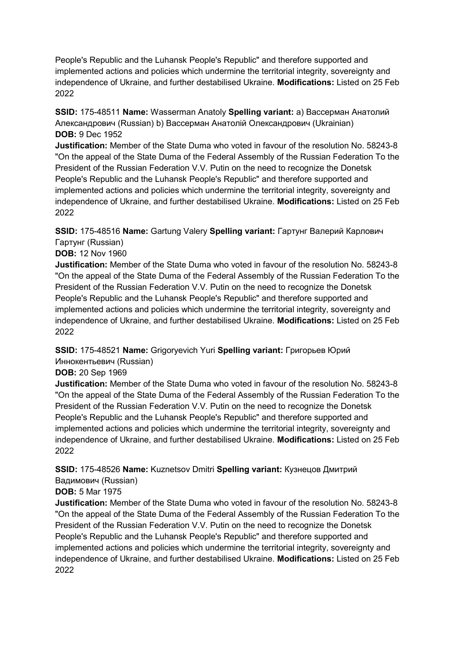People's Republic and the Luhansk People's Republic" and therefore supported and implemented actions and policies which undermine the territorial integrity, sovereignty and independence of Ukraine, and further destabilised Ukraine. **Modifications:** Listed on 25 Feb 2022

**SSID:** 175-48511 **Name:** Wasserman Anatoly **Spelling variant:** a) Вассерман Анатолий Александрович (Russian) b) Вассерман Анатолiй Олександрович (Ukrainian) **DOB:** 9 Dec 1952

**Justification:** Member of the State Duma who voted in favour of the resolution No. 58243-8 "On the appeal of the State Duma of the Federal Assembly of the Russian Federation To the President of the Russian Federation V.V. Putin on the need to recognize the Donetsk People's Republic and the Luhansk People's Republic" and therefore supported and implemented actions and policies which undermine the territorial integrity, sovereignty and independence of Ukraine, and further destabilised Ukraine. **Modifications:** Listed on 25 Feb 2022

**SSID:** 175-48516 **Name:** Gartung Valery **Spelling variant:** Гартунг Валерий Карлович Гартунг (Russian)

**DOB:** 12 Nov 1960

**Justification:** Member of the State Duma who voted in favour of the resolution No. 58243-8 "On the appeal of the State Duma of the Federal Assembly of the Russian Federation To the President of the Russian Federation V.V. Putin on the need to recognize the Donetsk People's Republic and the Luhansk People's Republic" and therefore supported and implemented actions and policies which undermine the territorial integrity, sovereignty and independence of Ukraine, and further destabilised Ukraine. **Modifications:** Listed on 25 Feb 2022

**SSID:** 175-48521 **Name:** Grigoryevich Yuri **Spelling variant:** Григорьев Юрий Иннокентьевич (Russian)

**DOB:** 20 Sep 1969

**Justification:** Member of the State Duma who voted in favour of the resolution No. 58243-8 "On the appeal of the State Duma of the Federal Assembly of the Russian Federation To the President of the Russian Federation V.V. Putin on the need to recognize the Donetsk People's Republic and the Luhansk People's Republic" and therefore supported and implemented actions and policies which undermine the territorial integrity, sovereignty and independence of Ukraine, and further destabilised Ukraine. **Modifications:** Listed on 25 Feb 2022

**SSID:** 175-48526 **Name:** Kuznetsov Dmitri **Spelling variant:** Кузнецов Дмитрий Вадимович (Russian)

#### **DOB:** 5 Mar 1975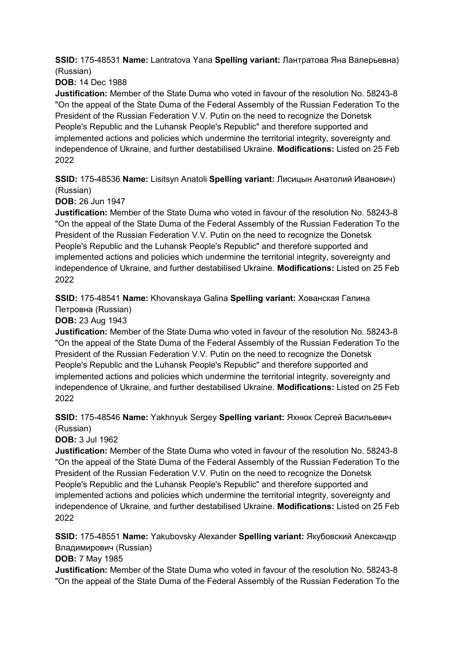**SSID:** 175-48531 **Name:** Lantratova Yana **Spelling variant:** Лантратова Яна Валерьевна) (Russian)

**DOB:** 14 Dec 1988

**Justification:** Member of the State Duma who voted in favour of the resolution No. 58243-8 "On the appeal of the State Duma of the Federal Assembly of the Russian Federation To the President of the Russian Federation V.V. Putin on the need to recognize the Donetsk People's Republic and the Luhansk People's Republic" and therefore supported and implemented actions and policies which undermine the territorial integrity, sovereignty and independence of Ukraine, and further destabilised Ukraine. **Modifications:** Listed on 25 Feb 2022

**SSID:** 175-48536 **Name:** Lisitsyn Anatoli **Spelling variant:** Лисицын Анатолий Иванович) (Russian)

**DOB:** 26 Jun 1947

**Justification:** Member of the State Duma who voted in favour of the resolution No. 58243-8 "On the appeal of the State Duma of the Federal Assembly of the Russian Federation To the President of the Russian Federation V.V. Putin on the need to recognize the Donetsk People's Republic and the Luhansk People's Republic" and therefore supported and implemented actions and policies which undermine the territorial integrity, sovereignty and independence of Ukraine, and further destabilised Ukraine. **Modifications:** Listed on 25 Feb 2022

**SSID:** 175-48541 **Name:** Khovanskaya Galina **Spelling variant:** Хованская Галина Петровна (Russian)

**DOB:** 23 Aug 1943

**Justification:** Member of the State Duma who voted in favour of the resolution No. 58243-8 "On the appeal of the State Duma of the Federal Assembly of the Russian Federation To the President of the Russian Federation V.V. Putin on the need to recognize the Donetsk People's Republic and the Luhansk People's Republic" and therefore supported and implemented actions and policies which undermine the territorial integrity, sovereignty and independence of Ukraine, and further destabilised Ukraine. **Modifications:** Listed on 25 Feb 2022

**SSID:** 175-48546 **Name:** Yakhnyuk Sergey **Spelling variant:** Яхнюк Сергей Васильевич (Russian)

**DOB:** 3 Jul 1962

**Justification:** Member of the State Duma who voted in favour of the resolution No. 58243-8 "On the appeal of the State Duma of the Federal Assembly of the Russian Federation To the President of the Russian Federation V.V. Putin on the need to recognize the Donetsk People's Republic and the Luhansk People's Republic" and therefore supported and implemented actions and policies which undermine the territorial integrity, sovereignty and independence of Ukraine, and further destabilised Ukraine. **Modifications:** Listed on 25 Feb 2022

**SSID:** 175-48551 **Name:** Yakubovsky Alexander **Spelling variant:** Якубовский Александр Владимирович (Russian)

**DOB:** 7 May 1985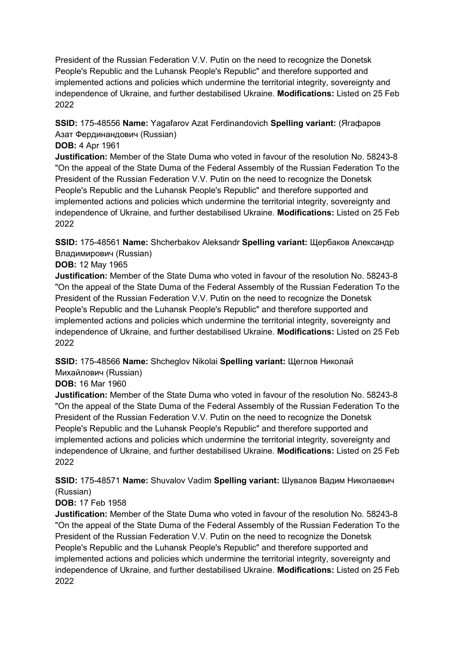**SSID:** 175-48556 **Name:** Yagafarov Azat Ferdinandovich **Spelling variant:** (Ягафаров Азат Фердинандович (Russian)

#### **DOB:** 4 Apr 1961

**Justification:** Member of the State Duma who voted in favour of the resolution No. 58243-8 "On the appeal of the State Duma of the Federal Assembly of the Russian Federation To the President of the Russian Federation V.V. Putin on the need to recognize the Donetsk People's Republic and the Luhansk People's Republic" and therefore supported and implemented actions and policies which undermine the territorial integrity, sovereignty and independence of Ukraine, and further destabilised Ukraine. **Modifications:** Listed on 25 Feb 2022

**SSID:** 175-48561 **Name:** Shcherbakov Aleksandr **Spelling variant:** Щербаков Александр Владимирович (Russian)

#### **DOB:** 12 May 1965

**Justification:** Member of the State Duma who voted in favour of the resolution No. 58243-8 "On the appeal of the State Duma of the Federal Assembly of the Russian Federation To the President of the Russian Federation V.V. Putin on the need to recognize the Donetsk People's Republic and the Luhansk People's Republic" and therefore supported and implemented actions and policies which undermine the territorial integrity, sovereignty and independence of Ukraine, and further destabilised Ukraine. **Modifications:** Listed on 25 Feb 2022

**SSID:** 175-48566 **Name:** Shcheglov Nikolai **Spelling variant:** Щеглов Николай Михайлович (Russian)

#### **DOB:** 16 Mar 1960

**Justification:** Member of the State Duma who voted in favour of the resolution No. 58243-8 "On the appeal of the State Duma of the Federal Assembly of the Russian Federation To the President of the Russian Federation V.V. Putin on the need to recognize the Donetsk People's Republic and the Luhansk People's Republic" and therefore supported and implemented actions and policies which undermine the territorial integrity, sovereignty and independence of Ukraine, and further destabilised Ukraine. **Modifications:** Listed on 25 Feb 2022

**SSID:** 175-48571 **Name:** Shuvalov Vadim **Spelling variant:** Шувалов Вадим Николаевич (Russian)

## **DOB:** 17 Feb 1958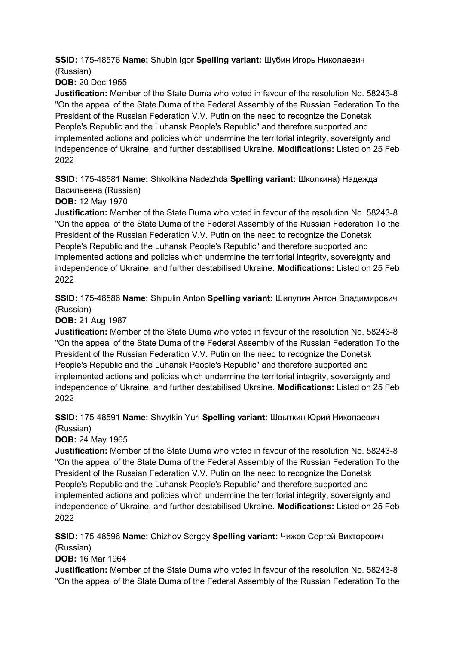**SSID:** 175-48576 **Name:** Shubin Igor **Spelling variant:** Шубин Игорь Николаевич (Russian)

**DOB:** 20 Dec 1955

**Justification:** Member of the State Duma who voted in favour of the resolution No. 58243-8 "On the appeal of the State Duma of the Federal Assembly of the Russian Federation To the President of the Russian Federation V.V. Putin on the need to recognize the Donetsk People's Republic and the Luhansk People's Republic" and therefore supported and implemented actions and policies which undermine the territorial integrity, sovereignty and independence of Ukraine, and further destabilised Ukraine. **Modifications:** Listed on 25 Feb 2022

**SSID:** 175-48581 **Name:** Shkolkina Nadezhda **Spelling variant:** Школкина) Надежда Васильевна (Russian)

**DOB:** 12 May 1970

**Justification:** Member of the State Duma who voted in favour of the resolution No. 58243-8 "On the appeal of the State Duma of the Federal Assembly of the Russian Federation To the President of the Russian Federation V.V. Putin on the need to recognize the Donetsk People's Republic and the Luhansk People's Republic" and therefore supported and implemented actions and policies which undermine the territorial integrity, sovereignty and independence of Ukraine, and further destabilised Ukraine. **Modifications:** Listed on 25 Feb 2022

**SSID:** 175-48586 **Name:** Shipulin Anton **Spelling variant:** Шипулин Антон Владимирович (Russian)

**DOB:** 21 Aug 1987

**Justification:** Member of the State Duma who voted in favour of the resolution No. 58243-8 "On the appeal of the State Duma of the Federal Assembly of the Russian Federation To the President of the Russian Federation V.V. Putin on the need to recognize the Donetsk People's Republic and the Luhansk People's Republic" and therefore supported and implemented actions and policies which undermine the territorial integrity, sovereignty and independence of Ukraine, and further destabilised Ukraine. **Modifications:** Listed on 25 Feb 2022

**SSID:** 175-48591 **Name:** Shvytkin Yuri **Spelling variant:** Швыткин Юрий Николаевич (Russian)

**DOB:** 24 May 1965

**Justification:** Member of the State Duma who voted in favour of the resolution No. 58243-8 "On the appeal of the State Duma of the Federal Assembly of the Russian Federation To the President of the Russian Federation V.V. Putin on the need to recognize the Donetsk People's Republic and the Luhansk People's Republic" and therefore supported and implemented actions and policies which undermine the territorial integrity, sovereignty and independence of Ukraine, and further destabilised Ukraine. **Modifications:** Listed on 25 Feb 2022

**SSID:** 175-48596 **Name:** Chizhov Sergey **Spelling variant:** Чижов Сергей Викторович (Russian)

**DOB:** 16 Mar 1964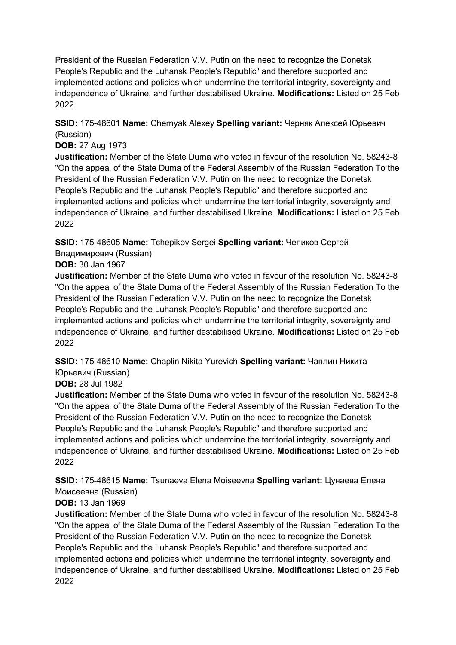**SSID:** 175-48601 **Name:** Chernyak Alexey **Spelling variant:** Черняк Алексей Юрьевич (Russian)

#### **DOB:** 27 Aug 1973

**Justification:** Member of the State Duma who voted in favour of the resolution No. 58243-8 "On the appeal of the State Duma of the Federal Assembly of the Russian Federation To the President of the Russian Federation V.V. Putin on the need to recognize the Donetsk People's Republic and the Luhansk People's Republic" and therefore supported and implemented actions and policies which undermine the territorial integrity, sovereignty and independence of Ukraine, and further destabilised Ukraine. **Modifications:** Listed on 25 Feb 2022

**SSID:** 175-48605 **Name:** Tchepikov Sergei **Spelling variant:** Чепиков Сергей Владимирович (Russian)

#### **DOB:** 30 Jan 1967

**Justification:** Member of the State Duma who voted in favour of the resolution No. 58243-8 "On the appeal of the State Duma of the Federal Assembly of the Russian Federation To the President of the Russian Federation V.V. Putin on the need to recognize the Donetsk People's Republic and the Luhansk People's Republic" and therefore supported and implemented actions and policies which undermine the territorial integrity, sovereignty and independence of Ukraine, and further destabilised Ukraine. **Modifications:** Listed on 25 Feb 2022

**SSID:** 175-48610 **Name:** Chaplin Nikita Yurevich **Spelling variant:** Чаплин Никита Юрьевич (Russian)

#### **DOB:** 28 Jul 1982

**Justification:** Member of the State Duma who voted in favour of the resolution No. 58243-8 "On the appeal of the State Duma of the Federal Assembly of the Russian Federation To the President of the Russian Federation V.V. Putin on the need to recognize the Donetsk People's Republic and the Luhansk People's Republic" and therefore supported and implemented actions and policies which undermine the territorial integrity, sovereignty and independence of Ukraine, and further destabilised Ukraine. **Modifications:** Listed on 25 Feb 2022

**SSID:** 175-48615 **Name:** Tsunaeva Elena Moiseevna **Spelling variant:** Цунаева Елена Моисеевна (Russian)

## **DOB:** 13 Jan 1969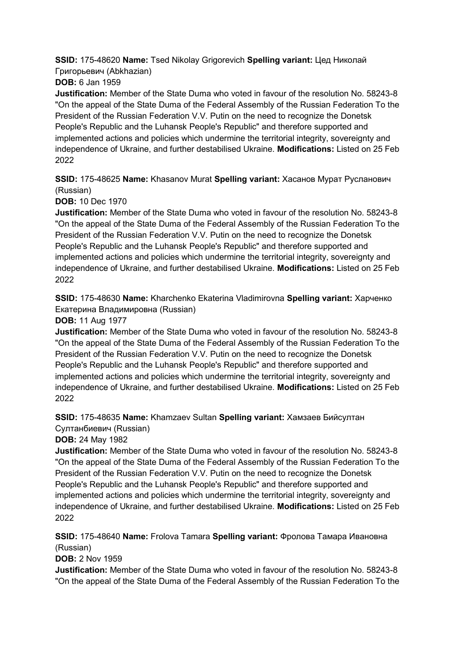**SSID:** 175-48620 **Name:** Tsed Nikolay Grigorevich **Spelling variant:** Цед Николай Григорьевич (Abkhazian)

**DOB:** 6 Jan 1959

**Justification:** Member of the State Duma who voted in favour of the resolution No. 58243-8 "On the appeal of the State Duma of the Federal Assembly of the Russian Federation To the President of the Russian Federation V.V. Putin on the need to recognize the Donetsk People's Republic and the Luhansk People's Republic" and therefore supported and implemented actions and policies which undermine the territorial integrity, sovereignty and independence of Ukraine, and further destabilised Ukraine. **Modifications:** Listed on 25 Feb 2022

**SSID:** 175-48625 **Name:** Khasanov Murat **Spelling variant:** Хасанов Мурат Русланович (Russian)

**DOB:** 10 Dec 1970

**Justification:** Member of the State Duma who voted in favour of the resolution No. 58243-8 "On the appeal of the State Duma of the Federal Assembly of the Russian Federation To the President of the Russian Federation V.V. Putin on the need to recognize the Donetsk People's Republic and the Luhansk People's Republic" and therefore supported and implemented actions and policies which undermine the territorial integrity, sovereignty and independence of Ukraine, and further destabilised Ukraine. **Modifications:** Listed on 25 Feb 2022

**SSID:** 175-48630 **Name:** Kharchenko Ekaterina Vladimirovna **Spelling variant:** Харченко Екатерина Владимировна (Russian)

**DOB:** 11 Aug 1977

**Justification:** Member of the State Duma who voted in favour of the resolution No. 58243-8 "On the appeal of the State Duma of the Federal Assembly of the Russian Federation To the President of the Russian Federation V.V. Putin on the need to recognize the Donetsk People's Republic and the Luhansk People's Republic" and therefore supported and implemented actions and policies which undermine the territorial integrity, sovereignty and independence of Ukraine, and further destabilised Ukraine. **Modifications:** Listed on 25 Feb 2022

**SSID:** 175-48635 **Name:** Khamzaev Sultan **Spelling variant:** Хамзаев Бийсултан Султанбиевич (Russian)

**DOB:** 24 May 1982

**Justification:** Member of the State Duma who voted in favour of the resolution No. 58243-8 "On the appeal of the State Duma of the Federal Assembly of the Russian Federation To the President of the Russian Federation V.V. Putin on the need to recognize the Donetsk People's Republic and the Luhansk People's Republic" and therefore supported and implemented actions and policies which undermine the territorial integrity, sovereignty and independence of Ukraine, and further destabilised Ukraine. **Modifications:** Listed on 25 Feb 2022

**SSID:** 175-48640 **Name:** Frolova Tamara **Spelling variant:** Фролова Тамара Ивановна (Russian)

**DOB:** 2 Nov 1959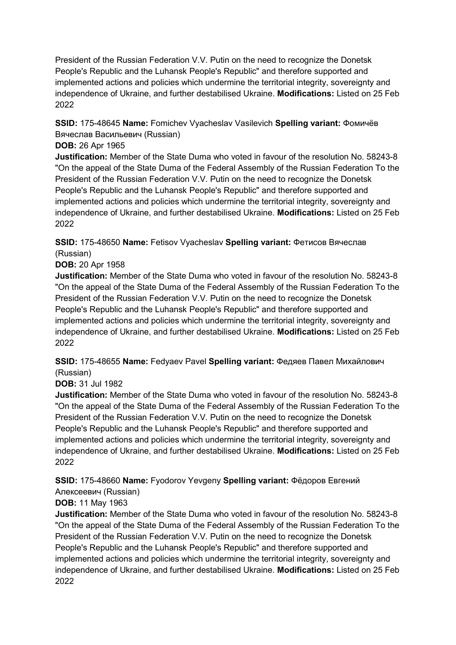**SSID:** 175-48645 **Name:** Fomichev Vyacheslav Vasilevich **Spelling variant:** Фомичёв Вячеслав Васильевич (Russian)

#### **DOB:** 26 Apr 1965

**Justification:** Member of the State Duma who voted in favour of the resolution No. 58243-8 "On the appeal of the State Duma of the Federal Assembly of the Russian Federation To the President of the Russian Federation V.V. Putin on the need to recognize the Donetsk People's Republic and the Luhansk People's Republic" and therefore supported and implemented actions and policies which undermine the territorial integrity, sovereignty and independence of Ukraine, and further destabilised Ukraine. **Modifications:** Listed on 25 Feb 2022

**SSID:** 175-48650 **Name:** Fetisov Vyacheslav **Spelling variant:** Фетисов Вячеслав (Russian)

**DOB:** 20 Apr 1958

**Justification:** Member of the State Duma who voted in favour of the resolution No. 58243-8 "On the appeal of the State Duma of the Federal Assembly of the Russian Federation To the President of the Russian Federation V.V. Putin on the need to recognize the Donetsk People's Republic and the Luhansk People's Republic" and therefore supported and implemented actions and policies which undermine the territorial integrity, sovereignty and independence of Ukraine, and further destabilised Ukraine. **Modifications:** Listed on 25 Feb 2022

**SSID:** 175-48655 **Name:** Fedyaev Pavel **Spelling variant:** Федяев Павел Михайлович (Russian)

**DOB:** 31 Jul 1982

**Justification:** Member of the State Duma who voted in favour of the resolution No. 58243-8 "On the appeal of the State Duma of the Federal Assembly of the Russian Federation To the President of the Russian Federation V.V. Putin on the need to recognize the Donetsk People's Republic and the Luhansk People's Republic" and therefore supported and implemented actions and policies which undermine the territorial integrity, sovereignty and independence of Ukraine, and further destabilised Ukraine. **Modifications:** Listed on 25 Feb 2022

**SSID:** 175-48660 **Name:** Fyodorov Yevgeny **Spelling variant:** Фёдоров Евгений

Алексеевич (Russian)

**DOB:** 11 May 1963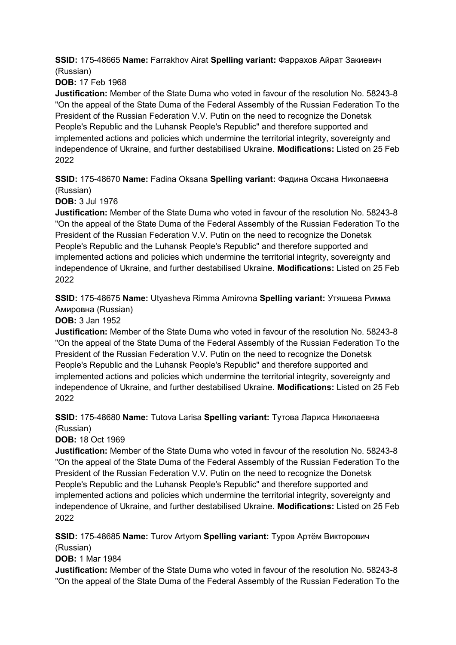**SSID:** 175-48665 **Name:** Farrakhov Airat **Spelling variant:** Фаррахов Айрат Закиевич (Russian)

**DOB:** 17 Feb 1968

**Justification:** Member of the State Duma who voted in favour of the resolution No. 58243-8 "On the appeal of the State Duma of the Federal Assembly of the Russian Federation To the President of the Russian Federation V.V. Putin on the need to recognize the Donetsk People's Republic and the Luhansk People's Republic" and therefore supported and implemented actions and policies which undermine the territorial integrity, sovereignty and independence of Ukraine, and further destabilised Ukraine. **Modifications:** Listed on 25 Feb 2022

**SSID:** 175-48670 **Name:** Fadina Oksana **Spelling variant:** Фадина Оксана Николаевна (Russian)

**DOB:** 3 Jul 1976

**Justification:** Member of the State Duma who voted in favour of the resolution No. 58243-8 "On the appeal of the State Duma of the Federal Assembly of the Russian Federation To the President of the Russian Federation V.V. Putin on the need to recognize the Donetsk People's Republic and the Luhansk People's Republic" and therefore supported and implemented actions and policies which undermine the territorial integrity, sovereignty and independence of Ukraine, and further destabilised Ukraine. **Modifications:** Listed on 25 Feb 2022

**SSID:** 175-48675 **Name:** Utyasheva Rimma Amirovna **Spelling variant:** Утяшева Римма Амировна (Russian)

**DOB:** 3 Jan 1952

**Justification:** Member of the State Duma who voted in favour of the resolution No. 58243-8 "On the appeal of the State Duma of the Federal Assembly of the Russian Federation To the President of the Russian Federation V.V. Putin on the need to recognize the Donetsk People's Republic and the Luhansk People's Republic" and therefore supported and implemented actions and policies which undermine the territorial integrity, sovereignty and independence of Ukraine, and further destabilised Ukraine. **Modifications:** Listed on 25 Feb 2022

#### **SSID:** 175-48680 **Name:** Tutova Larisa **Spelling variant:** Тутова Лариса Николаевна (Russian)

**DOB:** 18 Oct 1969

**Justification:** Member of the State Duma who voted in favour of the resolution No. 58243-8 "On the appeal of the State Duma of the Federal Assembly of the Russian Federation To the President of the Russian Federation V.V. Putin on the need to recognize the Donetsk People's Republic and the Luhansk People's Republic" and therefore supported and implemented actions and policies which undermine the territorial integrity, sovereignty and independence of Ukraine, and further destabilised Ukraine. **Modifications:** Listed on 25 Feb 2022

#### **SSID:** 175-48685 **Name:** Turov Artyom **Spelling variant:** Туров Артём Викторович (Russian)

**DOB:** 1 Mar 1984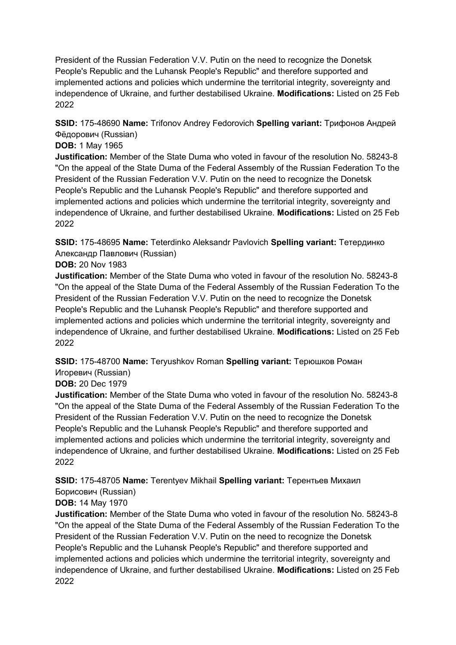**SSID:** 175-48690 **Name:** Trifonov Andrey Fedorovich **Spelling variant:** Трифонов Андрей Фёдорович (Russian)

#### **DOB:** 1 May 1965

**Justification:** Member of the State Duma who voted in favour of the resolution No. 58243-8 "On the appeal of the State Duma of the Federal Assembly of the Russian Federation To the President of the Russian Federation V.V. Putin on the need to recognize the Donetsk People's Republic and the Luhansk People's Republic" and therefore supported and implemented actions and policies which undermine the territorial integrity, sovereignty and independence of Ukraine, and further destabilised Ukraine. **Modifications:** Listed on 25 Feb 2022

**SSID:** 175-48695 **Name:** Teterdinko Aleksandr Pavlovich **Spelling variant:** Тетердинко Александр Павлович (Russian)

**DOB:** 20 Nov 1983

**Justification:** Member of the State Duma who voted in favour of the resolution No. 58243-8 "On the appeal of the State Duma of the Federal Assembly of the Russian Federation To the President of the Russian Federation V.V. Putin on the need to recognize the Donetsk People's Republic and the Luhansk People's Republic" and therefore supported and implemented actions and policies which undermine the territorial integrity, sovereignty and independence of Ukraine, and further destabilised Ukraine. **Modifications:** Listed on 25 Feb 2022

**SSID:** 175-48700 **Name:** Teryushkov Roman **Spelling variant:** Терюшков Роман Игоревич (Russian)

## **DOB:** 20 Dec 1979

**Justification:** Member of the State Duma who voted in favour of the resolution No. 58243-8 "On the appeal of the State Duma of the Federal Assembly of the Russian Federation To the President of the Russian Federation V.V. Putin on the need to recognize the Donetsk People's Republic and the Luhansk People's Republic" and therefore supported and implemented actions and policies which undermine the territorial integrity, sovereignty and independence of Ukraine, and further destabilised Ukraine. **Modifications:** Listed on 25 Feb 2022

**SSID:** 175-48705 **Name:** Terentyev Mikhail **Spelling variant:** Терентьев Михаил

#### Борисович (Russian) **DOB:** 14 May 1970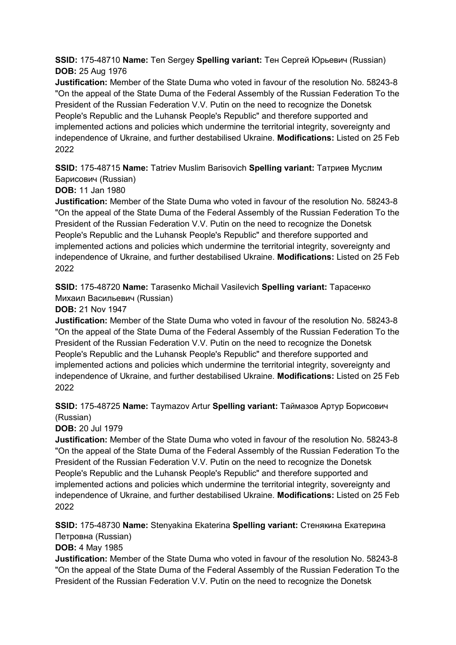**SSID:** 175-48710 **Name:** Ten Sergey **Spelling variant:** Тен Сергей Юрьевич (Russian) **DOB:** 25 Aug 1976

**Justification:** Member of the State Duma who voted in favour of the resolution No. 58243-8 "On the appeal of the State Duma of the Federal Assembly of the Russian Federation To the President of the Russian Federation V.V. Putin on the need to recognize the Donetsk People's Republic and the Luhansk People's Republic" and therefore supported and implemented actions and policies which undermine the territorial integrity, sovereignty and independence of Ukraine, and further destabilised Ukraine. **Modifications:** Listed on 25 Feb 2022

**SSID:** 175-48715 **Name:** Tatriev Muslim Barisovich **Spelling variant:** Татриев Муслим Барисович (Russian)

**DOB:** 11 Jan 1980

**Justification:** Member of the State Duma who voted in favour of the resolution No. 58243-8 "On the appeal of the State Duma of the Federal Assembly of the Russian Federation To the President of the Russian Federation V.V. Putin on the need to recognize the Donetsk People's Republic and the Luhansk People's Republic" and therefore supported and implemented actions and policies which undermine the territorial integrity, sovereignty and independence of Ukraine, and further destabilised Ukraine. **Modifications:** Listed on 25 Feb 2022

**SSID:** 175-48720 **Name:** Tarasenko Michail Vasilevich **Spelling variant:** Тарасенко Михаил Васильевич (Russian)

**DOB:** 21 Nov 1947

**Justification:** Member of the State Duma who voted in favour of the resolution No. 58243-8 "On the appeal of the State Duma of the Federal Assembly of the Russian Federation To the President of the Russian Federation V.V. Putin on the need to recognize the Donetsk People's Republic and the Luhansk People's Republic" and therefore supported and implemented actions and policies which undermine the territorial integrity, sovereignty and independence of Ukraine, and further destabilised Ukraine. **Modifications:** Listed on 25 Feb 2022

**SSID:** 175-48725 **Name:** Taymazov Artur **Spelling variant:** Таймазов Артур Борисович (Russian)

**DOB:** 20 Jul 1979

**Justification:** Member of the State Duma who voted in favour of the resolution No. 58243-8 "On the appeal of the State Duma of the Federal Assembly of the Russian Federation To the President of the Russian Federation V.V. Putin on the need to recognize the Donetsk People's Republic and the Luhansk People's Republic" and therefore supported and implemented actions and policies which undermine the territorial integrity, sovereignty and independence of Ukraine, and further destabilised Ukraine. **Modifications:** Listed on 25 Feb 2022

**SSID:** 175-48730 **Name:** Stenyakina Ekaterina **Spelling variant:** Стенякина Екатерина Петровна (Russian)

**DOB:** 4 May 1985

**Justification:** Member of the State Duma who voted in favour of the resolution No. 58243-8 "On the appeal of the State Duma of the Federal Assembly of the Russian Federation To the President of the Russian Federation V.V. Putin on the need to recognize the Donetsk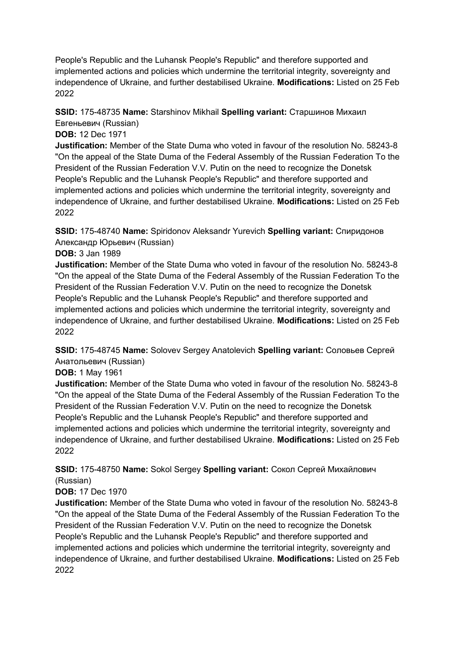People's Republic and the Luhansk People's Republic" and therefore supported and implemented actions and policies which undermine the territorial integrity, sovereignty and independence of Ukraine, and further destabilised Ukraine. **Modifications:** Listed on 25 Feb 2022

#### **SSID:** 175-48735 **Name:** Starshinov Mikhail **Spelling variant:** Старшинов Михаил Евгеньевич (Russian)

**DOB:** 12 Dec 1971

**Justification:** Member of the State Duma who voted in favour of the resolution No. 58243-8 "On the appeal of the State Duma of the Federal Assembly of the Russian Federation To the President of the Russian Federation V.V. Putin on the need to recognize the Donetsk People's Republic and the Luhansk People's Republic" and therefore supported and implemented actions and policies which undermine the territorial integrity, sovereignty and independence of Ukraine, and further destabilised Ukraine. **Modifications:** Listed on 25 Feb 2022

**SSID:** 175-48740 **Name:** Spiridonov Aleksandr Yurevich **Spelling variant:** Спиридонов Александр Юрьевич (Russian)

#### **DOB:** 3 Jan 1989

**Justification:** Member of the State Duma who voted in favour of the resolution No. 58243-8 "On the appeal of the State Duma of the Federal Assembly of the Russian Federation To the President of the Russian Federation V.V. Putin on the need to recognize the Donetsk People's Republic and the Luhansk People's Republic" and therefore supported and implemented actions and policies which undermine the territorial integrity, sovereignty and independence of Ukraine, and further destabilised Ukraine. **Modifications:** Listed on 25 Feb 2022

**SSID:** 175-48745 **Name:** Solovev Sergey Anatolevich **Spelling variant:** Соловьев Сергей Анатольевич (Russian)

**DOB:** 1 May 1961

**Justification:** Member of the State Duma who voted in favour of the resolution No. 58243-8 "On the appeal of the State Duma of the Federal Assembly of the Russian Federation To the President of the Russian Federation V.V. Putin on the need to recognize the Donetsk People's Republic and the Luhansk People's Republic" and therefore supported and implemented actions and policies which undermine the territorial integrity, sovereignty and independence of Ukraine, and further destabilised Ukraine. **Modifications:** Listed on 25 Feb 2022

**SSID:** 175-48750 **Name:** Sokol Sergey **Spelling variant:** Сокол Сергей Михайлович (Russian)

## **DOB:** 17 Dec 1970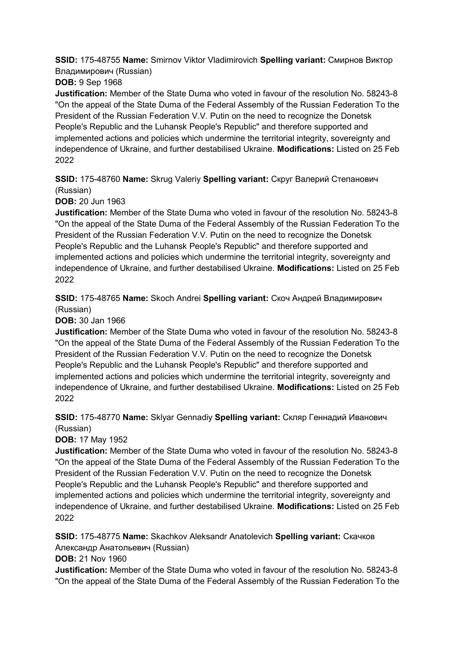**SSID:** 175-48755 **Name:** Smirnov Viktor Vladimirovich **Spelling variant:** Смирнов Виктор Владимирович (Russian)

**DOB:** 9 Sep 1968

**Justification:** Member of the State Duma who voted in favour of the resolution No. 58243-8 "On the appeal of the State Duma of the Federal Assembly of the Russian Federation To the President of the Russian Federation V.V. Putin on the need to recognize the Donetsk People's Republic and the Luhansk People's Republic" and therefore supported and implemented actions and policies which undermine the territorial integrity, sovereignty and independence of Ukraine, and further destabilised Ukraine. **Modifications:** Listed on 25 Feb 2022

**SSID:** 175-48760 **Name:** Skrug Valeriy **Spelling variant:** Скруг Валерий Степанович (Russian)

**DOB:** 20 Jun 1963

**Justification:** Member of the State Duma who voted in favour of the resolution No. 58243-8 "On the appeal of the State Duma of the Federal Assembly of the Russian Federation To the President of the Russian Federation V.V. Putin on the need to recognize the Donetsk People's Republic and the Luhansk People's Republic" and therefore supported and implemented actions and policies which undermine the territorial integrity, sovereignty and independence of Ukraine, and further destabilised Ukraine. **Modifications:** Listed on 25 Feb 2022

**SSID:** 175-48765 **Name:** Skoch Andrei **Spelling variant:** Скоч Андрей Владимирович (Russian)

**DOB:** 30 Jan 1966

**Justification:** Member of the State Duma who voted in favour of the resolution No. 58243-8 "On the appeal of the State Duma of the Federal Assembly of the Russian Federation To the President of the Russian Federation V.V. Putin on the need to recognize the Donetsk People's Republic and the Luhansk People's Republic" and therefore supported and implemented actions and policies which undermine the territorial integrity, sovereignty and independence of Ukraine, and further destabilised Ukraine. **Modifications:** Listed on 25 Feb 2022

**SSID:** 175-48770 **Name:** Sklyar Gennadiy **Spelling variant:** Скляр Геннадий Иванович (Russian)

**DOB:** 17 May 1952

**Justification:** Member of the State Duma who voted in favour of the resolution No. 58243-8 "On the appeal of the State Duma of the Federal Assembly of the Russian Federation To the President of the Russian Federation V.V. Putin on the need to recognize the Donetsk People's Republic and the Luhansk People's Republic" and therefore supported and implemented actions and policies which undermine the territorial integrity, sovereignty and independence of Ukraine, and further destabilised Ukraine. **Modifications:** Listed on 25 Feb 2022

**SSID:** 175-48775 **Name:** Skachkov Aleksandr Anatolevich **Spelling variant:** Скачков Александр Анатольевич (Russian)

**DOB:** 21 Nov 1960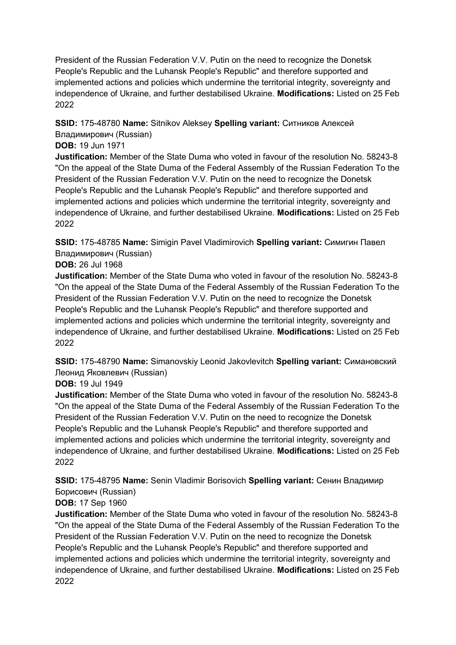**SSID:** 175-48780 **Name:** Sitnikov Aleksey **Spelling variant:** Ситников Алексей Владимирович (Russian)

### **DOB:** 19 Jun 1971

**Justification:** Member of the State Duma who voted in favour of the resolution No. 58243-8 "On the appeal of the State Duma of the Federal Assembly of the Russian Federation To the President of the Russian Federation V.V. Putin on the need to recognize the Donetsk People's Republic and the Luhansk People's Republic" and therefore supported and implemented actions and policies which undermine the territorial integrity, sovereignty and independence of Ukraine, and further destabilised Ukraine. **Modifications:** Listed on 25 Feb 2022

**SSID:** 175-48785 **Name:** Simigin Pavel Vladimirovich **Spelling variant:** Симигин Павел Владимирович (Russian)

**DOB:** 26 Jul 1968

**Justification:** Member of the State Duma who voted in favour of the resolution No. 58243-8 "On the appeal of the State Duma of the Federal Assembly of the Russian Federation To the President of the Russian Federation V.V. Putin on the need to recognize the Donetsk People's Republic and the Luhansk People's Republic" and therefore supported and implemented actions and policies which undermine the territorial integrity, sovereignty and independence of Ukraine, and further destabilised Ukraine. **Modifications:** Listed on 25 Feb 2022

**SSID:** 175-48790 **Name:** Simanovskiy Leonid Jakovlevitch **Spelling variant:** Симановский Леонид Яковлевич (Russian)

#### **DOB:** 19 Jul 1949

**Justification:** Member of the State Duma who voted in favour of the resolution No. 58243-8 "On the appeal of the State Duma of the Federal Assembly of the Russian Federation To the President of the Russian Federation V.V. Putin on the need to recognize the Donetsk People's Republic and the Luhansk People's Republic" and therefore supported and implemented actions and policies which undermine the territorial integrity, sovereignty and independence of Ukraine, and further destabilised Ukraine. **Modifications:** Listed on 25 Feb 2022

**SSID:** 175-48795 **Name:** Senin Vladimir Borisovich **Spelling variant:** Сенин Владимир Борисович (Russian)

### **DOB:** 17 Sep 1960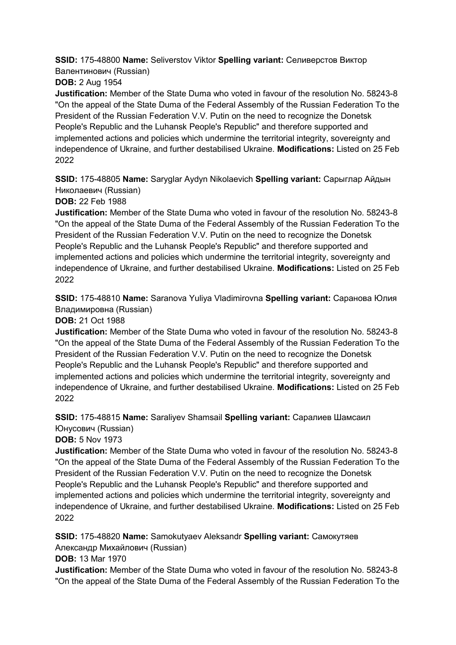**SSID:** 175-48800 **Name:** Seliverstov Viktor **Spelling variant:** Селиверстов Виктор Валентинович (Russian)

**DOB:** 2 Aug 1954

**Justification:** Member of the State Duma who voted in favour of the resolution No. 58243-8 "On the appeal of the State Duma of the Federal Assembly of the Russian Federation To the President of the Russian Federation V.V. Putin on the need to recognize the Donetsk People's Republic and the Luhansk People's Republic" and therefore supported and implemented actions and policies which undermine the territorial integrity, sovereignty and independence of Ukraine, and further destabilised Ukraine. **Modifications:** Listed on 25 Feb 2022

**SSID:** 175-48805 **Name:** Saryglar Aydyn Nikolaevich **Spelling variant:** Сарыглар Айдын Николаевич (Russian)

**DOB:** 22 Feb 1988

**Justification:** Member of the State Duma who voted in favour of the resolution No. 58243-8 "On the appeal of the State Duma of the Federal Assembly of the Russian Federation To the President of the Russian Federation V.V. Putin on the need to recognize the Donetsk People's Republic and the Luhansk People's Republic" and therefore supported and implemented actions and policies which undermine the territorial integrity, sovereignty and independence of Ukraine, and further destabilised Ukraine. **Modifications:** Listed on 25 Feb 2022

**SSID:** 175-48810 **Name:** Saranova Yuliya Vladimirovna **Spelling variant:** Саранова Юлия Владимировна (Russian)

**DOB:** 21 Oct 1988

**Justification:** Member of the State Duma who voted in favour of the resolution No. 58243-8 "On the appeal of the State Duma of the Federal Assembly of the Russian Federation To the President of the Russian Federation V.V. Putin on the need to recognize the Donetsk People's Republic and the Luhansk People's Republic" and therefore supported and implemented actions and policies which undermine the territorial integrity, sovereignty and independence of Ukraine, and further destabilised Ukraine. **Modifications:** Listed on 25 Feb 2022

**SSID:** 175-48815 **Name:** Saraliyev Shamsail **Spelling variant:** Саралиев Шамсаил Юнусович (Russian)

**DOB:** 5 Nov 1973

**Justification:** Member of the State Duma who voted in favour of the resolution No. 58243-8 "On the appeal of the State Duma of the Federal Assembly of the Russian Federation To the President of the Russian Federation V.V. Putin on the need to recognize the Donetsk People's Republic and the Luhansk People's Republic" and therefore supported and implemented actions and policies which undermine the territorial integrity, sovereignty and independence of Ukraine, and further destabilised Ukraine. **Modifications:** Listed on 25 Feb 2022

**SSID:** 175-48820 **Name:** Samokutyaev Aleksandr **Spelling variant:** Самокутяев Александр Михайлович (Russian)

**DOB:** 13 Mar 1970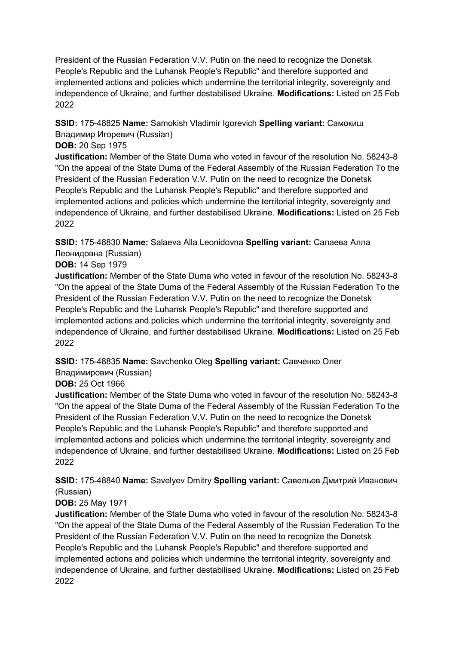**SSID:** 175-48825 **Name:** Samokish Vladimir Igorevich **Spelling variant:** Самокиш Владимир Игоревич (Russian)

#### **DOB:** 20 Sep 1975

**Justification:** Member of the State Duma who voted in favour of the resolution No. 58243-8 "On the appeal of the State Duma of the Federal Assembly of the Russian Federation To the President of the Russian Federation V.V. Putin on the need to recognize the Donetsk People's Republic and the Luhansk People's Republic" and therefore supported and implemented actions and policies which undermine the territorial integrity, sovereignty and independence of Ukraine, and further destabilised Ukraine. **Modifications:** Listed on 25 Feb 2022

**SSID:** 175-48830 **Name:** Salaeva Alla Leonidovna **Spelling variant:** Салаева Алла Леонидовна (Russian)

**DOB:** 14 Sep 1979

**Justification:** Member of the State Duma who voted in favour of the resolution No. 58243-8 "On the appeal of the State Duma of the Federal Assembly of the Russian Federation To the President of the Russian Federation V.V. Putin on the need to recognize the Donetsk People's Republic and the Luhansk People's Republic" and therefore supported and implemented actions and policies which undermine the territorial integrity, sovereignty and independence of Ukraine, and further destabilised Ukraine. **Modifications:** Listed on 25 Feb 2022

**SSID:** 175-48835 **Name:** Savchenko Oleg **Spelling variant:** Савченко Олег

Владимирович (Russian)

## **DOB:** 25 Oct 1966

**Justification:** Member of the State Duma who voted in favour of the resolution No. 58243-8 "On the appeal of the State Duma of the Federal Assembly of the Russian Federation To the President of the Russian Federation V.V. Putin on the need to recognize the Donetsk People's Republic and the Luhansk People's Republic" and therefore supported and implemented actions and policies which undermine the territorial integrity, sovereignty and independence of Ukraine, and further destabilised Ukraine. **Modifications:** Listed on 25 Feb 2022

**SSID:** 175-48840 **Name:** Savelyev Dmitry **Spelling variant:** Савельев Дмитрий Иванович (Russian)

### **DOB:** 25 May 1971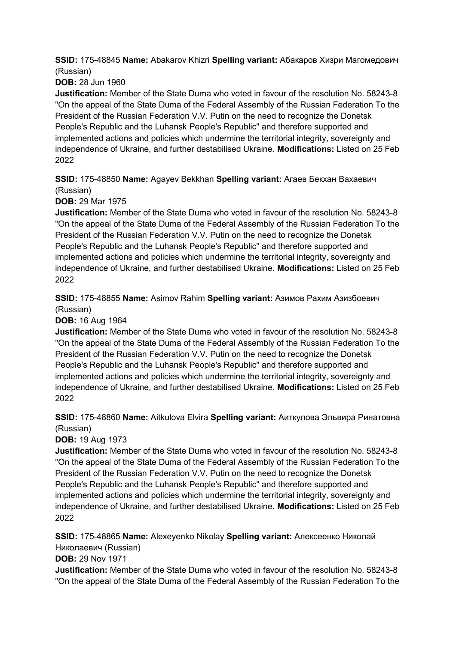**SSID:** 175-48845 **Name:** Abakarov Khizri **Spelling variant:** Абакаров Хизри Магомедович (Russian)

**DOB:** 28 Jun 1960

**Justification:** Member of the State Duma who voted in favour of the resolution No. 58243-8 "On the appeal of the State Duma of the Federal Assembly of the Russian Federation To the President of the Russian Federation V.V. Putin on the need to recognize the Donetsk People's Republic and the Luhansk People's Republic" and therefore supported and implemented actions and policies which undermine the territorial integrity, sovereignty and independence of Ukraine, and further destabilised Ukraine. **Modifications:** Listed on 25 Feb 2022

**SSID:** 175-48850 **Name:** Agayev Bekkhan **Spelling variant:** Агаев Бекхан Вахаевич (Russian)

**DOB:** 29 Mar 1975

**Justification:** Member of the State Duma who voted in favour of the resolution No. 58243-8 "On the appeal of the State Duma of the Federal Assembly of the Russian Federation To the President of the Russian Federation V.V. Putin on the need to recognize the Donetsk People's Republic and the Luhansk People's Republic" and therefore supported and implemented actions and policies which undermine the territorial integrity, sovereignty and independence of Ukraine, and further destabilised Ukraine. **Modifications:** Listed on 25 Feb 2022

**SSID:** 175-48855 **Name:** Asimov Rahim **Spelling variant:** Азимов Рахим Азизбоевич (Russian)

**DOB:** 16 Aug 1964

**Justification:** Member of the State Duma who voted in favour of the resolution No. 58243-8 "On the appeal of the State Duma of the Federal Assembly of the Russian Federation To the President of the Russian Federation V.V. Putin on the need to recognize the Donetsk People's Republic and the Luhansk People's Republic" and therefore supported and implemented actions and policies which undermine the territorial integrity, sovereignty and independence of Ukraine, and further destabilised Ukraine. **Modifications:** Listed on 25 Feb 2022

**SSID:** 175-48860 **Name:** Aitkulova Elvira **Spelling variant:** Аиткулова Эльвира Ринатовна (Russian)

**DOB:** 19 Aug 1973

**Justification:** Member of the State Duma who voted in favour of the resolution No. 58243-8 "On the appeal of the State Duma of the Federal Assembly of the Russian Federation To the President of the Russian Federation V.V. Putin on the need to recognize the Donetsk People's Republic and the Luhansk People's Republic" and therefore supported and implemented actions and policies which undermine the territorial integrity, sovereignty and independence of Ukraine, and further destabilised Ukraine. **Modifications:** Listed on 25 Feb 2022

**SSID:** 175-48865 **Name:** Alexeyenko Nikolay **Spelling variant:** Алексеенко Николай Николаевич (Russian)

**DOB:** 29 Nov 1971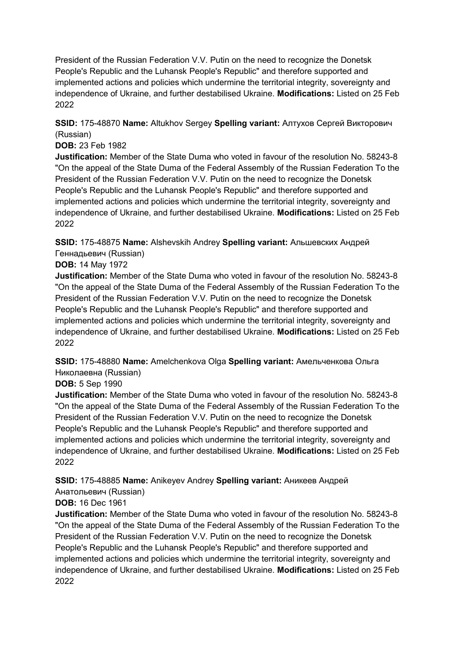**SSID:** 175-48870 **Name:** Altukhov Sergey **Spelling variant:** Алтухов Сергей Викторович (Russian)

#### **DOB:** 23 Feb 1982

**Justification:** Member of the State Duma who voted in favour of the resolution No. 58243-8 "On the appeal of the State Duma of the Federal Assembly of the Russian Federation To the President of the Russian Federation V.V. Putin on the need to recognize the Donetsk People's Republic and the Luhansk People's Republic" and therefore supported and implemented actions and policies which undermine the territorial integrity, sovereignty and independence of Ukraine, and further destabilised Ukraine. **Modifications:** Listed on 25 Feb 2022

**SSID:** 175-48875 **Name:** Alshevskih Andrey **Spelling variant:** Альшевских Андрей Геннадьевич (Russian)

#### **DOB:** 14 May 1972

**Justification:** Member of the State Duma who voted in favour of the resolution No. 58243-8 "On the appeal of the State Duma of the Federal Assembly of the Russian Federation To the President of the Russian Federation V.V. Putin on the need to recognize the Donetsk People's Republic and the Luhansk People's Republic" and therefore supported and implemented actions and policies which undermine the territorial integrity, sovereignty and independence of Ukraine, and further destabilised Ukraine. **Modifications:** Listed on 25 Feb 2022

**SSID:** 175-48880 **Name:** Amelchenkova Olga **Spelling variant:** Амельченкова Ольга Николаевна (Russian)

### **DOB:** 5 Sep 1990

**Justification:** Member of the State Duma who voted in favour of the resolution No. 58243-8 "On the appeal of the State Duma of the Federal Assembly of the Russian Federation To the President of the Russian Federation V.V. Putin on the need to recognize the Donetsk People's Republic and the Luhansk People's Republic" and therefore supported and implemented actions and policies which undermine the territorial integrity, sovereignty and independence of Ukraine, and further destabilised Ukraine. **Modifications:** Listed on 25 Feb 2022

### **SSID:** 175-48885 **Name:** Anikeyev Andrey **Spelling variant:** Аникеев Андрей

Анатольевич (Russian)

### **DOB:** 16 Dec 1961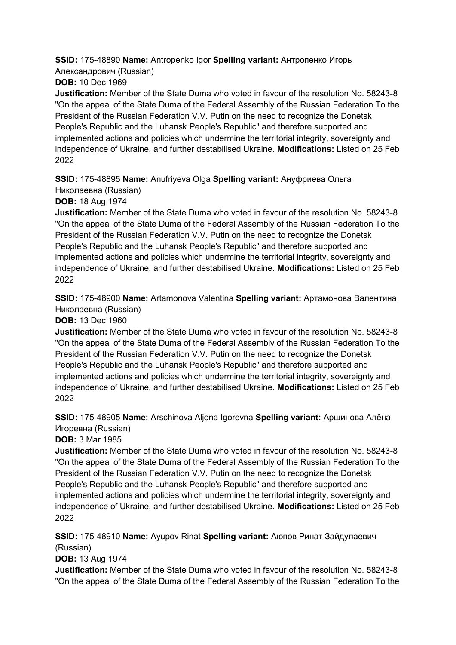**SSID:** 175-48890 **Name:** Antropenko Igor **Spelling variant:** Антропенко Игорь Александрович (Russian) **DOB:** 10 Dec 1969

**Justification:** Member of the State Duma who voted in favour of the resolution No. 58243-8 "On the appeal of the State Duma of the Federal Assembly of the Russian Federation To the President of the Russian Federation V.V. Putin on the need to recognize the Donetsk People's Republic and the Luhansk People's Republic" and therefore supported and implemented actions and policies which undermine the territorial integrity, sovereignty and independence of Ukraine, and further destabilised Ukraine. **Modifications:** Listed on 25 Feb 2022

**SSID:** 175-48895 **Name:** Anufriyeva Olga **Spelling variant:** Ануфриева Ольга

Николаевна (Russian)

**DOB:** 18 Aug 1974

**Justification:** Member of the State Duma who voted in favour of the resolution No. 58243-8 "On the appeal of the State Duma of the Federal Assembly of the Russian Federation To the President of the Russian Federation V.V. Putin on the need to recognize the Donetsk People's Republic and the Luhansk People's Republic" and therefore supported and implemented actions and policies which undermine the territorial integrity, sovereignty and independence of Ukraine, and further destabilised Ukraine. **Modifications:** Listed on 25 Feb 2022

**SSID:** 175-48900 **Name:** Artamonova Valentina **Spelling variant:** Артамонова Валентина Николаевна (Russian)

**DOB:** 13 Dec 1960

**Justification:** Member of the State Duma who voted in favour of the resolution No. 58243-8 "On the appeal of the State Duma of the Federal Assembly of the Russian Federation To the President of the Russian Federation V.V. Putin on the need to recognize the Donetsk People's Republic and the Luhansk People's Republic" and therefore supported and implemented actions and policies which undermine the territorial integrity, sovereignty and independence of Ukraine, and further destabilised Ukraine. **Modifications:** Listed on 25 Feb 2022

**SSID:** 175-48905 **Name:** Arschinova Aljona Igorevna **Spelling variant:** Аршинова Алёна Игоревна (Russian)

**DOB:** 3 Mar 1985

**Justification:** Member of the State Duma who voted in favour of the resolution No. 58243-8 "On the appeal of the State Duma of the Federal Assembly of the Russian Federation To the President of the Russian Federation V.V. Putin on the need to recognize the Donetsk People's Republic and the Luhansk People's Republic" and therefore supported and implemented actions and policies which undermine the territorial integrity, sovereignty and independence of Ukraine, and further destabilised Ukraine. **Modifications:** Listed on 25 Feb 2022

**SSID:** 175-48910 **Name:** Ayupov Rinat **Spelling variant:** Аюпов Ринат Зайдулаевич (Russian)

**DOB:** 13 Aug 1974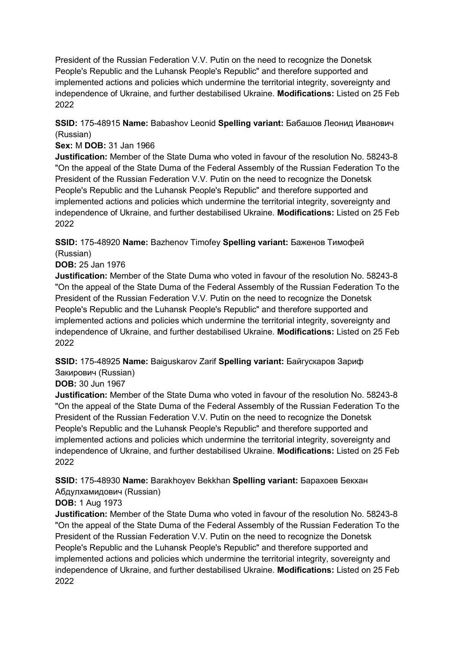**SSID:** 175-48915 **Name:** Babashov Leonid **Spelling variant:** Бабашов Леонид Иванович (Russian)

#### **Sex:** M **DOB:** 31 Jan 1966

**Justification:** Member of the State Duma who voted in favour of the resolution No. 58243-8 "On the appeal of the State Duma of the Federal Assembly of the Russian Federation To the President of the Russian Federation V.V. Putin on the need to recognize the Donetsk People's Republic and the Luhansk People's Republic" and therefore supported and implemented actions and policies which undermine the territorial integrity, sovereignty and independence of Ukraine, and further destabilised Ukraine. **Modifications:** Listed on 25 Feb 2022

### **SSID:** 175-48920 **Name:** Bazhenov Timofey **Spelling variant:** Баженов Тимофей (Russian)

**DOB:** 25 Jan 1976

**Justification:** Member of the State Duma who voted in favour of the resolution No. 58243-8 "On the appeal of the State Duma of the Federal Assembly of the Russian Federation To the President of the Russian Federation V.V. Putin on the need to recognize the Donetsk People's Republic and the Luhansk People's Republic" and therefore supported and implemented actions and policies which undermine the territorial integrity, sovereignty and independence of Ukraine, and further destabilised Ukraine. **Modifications:** Listed on 25 Feb 2022

**SSID:** 175-48925 **Name:** Baiguskarov Zarif **Spelling variant:** Байгускаров Зариф Закирович (Russian)

### **DOB:** 30 Jun 1967

**Justification:** Member of the State Duma who voted in favour of the resolution No. 58243-8 "On the appeal of the State Duma of the Federal Assembly of the Russian Federation To the President of the Russian Federation V.V. Putin on the need to recognize the Donetsk People's Republic and the Luhansk People's Republic" and therefore supported and implemented actions and policies which undermine the territorial integrity, sovereignty and independence of Ukraine, and further destabilised Ukraine. **Modifications:** Listed on 25 Feb 2022

**SSID:** 175-48930 **Name:** Barakhoyev Bekkhan **Spelling variant:** Барахоев Бекхан Абдулхамидович (Russian)

### **DOB:** 1 Aug 1973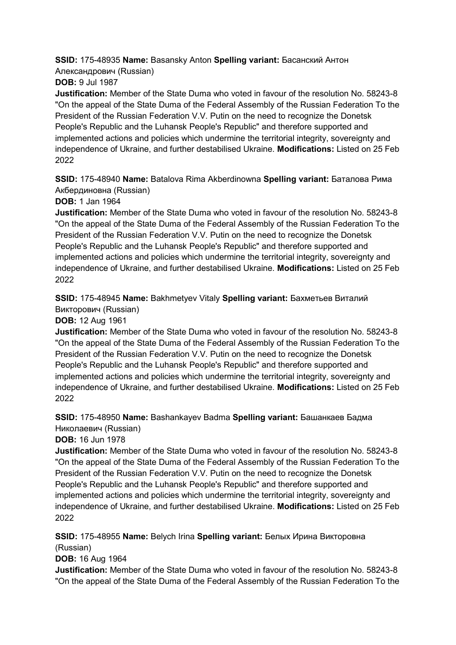**SSID:** 175-48935 **Name:** Basansky Anton **Spelling variant:** Басанский Антон Александрович (Russian)

**DOB:** 9 Jul 1987

**Justification:** Member of the State Duma who voted in favour of the resolution No. 58243-8 "On the appeal of the State Duma of the Federal Assembly of the Russian Federation To the President of the Russian Federation V.V. Putin on the need to recognize the Donetsk People's Republic and the Luhansk People's Republic" and therefore supported and implemented actions and policies which undermine the territorial integrity, sovereignty and independence of Ukraine, and further destabilised Ukraine. **Modifications:** Listed on 25 Feb 2022

**SSID:** 175-48940 **Name:** Batalova Rima Akberdinowna **Spelling variant:** Баталова Рима Акбердиновна (Russian)

**DOB:** 1 Jan 1964

**Justification:** Member of the State Duma who voted in favour of the resolution No. 58243-8 "On the appeal of the State Duma of the Federal Assembly of the Russian Federation To the President of the Russian Federation V.V. Putin on the need to recognize the Donetsk People's Republic and the Luhansk People's Republic" and therefore supported and implemented actions and policies which undermine the territorial integrity, sovereignty and independence of Ukraine, and further destabilised Ukraine. **Modifications:** Listed on 25 Feb 2022

**SSID:** 175-48945 **Name:** Bakhmetyev Vitaly **Spelling variant:** Бахметьев Виталий Викторович (Russian)

**DOB:** 12 Aug 1961

**Justification:** Member of the State Duma who voted in favour of the resolution No. 58243-8 "On the appeal of the State Duma of the Federal Assembly of the Russian Federation To the President of the Russian Federation V.V. Putin on the need to recognize the Donetsk People's Republic and the Luhansk People's Republic" and therefore supported and implemented actions and policies which undermine the territorial integrity, sovereignty and independence of Ukraine, and further destabilised Ukraine. **Modifications:** Listed on 25 Feb 2022

**SSID:** 175-48950 **Name:** Bashankayev Badma **Spelling variant:** Башанкаев Бадма Николаевич (Russian)

**DOB:** 16 Jun 1978

**Justification:** Member of the State Duma who voted in favour of the resolution No. 58243-8 "On the appeal of the State Duma of the Federal Assembly of the Russian Federation To the President of the Russian Federation V.V. Putin on the need to recognize the Donetsk People's Republic and the Luhansk People's Republic" and therefore supported and implemented actions and policies which undermine the territorial integrity, sovereignty and independence of Ukraine, and further destabilised Ukraine. **Modifications:** Listed on 25 Feb 2022

**SSID:** 175-48955 **Name:** Belych Irina **Spelling variant:** Белых Ирина Викторовна (Russian)

**DOB:** 16 Aug 1964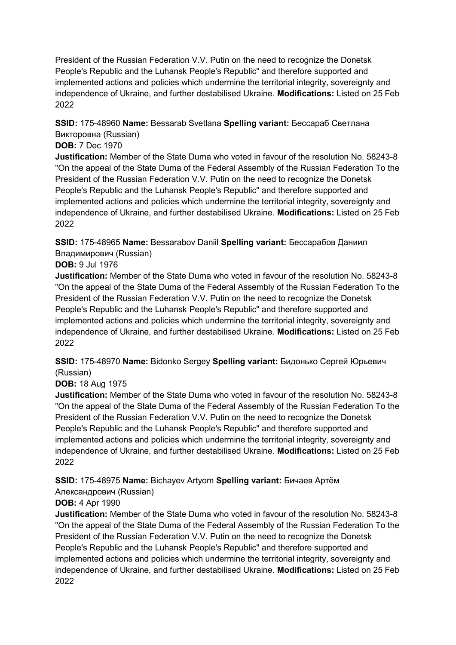### **SSID:** 175-48960 **Name:** Bessarab Svetlana **Spelling variant:** Бессараб Светлана Викторовна (Russian)

### **DOB:** 7 Dec 1970

**Justification:** Member of the State Duma who voted in favour of the resolution No. 58243-8 "On the appeal of the State Duma of the Federal Assembly of the Russian Federation To the President of the Russian Federation V.V. Putin on the need to recognize the Donetsk People's Republic and the Luhansk People's Republic" and therefore supported and implemented actions and policies which undermine the territorial integrity, sovereignty and independence of Ukraine, and further destabilised Ukraine. **Modifications:** Listed on 25 Feb 2022

## **SSID:** 175-48965 **Name:** Bessarabov Daniil **Spelling variant:** Бессарабов Даниил Владимирович (Russian)

### **DOB:** 9 Jul 1976

**Justification:** Member of the State Duma who voted in favour of the resolution No. 58243-8 "On the appeal of the State Duma of the Federal Assembly of the Russian Federation To the President of the Russian Federation V.V. Putin on the need to recognize the Donetsk People's Republic and the Luhansk People's Republic" and therefore supported and implemented actions and policies which undermine the territorial integrity, sovereignty and independence of Ukraine, and further destabilised Ukraine. **Modifications:** Listed on 25 Feb 2022

**SSID:** 175-48970 **Name:** Bidonko Sergey **Spelling variant:** Бидонько Сергей Юрьевич (Russian)

### **DOB:** 18 Aug 1975

**Justification:** Member of the State Duma who voted in favour of the resolution No. 58243-8 "On the appeal of the State Duma of the Federal Assembly of the Russian Federation To the President of the Russian Federation V.V. Putin on the need to recognize the Donetsk People's Republic and the Luhansk People's Republic" and therefore supported and implemented actions and policies which undermine the territorial integrity, sovereignty and independence of Ukraine, and further destabilised Ukraine. **Modifications:** Listed on 25 Feb 2022

### **SSID:** 175-48975 **Name:** Bichayev Artyom **Spelling variant:** Бичаев Артём

### Александрович (Russian)

### **DOB:** 4 Apr 1990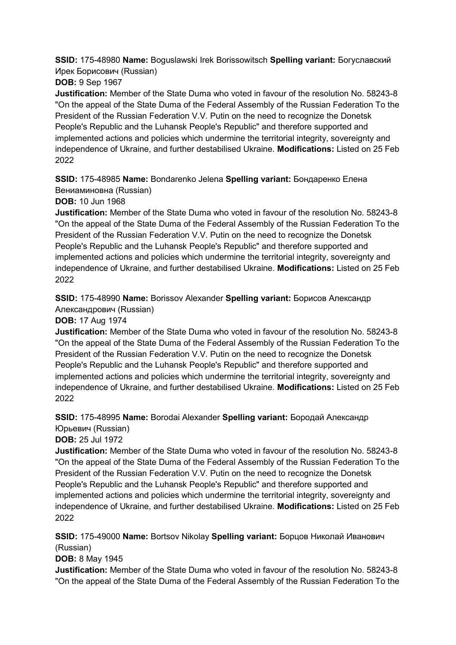**SSID:** 175-48980 **Name:** Boguslawski Irek Borissowitsch **Spelling variant:** Богуславский Ирек Борисович (Russian)

**DOB:** 9 Sep 1967

**Justification:** Member of the State Duma who voted in favour of the resolution No. 58243-8 "On the appeal of the State Duma of the Federal Assembly of the Russian Federation To the President of the Russian Federation V.V. Putin on the need to recognize the Donetsk People's Republic and the Luhansk People's Republic" and therefore supported and implemented actions and policies which undermine the territorial integrity, sovereignty and independence of Ukraine, and further destabilised Ukraine. **Modifications:** Listed on 25 Feb 2022

**SSID:** 175-48985 **Name:** Bondarenko Jelena **Spelling variant:** Бондаренко Елена Вениаминовна (Russian)

**DOB:** 10 Jun 1968

**Justification:** Member of the State Duma who voted in favour of the resolution No. 58243-8 "On the appeal of the State Duma of the Federal Assembly of the Russian Federation To the President of the Russian Federation V.V. Putin on the need to recognize the Donetsk People's Republic and the Luhansk People's Republic" and therefore supported and implemented actions and policies which undermine the territorial integrity, sovereignty and independence of Ukraine, and further destabilised Ukraine. **Modifications:** Listed on 25 Feb 2022

**SSID:** 175-48990 **Name:** Borissov Alexander **Spelling variant:** Борисов Александр Александрович (Russian)

**DOB:** 17 Aug 1974

**Justification:** Member of the State Duma who voted in favour of the resolution No. 58243-8 "On the appeal of the State Duma of the Federal Assembly of the Russian Federation To the President of the Russian Federation V.V. Putin on the need to recognize the Donetsk People's Republic and the Luhansk People's Republic" and therefore supported and implemented actions and policies which undermine the territorial integrity, sovereignty and independence of Ukraine, and further destabilised Ukraine. **Modifications:** Listed on 25 Feb 2022

**SSID:** 175-48995 **Name:** Borodai Alexander **Spelling variant:** Бородай Александр Юрьевич (Russian)

**DOB:** 25 Jul 1972

**Justification:** Member of the State Duma who voted in favour of the resolution No. 58243-8 "On the appeal of the State Duma of the Federal Assembly of the Russian Federation To the President of the Russian Federation V.V. Putin on the need to recognize the Donetsk People's Republic and the Luhansk People's Republic" and therefore supported and implemented actions and policies which undermine the territorial integrity, sovereignty and independence of Ukraine, and further destabilised Ukraine. **Modifications:** Listed on 25 Feb 2022

**SSID:** 175-49000 **Name:** Bortsov Nikolay **Spelling variant:** Борцов Николай Иванович (Russian)

**DOB:** 8 May 1945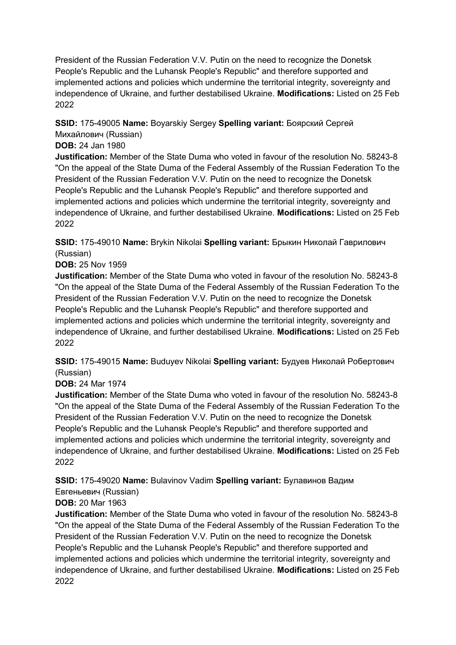**SSID:** 175-49005 **Name:** Boyarskiy Sergey **Spelling variant:** Боярский Сергей Михайлович (Russian)

### **DOB:** 24 Jan 1980

**Justification:** Member of the State Duma who voted in favour of the resolution No. 58243-8 "On the appeal of the State Duma of the Federal Assembly of the Russian Federation To the President of the Russian Federation V.V. Putin on the need to recognize the Donetsk People's Republic and the Luhansk People's Republic" and therefore supported and implemented actions and policies which undermine the territorial integrity, sovereignty and independence of Ukraine, and further destabilised Ukraine. **Modifications:** Listed on 25 Feb 2022

**SSID:** 175-49010 **Name:** Brykin Nikolai **Spelling variant:** Брыкин Николай Гаврилович (Russian)

**DOB:** 25 Nov 1959

**Justification:** Member of the State Duma who voted in favour of the resolution No. 58243-8 "On the appeal of the State Duma of the Federal Assembly of the Russian Federation To the President of the Russian Federation V.V. Putin on the need to recognize the Donetsk People's Republic and the Luhansk People's Republic" and therefore supported and implemented actions and policies which undermine the territorial integrity, sovereignty and independence of Ukraine, and further destabilised Ukraine. **Modifications:** Listed on 25 Feb 2022

**SSID:** 175-49015 **Name:** Buduyev Nikolai **Spelling variant:** Будуев Николай Робертович (Russian)

#### **DOB:** 24 Mar 1974

**Justification:** Member of the State Duma who voted in favour of the resolution No. 58243-8 "On the appeal of the State Duma of the Federal Assembly of the Russian Federation To the President of the Russian Federation V.V. Putin on the need to recognize the Donetsk People's Republic and the Luhansk People's Republic" and therefore supported and implemented actions and policies which undermine the territorial integrity, sovereignty and independence of Ukraine, and further destabilised Ukraine. **Modifications:** Listed on 25 Feb 2022

**SSID:** 175-49020 **Name:** Bulavinov Vadim **Spelling variant:** Булавинов Вадим

Евгеньевич (Russian)

### **DOB:** 20 Mar 1963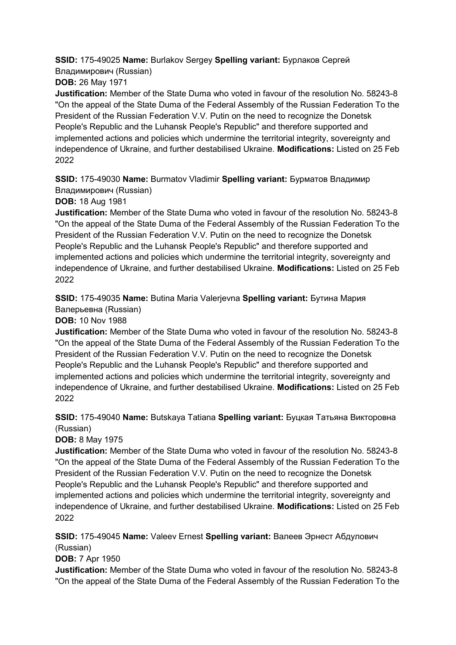**SSID:** 175-49025 **Name:** Burlakov Sergey **Spelling variant:** Бурлаков Сергей Владимирович (Russian)

**DOB:** 26 May 1971

**Justification:** Member of the State Duma who voted in favour of the resolution No. 58243-8 "On the appeal of the State Duma of the Federal Assembly of the Russian Federation To the President of the Russian Federation V.V. Putin on the need to recognize the Donetsk People's Republic and the Luhansk People's Republic" and therefore supported and implemented actions and policies which undermine the territorial integrity, sovereignty and independence of Ukraine, and further destabilised Ukraine. **Modifications:** Listed on 25 Feb 2022

**SSID:** 175-49030 **Name:** Burmatov Vladimir **Spelling variant:** Бурматов Владимир Владимирович (Russian)

**DOB:** 18 Aug 1981

**Justification:** Member of the State Duma who voted in favour of the resolution No. 58243-8 "On the appeal of the State Duma of the Federal Assembly of the Russian Federation To the President of the Russian Federation V.V. Putin on the need to recognize the Donetsk People's Republic and the Luhansk People's Republic" and therefore supported and implemented actions and policies which undermine the territorial integrity, sovereignty and independence of Ukraine, and further destabilised Ukraine. **Modifications:** Listed on 25 Feb 2022

**SSID:** 175-49035 **Name:** Butina Maria Valerjevna **Spelling variant:** Бутина Мария Валерьевна (Russian)

**DOB:** 10 Nov 1988

**Justification:** Member of the State Duma who voted in favour of the resolution No. 58243-8 "On the appeal of the State Duma of the Federal Assembly of the Russian Federation To the President of the Russian Federation V.V. Putin on the need to recognize the Donetsk People's Republic and the Luhansk People's Republic" and therefore supported and implemented actions and policies which undermine the territorial integrity, sovereignty and independence of Ukraine, and further destabilised Ukraine. **Modifications:** Listed on 25 Feb 2022

**SSID:** 175-49040 **Name:** Butskaya Tatiana **Spelling variant:** Буцкая Татьяна Викторовна (Russian)

**DOB:** 8 May 1975

**Justification:** Member of the State Duma who voted in favour of the resolution No. 58243-8 "On the appeal of the State Duma of the Federal Assembly of the Russian Federation To the President of the Russian Federation V.V. Putin on the need to recognize the Donetsk People's Republic and the Luhansk People's Republic" and therefore supported and implemented actions and policies which undermine the territorial integrity, sovereignty and independence of Ukraine, and further destabilised Ukraine. **Modifications:** Listed on 25 Feb 2022

**SSID:** 175-49045 **Name:** Valeev Ernest **Spelling variant:** Валеев Эрнест Абдулович (Russian)

**DOB:** 7 Apr 1950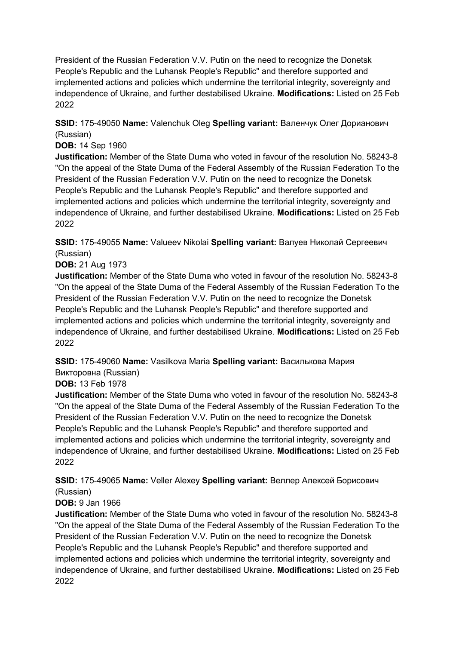**SSID:** 175-49050 **Name:** Valenchuk Oleg **Spelling variant:** Валенчук Олег Дорианович (Russian)

#### **DOB:** 14 Sep 1960

**Justification:** Member of the State Duma who voted in favour of the resolution No. 58243-8 "On the appeal of the State Duma of the Federal Assembly of the Russian Federation To the President of the Russian Federation V.V. Putin on the need to recognize the Donetsk People's Republic and the Luhansk People's Republic" and therefore supported and implemented actions and policies which undermine the territorial integrity, sovereignty and independence of Ukraine, and further destabilised Ukraine. **Modifications:** Listed on 25 Feb 2022

**SSID:** 175-49055 **Name:** Valueev Nikolai **Spelling variant:** Валуев Николай Сергеевич (Russian)

#### **DOB:** 21 Aug 1973

**Justification:** Member of the State Duma who voted in favour of the resolution No. 58243-8 "On the appeal of the State Duma of the Federal Assembly of the Russian Federation To the President of the Russian Federation V.V. Putin on the need to recognize the Donetsk People's Republic and the Luhansk People's Republic" and therefore supported and implemented actions and policies which undermine the territorial integrity, sovereignty and independence of Ukraine, and further destabilised Ukraine. **Modifications:** Listed on 25 Feb 2022

**SSID:** 175-49060 **Name:** Vasilkova Maria **Spelling variant:** Василькова Мария Викторовна (Russian)

### **DOB:** 13 Feb 1978

**Justification:** Member of the State Duma who voted in favour of the resolution No. 58243-8 "On the appeal of the State Duma of the Federal Assembly of the Russian Federation To the President of the Russian Federation V.V. Putin on the need to recognize the Donetsk People's Republic and the Luhansk People's Republic" and therefore supported and implemented actions and policies which undermine the territorial integrity, sovereignty and independence of Ukraine, and further destabilised Ukraine. **Modifications:** Listed on 25 Feb 2022

#### **SSID:** 175-49065 **Name:** Veller Alexey **Spelling variant:** Веллер Алексей Борисович (Russian)

### **DOB:** 9 Jan 1966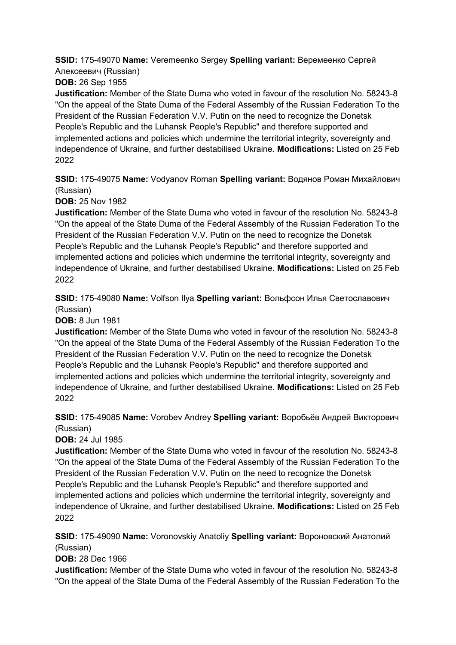**SSID:** 175-49070 **Name:** Veremeenko Sergey **Spelling variant:** Веремеенко Сергей Алексеевич (Russian)

**DOB:** 26 Sep 1955

**Justification:** Member of the State Duma who voted in favour of the resolution No. 58243-8 "On the appeal of the State Duma of the Federal Assembly of the Russian Federation To the President of the Russian Federation V.V. Putin on the need to recognize the Donetsk People's Republic and the Luhansk People's Republic" and therefore supported and implemented actions and policies which undermine the territorial integrity, sovereignty and independence of Ukraine, and further destabilised Ukraine. **Modifications:** Listed on 25 Feb 2022

**SSID:** 175-49075 **Name:** Vodyanov Roman **Spelling variant:** Водянов Роман Михайлович (Russian)

**DOB:** 25 Nov 1982

**Justification:** Member of the State Duma who voted in favour of the resolution No. 58243-8 "On the appeal of the State Duma of the Federal Assembly of the Russian Federation To the President of the Russian Federation V.V. Putin on the need to recognize the Donetsk People's Republic and the Luhansk People's Republic" and therefore supported and implemented actions and policies which undermine the territorial integrity, sovereignty and independence of Ukraine, and further destabilised Ukraine. **Modifications:** Listed on 25 Feb 2022

**SSID:** 175-49080 **Name:** Volfson Ilya **Spelling variant:** Вольфсон Илья Светославович (Russian)

**DOB:** 8 Jun 1981

**Justification:** Member of the State Duma who voted in favour of the resolution No. 58243-8 "On the appeal of the State Duma of the Federal Assembly of the Russian Federation To the President of the Russian Federation V.V. Putin on the need to recognize the Donetsk People's Republic and the Luhansk People's Republic" and therefore supported and implemented actions and policies which undermine the territorial integrity, sovereignty and independence of Ukraine, and further destabilised Ukraine. **Modifications:** Listed on 25 Feb 2022

**SSID:** 175-49085 **Name:** Vorobev Andrey **Spelling variant:** Воробьёв Андрей Викторович (Russian)

**DOB:** 24 Jul 1985

**Justification:** Member of the State Duma who voted in favour of the resolution No. 58243-8 "On the appeal of the State Duma of the Federal Assembly of the Russian Federation To the President of the Russian Federation V.V. Putin on the need to recognize the Donetsk People's Republic and the Luhansk People's Republic" and therefore supported and implemented actions and policies which undermine the territorial integrity, sovereignty and independence of Ukraine, and further destabilised Ukraine. **Modifications:** Listed on 25 Feb 2022

**SSID:** 175-49090 **Name:** Voronovskiy Anatoliy **Spelling variant:** Вороновский Анатолий (Russian)

**DOB:** 28 Dec 1966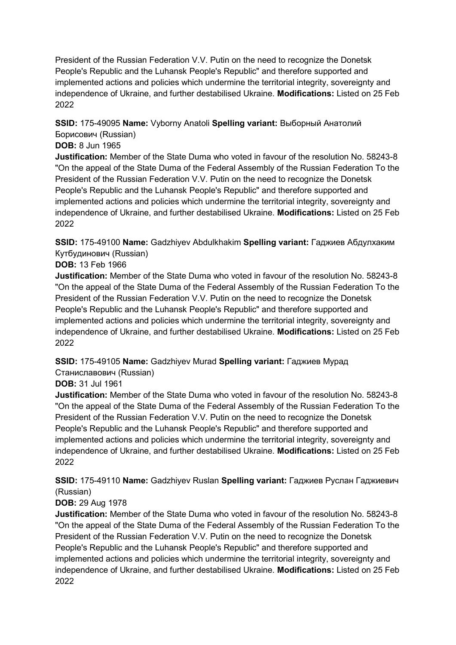**SSID:** 175-49095 **Name:** Vyborny Anatoli **Spelling variant:** Выборный Анатолий Борисович (Russian)

### **DOB:** 8 Jun 1965

**Justification:** Member of the State Duma who voted in favour of the resolution No. 58243-8 "On the appeal of the State Duma of the Federal Assembly of the Russian Federation To the President of the Russian Federation V.V. Putin on the need to recognize the Donetsk People's Republic and the Luhansk People's Republic" and therefore supported and implemented actions and policies which undermine the territorial integrity, sovereignty and independence of Ukraine, and further destabilised Ukraine. **Modifications:** Listed on 25 Feb 2022

**SSID:** 175-49100 **Name:** Gadzhiyev Abdulkhakim **Spelling variant:** Гаджиев Абдулхаким Кутбудинович (Russian)

**DOB:** 13 Feb 1966

**Justification:** Member of the State Duma who voted in favour of the resolution No. 58243-8 "On the appeal of the State Duma of the Federal Assembly of the Russian Federation To the President of the Russian Federation V.V. Putin on the need to recognize the Donetsk People's Republic and the Luhansk People's Republic" and therefore supported and implemented actions and policies which undermine the territorial integrity, sovereignty and independence of Ukraine, and further destabilised Ukraine. **Modifications:** Listed on 25 Feb 2022

**SSID:** 175-49105 **Name:** Gadzhiyev Murad **Spelling variant:** Гаджиев Мурад Станиславович (Russian)

### **DOB:** 31 Jul 1961

**Justification:** Member of the State Duma who voted in favour of the resolution No. 58243-8 "On the appeal of the State Duma of the Federal Assembly of the Russian Federation To the President of the Russian Federation V.V. Putin on the need to recognize the Donetsk People's Republic and the Luhansk People's Republic" and therefore supported and implemented actions and policies which undermine the territorial integrity, sovereignty and independence of Ukraine, and further destabilised Ukraine. **Modifications:** Listed on 25 Feb 2022

**SSID:** 175-49110 **Name:** Gadzhiyev Ruslan **Spelling variant:** Гаджиев Руслан Гаджиевич (Russian)

### **DOB:** 29 Aug 1978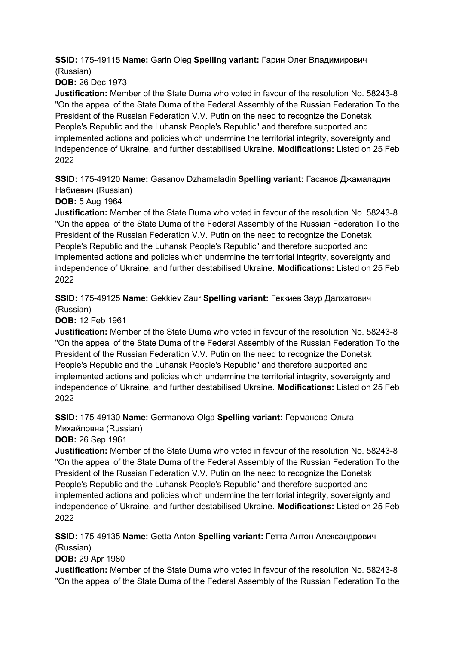**SSID:** 175-49115 **Name:** Garin Oleg **Spelling variant:** Гарин Олег Владимирович (Russian)

**DOB:** 26 Dec 1973

**Justification:** Member of the State Duma who voted in favour of the resolution No. 58243-8 "On the appeal of the State Duma of the Federal Assembly of the Russian Federation To the President of the Russian Federation V.V. Putin on the need to recognize the Donetsk People's Republic and the Luhansk People's Republic" and therefore supported and implemented actions and policies which undermine the territorial integrity, sovereignty and independence of Ukraine, and further destabilised Ukraine. **Modifications:** Listed on 25 Feb 2022

**SSID:** 175-49120 **Name:** Gasanov Dzhamaladin **Spelling variant:** Гасанов Джамаладин Набиевич (Russian)

**DOB:** 5 Aug 1964

**Justification:** Member of the State Duma who voted in favour of the resolution No. 58243-8 "On the appeal of the State Duma of the Federal Assembly of the Russian Federation To the President of the Russian Federation V.V. Putin on the need to recognize the Donetsk People's Republic and the Luhansk People's Republic" and therefore supported and implemented actions and policies which undermine the territorial integrity, sovereignty and independence of Ukraine, and further destabilised Ukraine. **Modifications:** Listed on 25 Feb 2022

**SSID:** 175-49125 **Name:** Gekkiev Zaur **Spelling variant:** Геккиев Заур Далхатович (Russian)

**DOB:** 12 Feb 1961

**Justification:** Member of the State Duma who voted in favour of the resolution No. 58243-8 "On the appeal of the State Duma of the Federal Assembly of the Russian Federation To the President of the Russian Federation V.V. Putin on the need to recognize the Donetsk People's Republic and the Luhansk People's Republic" and therefore supported and implemented actions and policies which undermine the territorial integrity, sovereignty and independence of Ukraine, and further destabilised Ukraine. **Modifications:** Listed on 25 Feb 2022

**SSID:** 175-49130 **Name:** Germanova Olga **Spelling variant:** Германова Ольга Михайловна (Russian)

**DOB:** 26 Sep 1961

**Justification:** Member of the State Duma who voted in favour of the resolution No. 58243-8 "On the appeal of the State Duma of the Federal Assembly of the Russian Federation To the President of the Russian Federation V.V. Putin on the need to recognize the Donetsk People's Republic and the Luhansk People's Republic" and therefore supported and implemented actions and policies which undermine the territorial integrity, sovereignty and independence of Ukraine, and further destabilised Ukraine. **Modifications:** Listed on 25 Feb 2022

**SSID:** 175-49135 **Name:** Getta Anton **Spelling variant:** Гетта Антон Александрович

(Russian) **DOB:** 29 Apr 1980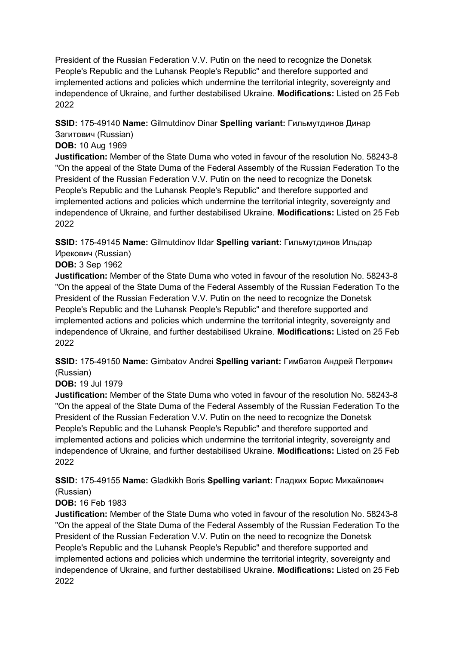**SSID:** 175-49140 **Name:** Gilmutdinov Dinar **Spelling variant:** Гильмутдинов Динар Загитович (Russian)

### **DOB:** 10 Aug 1969

**Justification:** Member of the State Duma who voted in favour of the resolution No. 58243-8 "On the appeal of the State Duma of the Federal Assembly of the Russian Federation To the President of the Russian Federation V.V. Putin on the need to recognize the Donetsk People's Republic and the Luhansk People's Republic" and therefore supported and implemented actions and policies which undermine the territorial integrity, sovereignty and independence of Ukraine, and further destabilised Ukraine. **Modifications:** Listed on 25 Feb 2022

**SSID:** 175-49145 **Name:** Gilmutdinov Ildar **Spelling variant:** Гильмутдинов Ильдар Ирекович (Russian)

**DOB:** 3 Sep 1962

**Justification:** Member of the State Duma who voted in favour of the resolution No. 58243-8 "On the appeal of the State Duma of the Federal Assembly of the Russian Federation To the President of the Russian Federation V.V. Putin on the need to recognize the Donetsk People's Republic and the Luhansk People's Republic" and therefore supported and implemented actions and policies which undermine the territorial integrity, sovereignty and independence of Ukraine, and further destabilised Ukraine. **Modifications:** Listed on 25 Feb 2022

**SSID:** 175-49150 **Name:** Gimbatov Andrei **Spelling variant:** Гимбатов Андрей Петрович (Russian)

### **DOB:** 19 Jul 1979

**Justification:** Member of the State Duma who voted in favour of the resolution No. 58243-8 "On the appeal of the State Duma of the Federal Assembly of the Russian Federation To the President of the Russian Federation V.V. Putin on the need to recognize the Donetsk People's Republic and the Luhansk People's Republic" and therefore supported and implemented actions and policies which undermine the territorial integrity, sovereignty and independence of Ukraine, and further destabilised Ukraine. **Modifications:** Listed on 25 Feb 2022

**SSID:** 175-49155 **Name:** Gladkikh Boris **Spelling variant:** Гладких Борис Михайлович (Russian)

### **DOB:** 16 Feb 1983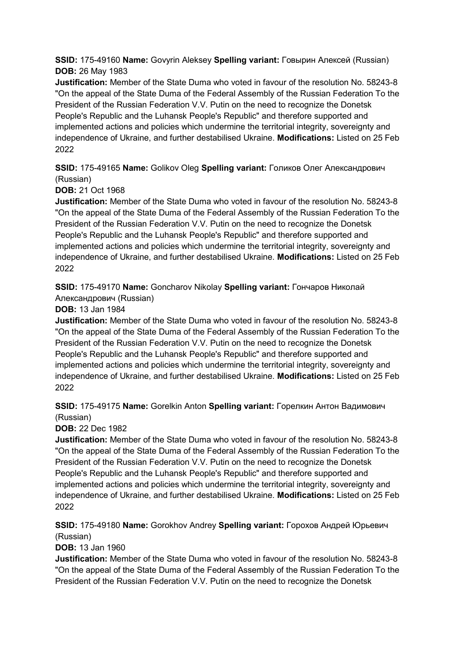**SSID:** 175-49160 **Name:** Govyrin Aleksey **Spelling variant:** Говырин Алексей (Russian) **DOB:** 26 May 1983

**Justification:** Member of the State Duma who voted in favour of the resolution No. 58243-8 "On the appeal of the State Duma of the Federal Assembly of the Russian Federation To the President of the Russian Federation V.V. Putin on the need to recognize the Donetsk People's Republic and the Luhansk People's Republic" and therefore supported and implemented actions and policies which undermine the territorial integrity, sovereignty and independence of Ukraine, and further destabilised Ukraine. **Modifications:** Listed on 25 Feb 2022

**SSID:** 175-49165 **Name:** Golikov Oleg **Spelling variant:** Голиков Олег Александрович (Russian)

**DOB:** 21 Oct 1968

**Justification:** Member of the State Duma who voted in favour of the resolution No. 58243-8 "On the appeal of the State Duma of the Federal Assembly of the Russian Federation To the President of the Russian Federation V.V. Putin on the need to recognize the Donetsk People's Republic and the Luhansk People's Republic" and therefore supported and implemented actions and policies which undermine the territorial integrity, sovereignty and independence of Ukraine, and further destabilised Ukraine. **Modifications:** Listed on 25 Feb 2022

**SSID:** 175-49170 **Name:** Goncharov Nikolay **Spelling variant:** Гончаров Николай Александрович (Russian)

**DOB:** 13 Jan 1984

**Justification:** Member of the State Duma who voted in favour of the resolution No. 58243-8 "On the appeal of the State Duma of the Federal Assembly of the Russian Federation To the President of the Russian Federation V.V. Putin on the need to recognize the Donetsk People's Republic and the Luhansk People's Republic" and therefore supported and implemented actions and policies which undermine the territorial integrity, sovereignty and independence of Ukraine, and further destabilised Ukraine. **Modifications:** Listed on 25 Feb 2022

**SSID:** 175-49175 **Name:** Gorelkin Anton **Spelling variant:** Горелкин Антон Вадимович (Russian)

**DOB:** 22 Dec 1982

**Justification:** Member of the State Duma who voted in favour of the resolution No. 58243-8 "On the appeal of the State Duma of the Federal Assembly of the Russian Federation To the President of the Russian Federation V.V. Putin on the need to recognize the Donetsk People's Republic and the Luhansk People's Republic" and therefore supported and implemented actions and policies which undermine the territorial integrity, sovereignty and independence of Ukraine, and further destabilised Ukraine. **Modifications:** Listed on 25 Feb 2022

**SSID:** 175-49180 **Name:** Gorokhov Andrey **Spelling variant:** Горохов Андрей Юрьевич (Russian)

**DOB:** 13 Jan 1960

**Justification:** Member of the State Duma who voted in favour of the resolution No. 58243-8 "On the appeal of the State Duma of the Federal Assembly of the Russian Federation To the President of the Russian Federation V.V. Putin on the need to recognize the Donetsk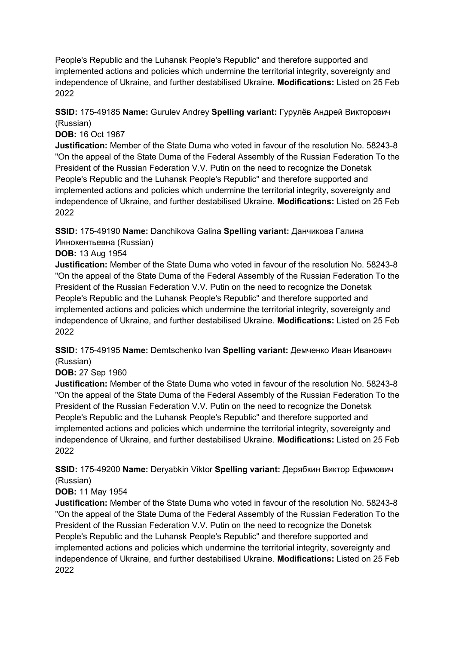People's Republic and the Luhansk People's Republic" and therefore supported and implemented actions and policies which undermine the territorial integrity, sovereignty and independence of Ukraine, and further destabilised Ukraine. **Modifications:** Listed on 25 Feb 2022

### **SSID:** 175-49185 **Name:** Gurulev Andrey **Spelling variant:** Гурулёв Андрей Викторович (Russian)

**DOB:** 16 Oct 1967

**Justification:** Member of the State Duma who voted in favour of the resolution No. 58243-8 "On the appeal of the State Duma of the Federal Assembly of the Russian Federation To the President of the Russian Federation V.V. Putin on the need to recognize the Donetsk People's Republic and the Luhansk People's Republic" and therefore supported and implemented actions and policies which undermine the territorial integrity, sovereignty and independence of Ukraine, and further destabilised Ukraine. **Modifications:** Listed on 25 Feb 2022

**SSID:** 175-49190 **Name:** Danchikova Galina **Spelling variant:** Данчикова Галина Иннокентьевна (Russian)

### **DOB:** 13 Aug 1954

**Justification:** Member of the State Duma who voted in favour of the resolution No. 58243-8 "On the appeal of the State Duma of the Federal Assembly of the Russian Federation To the President of the Russian Federation V.V. Putin on the need to recognize the Donetsk People's Republic and the Luhansk People's Republic" and therefore supported and implemented actions and policies which undermine the territorial integrity, sovereignty and independence of Ukraine, and further destabilised Ukraine. **Modifications:** Listed on 25 Feb 2022

**SSID:** 175-49195 **Name:** Demtschenko Ivan **Spelling variant:** Демченко Иван Иванович (Russian)

**DOB:** 27 Sep 1960

**Justification:** Member of the State Duma who voted in favour of the resolution No. 58243-8 "On the appeal of the State Duma of the Federal Assembly of the Russian Federation To the President of the Russian Federation V.V. Putin on the need to recognize the Donetsk People's Republic and the Luhansk People's Republic" and therefore supported and implemented actions and policies which undermine the territorial integrity, sovereignty and independence of Ukraine, and further destabilised Ukraine. **Modifications:** Listed on 25 Feb 2022

**SSID:** 175-49200 **Name:** Deryabkin Viktor **Spelling variant:** Дерябкин Виктор Ефимович (Russian)

### **DOB:** 11 May 1954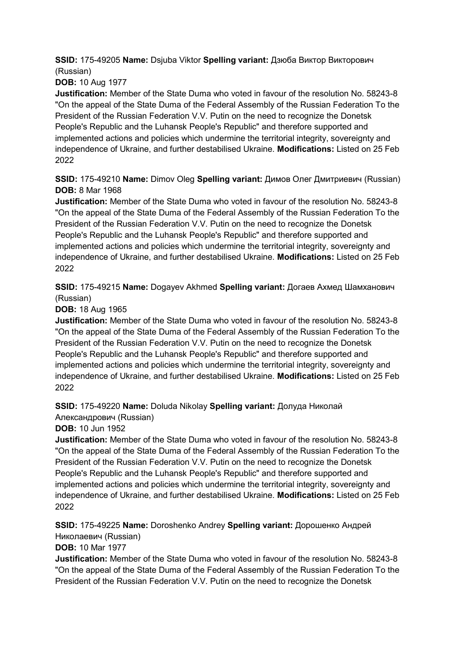**SSID:** 175-49205 **Name:** Dsjuba Viktor **Spelling variant:** Дзюба Виктор Викторович (Russian)

**DOB:** 10 Aug 1977

**Justification:** Member of the State Duma who voted in favour of the resolution No. 58243-8 "On the appeal of the State Duma of the Federal Assembly of the Russian Federation To the President of the Russian Federation V.V. Putin on the need to recognize the Donetsk People's Republic and the Luhansk People's Republic" and therefore supported and implemented actions and policies which undermine the territorial integrity, sovereignty and independence of Ukraine, and further destabilised Ukraine. **Modifications:** Listed on 25 Feb 2022

**SSID:** 175-49210 **Name:** Dimov Oleg **Spelling variant:** Димов Олег Дмитриевич (Russian) **DOB:** 8 Mar 1968

**Justification:** Member of the State Duma who voted in favour of the resolution No. 58243-8 "On the appeal of the State Duma of the Federal Assembly of the Russian Federation To the President of the Russian Federation V.V. Putin on the need to recognize the Donetsk People's Republic and the Luhansk People's Republic" and therefore supported and implemented actions and policies which undermine the territorial integrity, sovereignty and independence of Ukraine, and further destabilised Ukraine. **Modifications:** Listed on 25 Feb 2022

**SSID:** 175-49215 **Name:** Dogayev Akhmed **Spelling variant:** Догаев Ахмед Шамханович (Russian)

**DOB:** 18 Aug 1965

**Justification:** Member of the State Duma who voted in favour of the resolution No. 58243-8 "On the appeal of the State Duma of the Federal Assembly of the Russian Federation To the President of the Russian Federation V.V. Putin on the need to recognize the Donetsk People's Republic and the Luhansk People's Republic" and therefore supported and implemented actions and policies which undermine the territorial integrity, sovereignty and independence of Ukraine, and further destabilised Ukraine. **Modifications:** Listed on 25 Feb 2022

**SSID:** 175-49220 **Name:** Doluda Nikolay **Spelling variant:** Долуда Николай

Александрович (Russian)

**DOB:** 10 Jun 1952

**Justification:** Member of the State Duma who voted in favour of the resolution No. 58243-8 "On the appeal of the State Duma of the Federal Assembly of the Russian Federation To the President of the Russian Federation V.V. Putin on the need to recognize the Donetsk People's Republic and the Luhansk People's Republic" and therefore supported and implemented actions and policies which undermine the territorial integrity, sovereignty and independence of Ukraine, and further destabilised Ukraine. **Modifications:** Listed on 25 Feb 2022

**SSID:** 175-49225 **Name:** Doroshenko Andrey **Spelling variant:** Дорошенко Андрей Николаевич (Russian)

**DOB:** 10 Mar 1977

**Justification:** Member of the State Duma who voted in favour of the resolution No. 58243-8 "On the appeal of the State Duma of the Federal Assembly of the Russian Federation To the President of the Russian Federation V.V. Putin on the need to recognize the Donetsk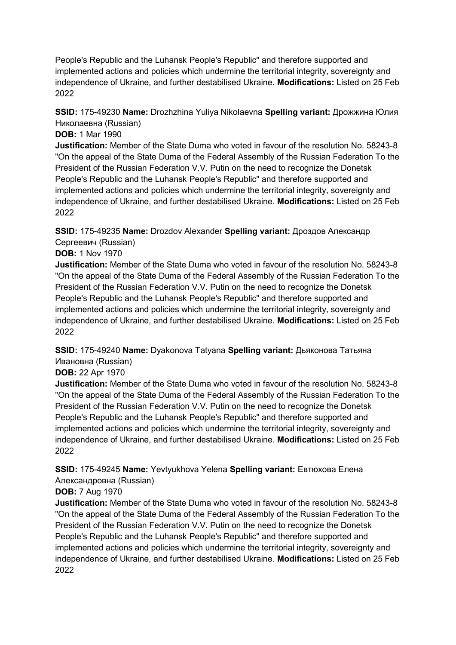People's Republic and the Luhansk People's Republic" and therefore supported and implemented actions and policies which undermine the territorial integrity, sovereignty and independence of Ukraine, and further destabilised Ukraine. **Modifications:** Listed on 25 Feb 2022

**SSID:** 175-49230 **Name:** Drozhzhina Yuliya Nikolaevna **Spelling variant:** Дрожжина Юлия Николаевна (Russian)

**DOB:** 1 Mar 1990

**Justification:** Member of the State Duma who voted in favour of the resolution No. 58243-8 "On the appeal of the State Duma of the Federal Assembly of the Russian Federation To the President of the Russian Federation V.V. Putin on the need to recognize the Donetsk People's Republic and the Luhansk People's Republic" and therefore supported and implemented actions and policies which undermine the territorial integrity, sovereignty and independence of Ukraine, and further destabilised Ukraine. **Modifications:** Listed on 25 Feb 2022

**SSID:** 175-49235 **Name:** Drozdov Alexander **Spelling variant:** Дроздов Александр Сергеевич (Russian)

### **DOB:** 1 Nov 1970

**Justification:** Member of the State Duma who voted in favour of the resolution No. 58243-8 "On the appeal of the State Duma of the Federal Assembly of the Russian Federation To the President of the Russian Federation V.V. Putin on the need to recognize the Donetsk People's Republic and the Luhansk People's Republic" and therefore supported and implemented actions and policies which undermine the territorial integrity, sovereignty and independence of Ukraine, and further destabilised Ukraine. **Modifications:** Listed on 25 Feb 2022

### **SSID:** 175-49240 **Name:** Dyakonova Tatyana **Spelling variant:** Дьяконова Татьяна Ивановна (Russian)

**DOB:** 22 Apr 1970

**Justification:** Member of the State Duma who voted in favour of the resolution No. 58243-8 "On the appeal of the State Duma of the Federal Assembly of the Russian Federation To the President of the Russian Federation V.V. Putin on the need to recognize the Donetsk People's Republic and the Luhansk People's Republic" and therefore supported and implemented actions and policies which undermine the territorial integrity, sovereignty and independence of Ukraine, and further destabilised Ukraine. **Modifications:** Listed on 25 Feb 2022

**SSID:** 175-49245 **Name:** Yevtyukhova Yelena **Spelling variant:** Евтюхова Елена Александровна (Russian)

### **DOB:** 7 Aug 1970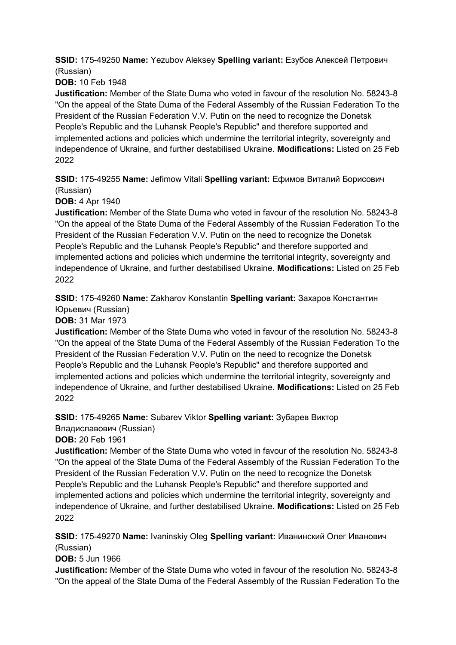**SSID:** 175-49250 **Name:** Yezubov Aleksey **Spelling variant:** Езубов Алексей Петрович (Russian)

**DOB:** 10 Feb 1948

**Justification:** Member of the State Duma who voted in favour of the resolution No. 58243-8 "On the appeal of the State Duma of the Federal Assembly of the Russian Federation To the President of the Russian Federation V.V. Putin on the need to recognize the Donetsk People's Republic and the Luhansk People's Republic" and therefore supported and implemented actions and policies which undermine the territorial integrity, sovereignty and independence of Ukraine, and further destabilised Ukraine. **Modifications:** Listed on 25 Feb 2022

**SSID:** 175-49255 **Name:** Jefimow Vitali **Spelling variant:** Ефимов Виталий Борисович (Russian)

**DOB: 4 Apr 1940** 

**Justification:** Member of the State Duma who voted in favour of the resolution No. 58243-8 "On the appeal of the State Duma of the Federal Assembly of the Russian Federation To the President of the Russian Federation V.V. Putin on the need to recognize the Donetsk People's Republic and the Luhansk People's Republic" and therefore supported and implemented actions and policies which undermine the territorial integrity, sovereignty and independence of Ukraine, and further destabilised Ukraine. **Modifications:** Listed on 25 Feb 2022

**SSID:** 175-49260 **Name:** Zakharov Konstantin **Spelling variant:** Захаров Константин Юрьевич (Russian)

**DOB:** 31 Mar 1973

**Justification:** Member of the State Duma who voted in favour of the resolution No. 58243-8 "On the appeal of the State Duma of the Federal Assembly of the Russian Federation To the President of the Russian Federation V.V. Putin on the need to recognize the Donetsk People's Republic and the Luhansk People's Republic" and therefore supported and implemented actions and policies which undermine the territorial integrity, sovereignty and independence of Ukraine, and further destabilised Ukraine. **Modifications:** Listed on 25 Feb 2022

**SSID:** 175-49265 **Name:** Subarev Viktor **Spelling variant:** Зубарев Виктор

Владиславович (Russian)

**DOB:** 20 Feb 1961

**Justification:** Member of the State Duma who voted in favour of the resolution No. 58243-8 "On the appeal of the State Duma of the Federal Assembly of the Russian Federation To the President of the Russian Federation V.V. Putin on the need to recognize the Donetsk People's Republic and the Luhansk People's Republic" and therefore supported and implemented actions and policies which undermine the territorial integrity, sovereignty and independence of Ukraine, and further destabilised Ukraine. **Modifications:** Listed on 25 Feb 2022

**SSID:** 175-49270 **Name:** Ivaninskiy Oleg **Spelling variant:** Иванинский Олег Иванович (Russian)

**DOB:** 5 Jun 1966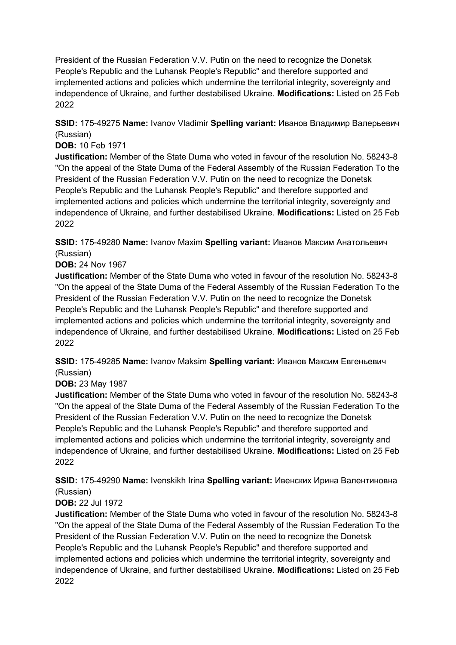**SSID:** 175-49275 **Name:** Ivanov Vladimir **Spelling variant:** Иванов Владимир Валерьевич (Russian)

**DOB:** 10 Feb 1971

**Justification:** Member of the State Duma who voted in favour of the resolution No. 58243-8 "On the appeal of the State Duma of the Federal Assembly of the Russian Federation To the President of the Russian Federation V.V. Putin on the need to recognize the Donetsk People's Republic and the Luhansk People's Republic" and therefore supported and implemented actions and policies which undermine the territorial integrity, sovereignty and independence of Ukraine, and further destabilised Ukraine. **Modifications:** Listed on 25 Feb 2022

**SSID:** 175-49280 **Name:** Ivanov Maxim **Spelling variant:** Иванов Максим Анатольевич (Russian)

**DOB:** 24 Nov 1967

**Justification:** Member of the State Duma who voted in favour of the resolution No. 58243-8 "On the appeal of the State Duma of the Federal Assembly of the Russian Federation To the President of the Russian Federation V.V. Putin on the need to recognize the Donetsk People's Republic and the Luhansk People's Republic" and therefore supported and implemented actions and policies which undermine the territorial integrity, sovereignty and independence of Ukraine, and further destabilised Ukraine. **Modifications:** Listed on 25 Feb 2022

**SSID:** 175-49285 **Name:** Ivanov Maksim **Spelling variant:** Иванов Максим Евгеньевич (Russian)

#### **DOB:** 23 May 1987

**Justification:** Member of the State Duma who voted in favour of the resolution No. 58243-8 "On the appeal of the State Duma of the Federal Assembly of the Russian Federation To the President of the Russian Federation V.V. Putin on the need to recognize the Donetsk People's Republic and the Luhansk People's Republic" and therefore supported and implemented actions and policies which undermine the territorial integrity, sovereignty and independence of Ukraine, and further destabilised Ukraine. **Modifications:** Listed on 25 Feb 2022

**SSID:** 175-49290 **Name:** Ivenskikh Irina **Spelling variant:** Ивенских Ирина Валентиновна (Russian)

### **DOB:** 22 Jul 1972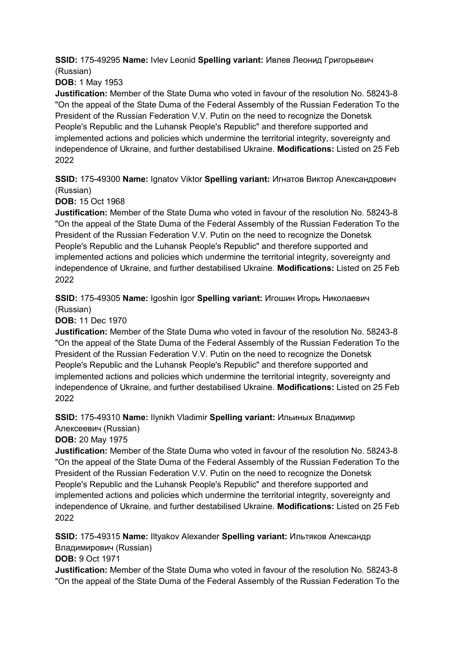**SSID:** 175-49295 **Name:** Ivlev Leonid **Spelling variant:** Ивлев Леонид Григорьевич (Russian)

**DOB:** 1 May 1953

**Justification:** Member of the State Duma who voted in favour of the resolution No. 58243-8 "On the appeal of the State Duma of the Federal Assembly of the Russian Federation To the President of the Russian Federation V.V. Putin on the need to recognize the Donetsk People's Republic and the Luhansk People's Republic" and therefore supported and implemented actions and policies which undermine the territorial integrity, sovereignty and independence of Ukraine, and further destabilised Ukraine. **Modifications:** Listed on 25 Feb 2022

**SSID:** 175-49300 **Name:** Ignatov Viktor **Spelling variant:** Игнатов Виктор Александрович (Russian)

**DOB:** 15 Oct 1968

**Justification:** Member of the State Duma who voted in favour of the resolution No. 58243-8 "On the appeal of the State Duma of the Federal Assembly of the Russian Federation To the President of the Russian Federation V.V. Putin on the need to recognize the Donetsk People's Republic and the Luhansk People's Republic" and therefore supported and implemented actions and policies which undermine the territorial integrity, sovereignty and independence of Ukraine, and further destabilised Ukraine. **Modifications:** Listed on 25 Feb 2022

**SSID:** 175-49305 **Name:** Igoshin Igor **Spelling variant:** Игошин Игорь Николаевич (Russian)

**DOB:** 11 Dec 1970

**Justification:** Member of the State Duma who voted in favour of the resolution No. 58243-8 "On the appeal of the State Duma of the Federal Assembly of the Russian Federation To the President of the Russian Federation V.V. Putin on the need to recognize the Donetsk People's Republic and the Luhansk People's Republic" and therefore supported and implemented actions and policies which undermine the territorial integrity, sovereignty and independence of Ukraine, and further destabilised Ukraine. **Modifications:** Listed on 25 Feb 2022

**SSID:** 175-49310 **Name:** Ilynikh Vladimir **Spelling variant:** Ильиных Владимир Алексеевич (Russian)

**DOB:** 20 May 1975

**Justification:** Member of the State Duma who voted in favour of the resolution No. 58243-8 "On the appeal of the State Duma of the Federal Assembly of the Russian Federation To the President of the Russian Federation V.V. Putin on the need to recognize the Donetsk People's Republic and the Luhansk People's Republic" and therefore supported and implemented actions and policies which undermine the territorial integrity, sovereignty and independence of Ukraine, and further destabilised Ukraine. **Modifications:** Listed on 25 Feb 2022

**SSID:** 175-49315 **Name:** Iltyakov Alexander **Spelling variant:** Ильтяков Александр Владимирович (Russian)

**DOB:** 9 Oct 1971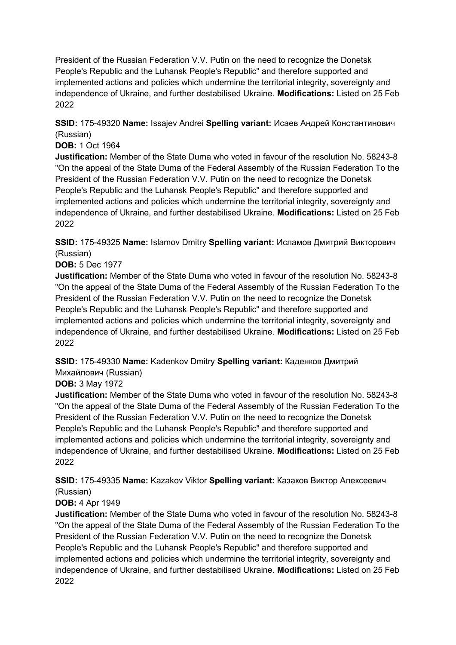**SSID:** 175-49320 **Name:** Issajev Andrei **Spelling variant:** Исаев Андрей Константинович (Russian)

#### **DOB:** 1 Oct 1964

**Justification:** Member of the State Duma who voted in favour of the resolution No. 58243-8 "On the appeal of the State Duma of the Federal Assembly of the Russian Federation To the President of the Russian Federation V.V. Putin on the need to recognize the Donetsk People's Republic and the Luhansk People's Republic" and therefore supported and implemented actions and policies which undermine the territorial integrity, sovereignty and independence of Ukraine, and further destabilised Ukraine. **Modifications:** Listed on 25 Feb 2022

**SSID:** 175-49325 **Name:** Islamov Dmitry **Spelling variant:** Исламов Дмитрий Викторович (Russian)

#### **DOB:** 5 Dec 1977

**Justification:** Member of the State Duma who voted in favour of the resolution No. 58243-8 "On the appeal of the State Duma of the Federal Assembly of the Russian Federation To the President of the Russian Federation V.V. Putin on the need to recognize the Donetsk People's Republic and the Luhansk People's Republic" and therefore supported and implemented actions and policies which undermine the territorial integrity, sovereignty and independence of Ukraine, and further destabilised Ukraine. **Modifications:** Listed on 25 Feb 2022

**SSID:** 175-49330 **Name:** Kadenkov Dmitry **Spelling variant:** Каденков Дмитрий Михайлович (Russian)

#### **DOB:** 3 May 1972

**Justification:** Member of the State Duma who voted in favour of the resolution No. 58243-8 "On the appeal of the State Duma of the Federal Assembly of the Russian Federation To the President of the Russian Federation V.V. Putin on the need to recognize the Donetsk People's Republic and the Luhansk People's Republic" and therefore supported and implemented actions and policies which undermine the territorial integrity, sovereignty and independence of Ukraine, and further destabilised Ukraine. **Modifications:** Listed on 25 Feb 2022

**SSID:** 175-49335 **Name:** Kazakov Viktor **Spelling variant:** Казаков Виктор Алексеевич (Russian)

### **DOB: 4 Apr 1949**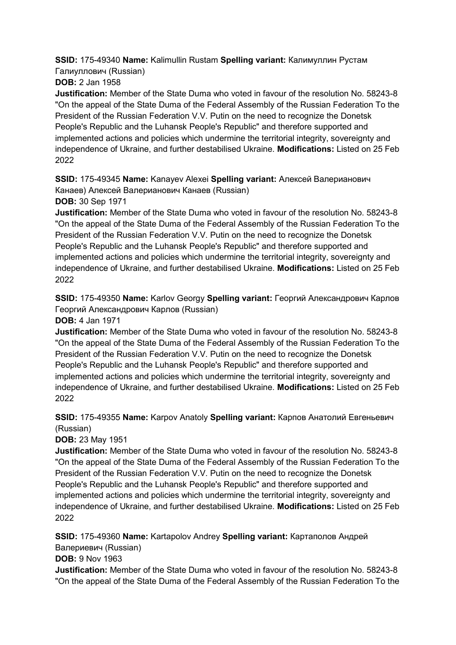**SSID:** 175-49340 **Name:** Kalimullin Rustam **Spelling variant:** Калимуллин Рустам Галиуллович (Russian)

**DOB:** 2 Jan 1958

**Justification:** Member of the State Duma who voted in favour of the resolution No. 58243-8 "On the appeal of the State Duma of the Federal Assembly of the Russian Federation To the President of the Russian Federation V.V. Putin on the need to recognize the Donetsk People's Republic and the Luhansk People's Republic" and therefore supported and implemented actions and policies which undermine the territorial integrity, sovereignty and independence of Ukraine, and further destabilised Ukraine. **Modifications:** Listed on 25 Feb 2022

**SSID:** 175-49345 **Name:** Kanayev Alexei **Spelling variant:** Алексей Валерианович Канаев) Алексей Валерианович Канаев (Russian) **DOB:** 30 Sep 1971

**Justification:** Member of the State Duma who voted in favour of the resolution No. 58243-8 "On the appeal of the State Duma of the Federal Assembly of the Russian Federation To the President of the Russian Federation V.V. Putin on the need to recognize the Donetsk People's Republic and the Luhansk People's Republic" and therefore supported and implemented actions and policies which undermine the territorial integrity, sovereignty and independence of Ukraine, and further destabilised Ukraine. **Modifications:** Listed on 25 Feb 2022

**SSID:** 175-49350 **Name:** Karlov Georgy **Spelling variant:** Георгий Александрович Карлов Георгий Александрович Карлов (Russian)

**DOB:** 4 Jan 1971

**Justification:** Member of the State Duma who voted in favour of the resolution No. 58243-8 "On the appeal of the State Duma of the Federal Assembly of the Russian Federation To the President of the Russian Federation V.V. Putin on the need to recognize the Donetsk People's Republic and the Luhansk People's Republic" and therefore supported and implemented actions and policies which undermine the territorial integrity, sovereignty and independence of Ukraine, and further destabilised Ukraine. **Modifications:** Listed on 25 Feb 2022

**SSID:** 175-49355 **Name:** Karpov Anatoly **Spelling variant:** Карпов Анатолий Евгеньевич (Russian)

**DOB:** 23 May 1951

**Justification:** Member of the State Duma who voted in favour of the resolution No. 58243-8 "On the appeal of the State Duma of the Federal Assembly of the Russian Federation To the President of the Russian Federation V.V. Putin on the need to recognize the Donetsk People's Republic and the Luhansk People's Republic" and therefore supported and implemented actions and policies which undermine the territorial integrity, sovereignty and independence of Ukraine, and further destabilised Ukraine. **Modifications:** Listed on 25 Feb 2022

**SSID:** 175-49360 **Name:** Kartapolov Andrey **Spelling variant:** Картаполов Андрей Валериевич (Russian)

**DOB:** 9 Nov 1963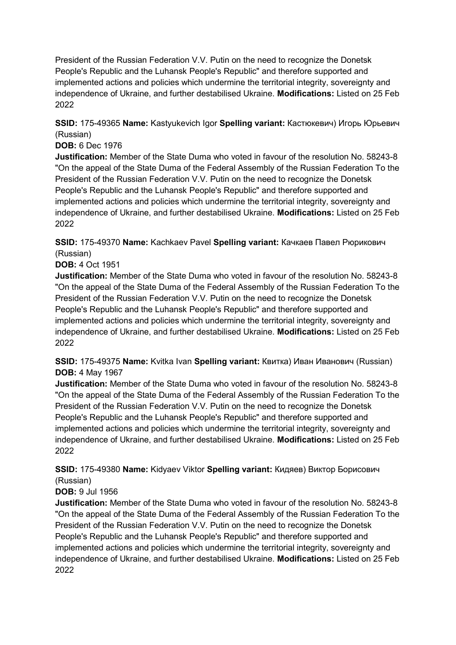**SSID:** 175-49365 **Name:** Kastyukevich Igor **Spelling variant:** Кастюкевич) Игорь Юрьевич (Russian)

#### **DOB:** 6 Dec 1976

**Justification:** Member of the State Duma who voted in favour of the resolution No. 58243-8 "On the appeal of the State Duma of the Federal Assembly of the Russian Federation To the President of the Russian Federation V.V. Putin on the need to recognize the Donetsk People's Republic and the Luhansk People's Republic" and therefore supported and implemented actions and policies which undermine the territorial integrity, sovereignty and independence of Ukraine, and further destabilised Ukraine. **Modifications:** Listed on 25 Feb 2022

**SSID:** 175-49370 **Name:** Kachkaev Pavel **Spelling variant:** Качкаев Павел Рюрикович (Russian)

#### **DOB:** 4 Oct 1951

**Justification:** Member of the State Duma who voted in favour of the resolution No. 58243-8 "On the appeal of the State Duma of the Federal Assembly of the Russian Federation To the President of the Russian Federation V.V. Putin on the need to recognize the Donetsk People's Republic and the Luhansk People's Republic" and therefore supported and implemented actions and policies which undermine the territorial integrity, sovereignty and independence of Ukraine, and further destabilised Ukraine. **Modifications:** Listed on 25 Feb 2022

**SSID:** 175-49375 **Name:** Kvitka Ivan **Spelling variant:** Квитка) Иван Иванович (Russian) **DOB:** 4 May 1967

**Justification:** Member of the State Duma who voted in favour of the resolution No. 58243-8 "On the appeal of the State Duma of the Federal Assembly of the Russian Federation To the President of the Russian Federation V.V. Putin on the need to recognize the Donetsk People's Republic and the Luhansk People's Republic" and therefore supported and implemented actions and policies which undermine the territorial integrity, sovereignty and independence of Ukraine, and further destabilised Ukraine. **Modifications:** Listed on 25 Feb 2022

**SSID:** 175-49380 **Name:** Kidyaev Viktor **Spelling variant:** Кидяев) Виктор Борисович (Russian)

### **DOB:** 9 Jul 1956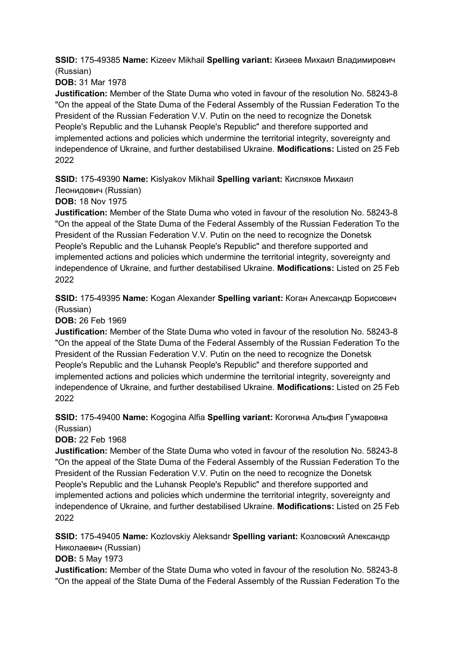**SSID:** 175-49385 **Name:** Kizeev Mikhail **Spelling variant:** Кизеев Михаил Владимирович (Russian)

**DOB:** 31 Mar 1978

**Justification:** Member of the State Duma who voted in favour of the resolution No. 58243-8 "On the appeal of the State Duma of the Federal Assembly of the Russian Federation To the President of the Russian Federation V.V. Putin on the need to recognize the Donetsk People's Republic and the Luhansk People's Republic" and therefore supported and implemented actions and policies which undermine the territorial integrity, sovereignty and independence of Ukraine, and further destabilised Ukraine. **Modifications:** Listed on 25 Feb 2022

**SSID:** 175-49390 **Name:** Kislyakov Mikhail **Spelling variant:** Кисляков Михаил

Леонидович (Russian)

**DOB:** 18 Nov 1975

**Justification:** Member of the State Duma who voted in favour of the resolution No. 58243-8 "On the appeal of the State Duma of the Federal Assembly of the Russian Federation To the President of the Russian Federation V.V. Putin on the need to recognize the Donetsk People's Republic and the Luhansk People's Republic" and therefore supported and implemented actions and policies which undermine the territorial integrity, sovereignty and independence of Ukraine, and further destabilised Ukraine. **Modifications:** Listed on 25 Feb 2022

**SSID:** 175-49395 **Name:** Kogan Alexander **Spelling variant:** Коган Александр Борисович (Russian)

**DOB:** 26 Feb 1969

**Justification:** Member of the State Duma who voted in favour of the resolution No. 58243-8 "On the appeal of the State Duma of the Federal Assembly of the Russian Federation To the President of the Russian Federation V.V. Putin on the need to recognize the Donetsk People's Republic and the Luhansk People's Republic" and therefore supported and implemented actions and policies which undermine the territorial integrity, sovereignty and independence of Ukraine, and further destabilised Ukraine. **Modifications:** Listed on 25 Feb 2022

### **SSID:** 175-49400 **Name:** Kogogina Alfia **Spelling variant:** Когогина Альфия Гумаровна (Russian)

**DOB:** 22 Feb 1968

**Justification:** Member of the State Duma who voted in favour of the resolution No. 58243-8 "On the appeal of the State Duma of the Federal Assembly of the Russian Federation To the President of the Russian Federation V.V. Putin on the need to recognize the Donetsk People's Republic and the Luhansk People's Republic" and therefore supported and implemented actions and policies which undermine the territorial integrity, sovereignty and independence of Ukraine, and further destabilised Ukraine. **Modifications:** Listed on 25 Feb 2022

**SSID:** 175-49405 **Name:** Kozlovskiy Aleksandr **Spelling variant:** Козловский Александр Николаевич (Russian)

**DOB:** 5 May 1973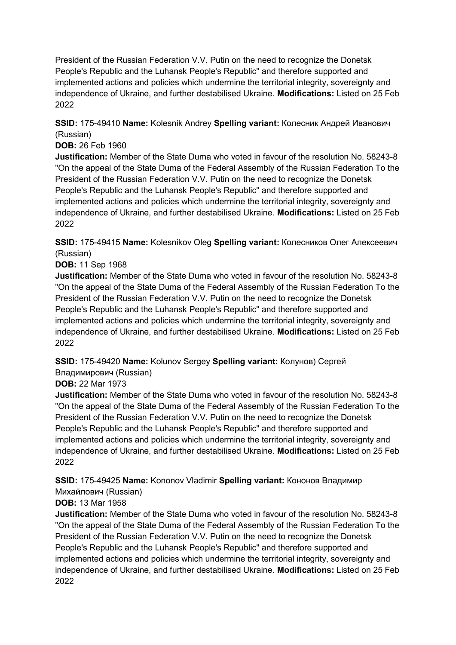**SSID:** 175-49410 **Name:** Kolesnik Andrey **Spelling variant:** Колесник Андрей Иванович (Russian)

#### **DOB:** 26 Feb 1960

**Justification:** Member of the State Duma who voted in favour of the resolution No. 58243-8 "On the appeal of the State Duma of the Federal Assembly of the Russian Federation To the President of the Russian Federation V.V. Putin on the need to recognize the Donetsk People's Republic and the Luhansk People's Republic" and therefore supported and implemented actions and policies which undermine the territorial integrity, sovereignty and independence of Ukraine, and further destabilised Ukraine. **Modifications:** Listed on 25 Feb 2022

**SSID:** 175-49415 **Name:** Kolesnikov Oleg **Spelling variant:** Колесников Олег Алексеевич (Russian)

#### **DOB:** 11 Sep 1968

**Justification:** Member of the State Duma who voted in favour of the resolution No. 58243-8 "On the appeal of the State Duma of the Federal Assembly of the Russian Federation To the President of the Russian Federation V.V. Putin on the need to recognize the Donetsk People's Republic and the Luhansk People's Republic" and therefore supported and implemented actions and policies which undermine the territorial integrity, sovereignty and independence of Ukraine, and further destabilised Ukraine. **Modifications:** Listed on 25 Feb 2022

**SSID:** 175-49420 **Name:** Kolunov Sergey **Spelling variant:** Колунов) Сергей Владимирович (Russian)

#### **DOB:** 22 Mar 1973

**Justification:** Member of the State Duma who voted in favour of the resolution No. 58243-8 "On the appeal of the State Duma of the Federal Assembly of the Russian Federation To the President of the Russian Federation V.V. Putin on the need to recognize the Donetsk People's Republic and the Luhansk People's Republic" and therefore supported and implemented actions and policies which undermine the territorial integrity, sovereignty and independence of Ukraine, and further destabilised Ukraine. **Modifications:** Listed on 25 Feb 2022

**SSID:** 175-49425 **Name:** Kononov Vladimir **Spelling variant:** Кононов Владимир Михайлович (Russian)

## **DOB:** 13 Mar 1958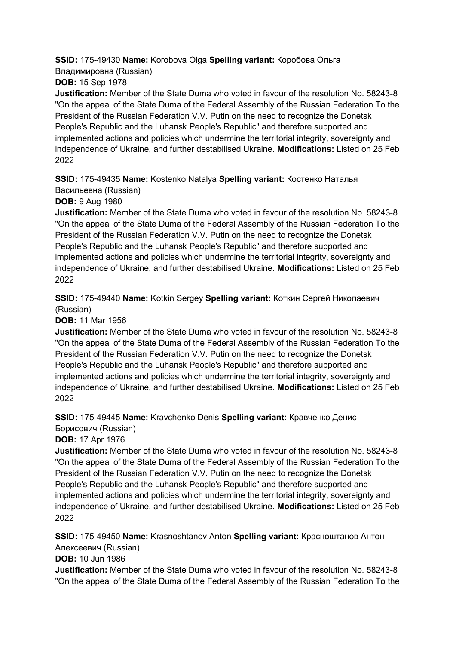**SSID:** 175-49430 **Name:** Korobova Olga **Spelling variant:** Коробова Ольга Владимировна (Russian)

**DOB:** 15 Sep 1978

**Justification:** Member of the State Duma who voted in favour of the resolution No. 58243-8 "On the appeal of the State Duma of the Federal Assembly of the Russian Federation To the President of the Russian Federation V.V. Putin on the need to recognize the Donetsk People's Republic and the Luhansk People's Republic" and therefore supported and implemented actions and policies which undermine the territorial integrity, sovereignty and independence of Ukraine, and further destabilised Ukraine. **Modifications:** Listed on 25 Feb 2022

**SSID:** 175-49435 **Name:** Kostenko Natalya **Spelling variant:** Костенко Наталья Васильевна (Russian)

**DOB:** 9 Aug 1980

**Justification:** Member of the State Duma who voted in favour of the resolution No. 58243-8 "On the appeal of the State Duma of the Federal Assembly of the Russian Federation To the President of the Russian Federation V.V. Putin on the need to recognize the Donetsk People's Republic and the Luhansk People's Republic" and therefore supported and implemented actions and policies which undermine the territorial integrity, sovereignty and independence of Ukraine, and further destabilised Ukraine. **Modifications:** Listed on 25 Feb 2022

**SSID:** 175-49440 **Name:** Kotkin Sergey **Spelling variant:** Коткин Сергей Николаевич (Russian)

**DOB:** 11 Mar 1956

**Justification:** Member of the State Duma who voted in favour of the resolution No. 58243-8 "On the appeal of the State Duma of the Federal Assembly of the Russian Federation To the President of the Russian Federation V.V. Putin on the need to recognize the Donetsk People's Republic and the Luhansk People's Republic" and therefore supported and implemented actions and policies which undermine the territorial integrity, sovereignty and independence of Ukraine, and further destabilised Ukraine. **Modifications:** Listed on 25 Feb 2022

**SSID:** 175-49445 **Name:** Kravchenko Denis **Spelling variant:** Кравченко Денис Борисович (Russian)

**DOB:** 17 Apr 1976

**Justification:** Member of the State Duma who voted in favour of the resolution No. 58243-8 "On the appeal of the State Duma of the Federal Assembly of the Russian Federation To the President of the Russian Federation V.V. Putin on the need to recognize the Donetsk People's Republic and the Luhansk People's Republic" and therefore supported and implemented actions and policies which undermine the territorial integrity, sovereignty and independence of Ukraine, and further destabilised Ukraine. **Modifications:** Listed on 25 Feb 2022

**SSID:** 175-49450 **Name:** Krasnoshtanov Anton **Spelling variant:** Красноштанов Антон Алексеевич (Russian)

**DOB:** 10 Jun 1986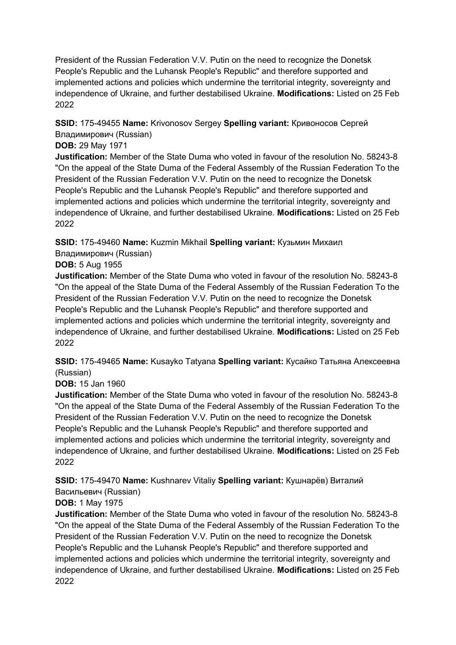### **SSID:** 175-49455 **Name:** Krivonosov Sergey **Spelling variant:** Кривоносов Сергей Владимирович (Russian)

### **DOB:** 29 May 1971

**Justification:** Member of the State Duma who voted in favour of the resolution No. 58243-8 "On the appeal of the State Duma of the Federal Assembly of the Russian Federation To the President of the Russian Federation V.V. Putin on the need to recognize the Donetsk People's Republic and the Luhansk People's Republic" and therefore supported and implemented actions and policies which undermine the territorial integrity, sovereignty and independence of Ukraine, and further destabilised Ukraine. **Modifications:** Listed on 25 Feb 2022

### **SSID:** 175-49460 **Name:** Kuzmin Mikhail **Spelling variant:** Кузьмин Михаил

Владимирович (Russian)

### **DOB:** 5 Aug 1955

**Justification:** Member of the State Duma who voted in favour of the resolution No. 58243-8 "On the appeal of the State Duma of the Federal Assembly of the Russian Federation To the President of the Russian Federation V.V. Putin on the need to recognize the Donetsk People's Republic and the Luhansk People's Republic" and therefore supported and implemented actions and policies which undermine the territorial integrity, sovereignty and independence of Ukraine, and further destabilised Ukraine. **Modifications:** Listed on 25 Feb 2022

**SSID:** 175-49465 **Name:** Kusayko Tatyana **Spelling variant:** Кусайко Татьяна Алексеевна (Russian)

### **DOB:** 15 Jan 1960

**Justification:** Member of the State Duma who voted in favour of the resolution No. 58243-8 "On the appeal of the State Duma of the Federal Assembly of the Russian Federation To the President of the Russian Federation V.V. Putin on the need to recognize the Donetsk People's Republic and the Luhansk People's Republic" and therefore supported and implemented actions and policies which undermine the territorial integrity, sovereignty and independence of Ukraine, and further destabilised Ukraine. **Modifications:** Listed on 25 Feb 2022

**SSID:** 175-49470 **Name:** Kushnarev Vitaliy **Spelling variant:** Кушнарёв) Виталий Васильевич (Russian)

## **DOB:** 1 May 1975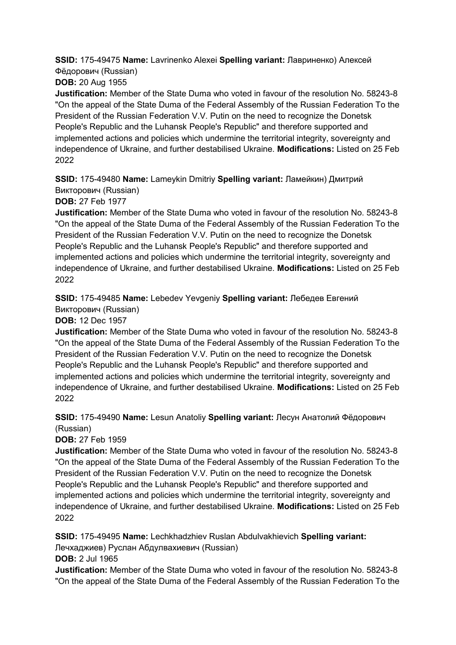**SSID:** 175-49475 **Name:** Lavrinenko Alexei **Spelling variant:** Лавриненко) Алексей Фёдорович (Russian)

**DOB:** 20 Aug 1955

**Justification:** Member of the State Duma who voted in favour of the resolution No. 58243-8 "On the appeal of the State Duma of the Federal Assembly of the Russian Federation To the President of the Russian Federation V.V. Putin on the need to recognize the Donetsk People's Republic and the Luhansk People's Republic" and therefore supported and implemented actions and policies which undermine the territorial integrity, sovereignty and independence of Ukraine, and further destabilised Ukraine. **Modifications:** Listed on 25 Feb 2022

**SSID:** 175-49480 **Name:** Lameykin Dmitriy **Spelling variant:** Ламейкин) Дмитрий Викторович (Russian)

**DOB:** 27 Feb 1977

**Justification:** Member of the State Duma who voted in favour of the resolution No. 58243-8 "On the appeal of the State Duma of the Federal Assembly of the Russian Federation To the President of the Russian Federation V.V. Putin on the need to recognize the Donetsk People's Republic and the Luhansk People's Republic" and therefore supported and implemented actions and policies which undermine the territorial integrity, sovereignty and independence of Ukraine, and further destabilised Ukraine. **Modifications:** Listed on 25 Feb 2022

**SSID:** 175-49485 **Name:** Lebedev Yevgeniy **Spelling variant:** Лебедев Евгений Викторович (Russian)

**DOB:** 12 Dec 1957

**Justification:** Member of the State Duma who voted in favour of the resolution No. 58243-8 "On the appeal of the State Duma of the Federal Assembly of the Russian Federation To the President of the Russian Federation V.V. Putin on the need to recognize the Donetsk People's Republic and the Luhansk People's Republic" and therefore supported and implemented actions and policies which undermine the territorial integrity, sovereignty and independence of Ukraine, and further destabilised Ukraine. **Modifications:** Listed on 25 Feb 2022

**SSID:** 175-49490 **Name:** Lesun Anatoliy **Spelling variant:** Лесун Анатолий Фёдорович (Russian)

**DOB:** 27 Feb 1959

**Justification:** Member of the State Duma who voted in favour of the resolution No. 58243-8 "On the appeal of the State Duma of the Federal Assembly of the Russian Federation To the President of the Russian Federation V.V. Putin on the need to recognize the Donetsk People's Republic and the Luhansk People's Republic" and therefore supported and implemented actions and policies which undermine the territorial integrity, sovereignty and independence of Ukraine, and further destabilised Ukraine. **Modifications:** Listed on 25 Feb 2022

**SSID:** 175-49495 **Name:** Lechkhadzhiev Ruslan Abdulvakhievich **Spelling variant:**  Лечхаджиев) Руслан Абдулвахиевич (Russian)

**DOB:** 2 Jul 1965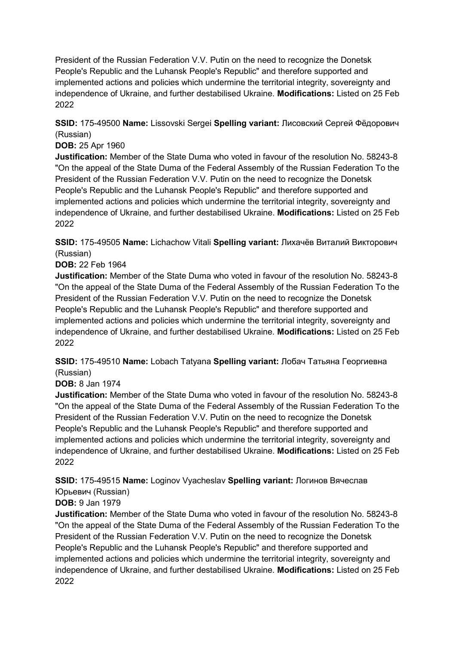**SSID:** 175-49500 **Name:** Lissovski Sergei **Spelling variant:** Лисовский Сергей Фёдорович (Russian)

#### **DOB:** 25 Apr 1960

**Justification:** Member of the State Duma who voted in favour of the resolution No. 58243-8 "On the appeal of the State Duma of the Federal Assembly of the Russian Federation To the President of the Russian Federation V.V. Putin on the need to recognize the Donetsk People's Republic and the Luhansk People's Republic" and therefore supported and implemented actions and policies which undermine the territorial integrity, sovereignty and independence of Ukraine, and further destabilised Ukraine. **Modifications:** Listed on 25 Feb 2022

**SSID:** 175-49505 **Name:** Lichachow Vitali **Spelling variant:** Лихачёв Виталий Викторович (Russian)

#### **DOB:** 22 Feb 1964

**Justification:** Member of the State Duma who voted in favour of the resolution No. 58243-8 "On the appeal of the State Duma of the Federal Assembly of the Russian Federation To the President of the Russian Federation V.V. Putin on the need to recognize the Donetsk People's Republic and the Luhansk People's Republic" and therefore supported and implemented actions and policies which undermine the territorial integrity, sovereignty and independence of Ukraine, and further destabilised Ukraine. **Modifications:** Listed on 25 Feb 2022

**SSID:** 175-49510 **Name:** Lobach Tatyana **Spelling variant:** Лобач Татьяна Георгиевна (Russian)

#### **DOB:** 8 Jan 1974

**Justification:** Member of the State Duma who voted in favour of the resolution No. 58243-8 "On the appeal of the State Duma of the Federal Assembly of the Russian Federation To the President of the Russian Federation V.V. Putin on the need to recognize the Donetsk People's Republic and the Luhansk People's Republic" and therefore supported and implemented actions and policies which undermine the territorial integrity, sovereignty and independence of Ukraine, and further destabilised Ukraine. **Modifications:** Listed on 25 Feb 2022

**SSID:** 175-49515 **Name:** Loginov Vyacheslav **Spelling variant:** Логинов Вячеслав

#### Юрьевич (Russian) **DOB:** 9 Jan 1979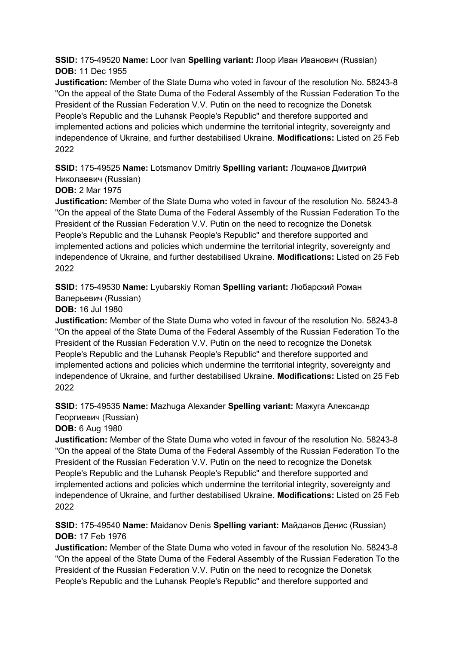**SSID:** 175-49520 **Name:** Loor Ivan **Spelling variant:** Лоор Иван Иванович (Russian) **DOB:** 11 Dec 1955

**Justification:** Member of the State Duma who voted in favour of the resolution No. 58243-8 "On the appeal of the State Duma of the Federal Assembly of the Russian Federation To the President of the Russian Federation V.V. Putin on the need to recognize the Donetsk People's Republic and the Luhansk People's Republic" and therefore supported and implemented actions and policies which undermine the territorial integrity, sovereignty and independence of Ukraine, and further destabilised Ukraine. **Modifications:** Listed on 25 Feb 2022

**SSID:** 175-49525 **Name:** Lotsmanov Dmitriy **Spelling variant:** Лоцманов Дмитрий Николаевич (Russian)

### **DOB:** 2 Mar 1975

**Justification:** Member of the State Duma who voted in favour of the resolution No. 58243-8 "On the appeal of the State Duma of the Federal Assembly of the Russian Federation To the President of the Russian Federation V.V. Putin on the need to recognize the Donetsk People's Republic and the Luhansk People's Republic" and therefore supported and implemented actions and policies which undermine the territorial integrity, sovereignty and independence of Ukraine, and further destabilised Ukraine. **Modifications:** Listed on 25 Feb 2022

**SSID:** 175-49530 **Name:** Lyubarskiy Roman **Spelling variant:** Любарский Роман Валерьевич (Russian)

### **DOB:** 16 Jul 1980

**Justification:** Member of the State Duma who voted in favour of the resolution No. 58243-8 "On the appeal of the State Duma of the Federal Assembly of the Russian Federation To the President of the Russian Federation V.V. Putin on the need to recognize the Donetsk People's Republic and the Luhansk People's Republic" and therefore supported and implemented actions and policies which undermine the territorial integrity, sovereignty and independence of Ukraine, and further destabilised Ukraine. **Modifications:** Listed on 25 Feb 2022

# **SSID:** 175-49535 **Name:** Mazhuga Alexander **Spelling variant:** Мажуга Александр

Георгиевич (Russian)

#### **DOB:** 6 Aug 1980

**Justification:** Member of the State Duma who voted in favour of the resolution No. 58243-8 "On the appeal of the State Duma of the Federal Assembly of the Russian Federation To the President of the Russian Federation V.V. Putin on the need to recognize the Donetsk People's Republic and the Luhansk People's Republic" and therefore supported and implemented actions and policies which undermine the territorial integrity, sovereignty and independence of Ukraine, and further destabilised Ukraine. **Modifications:** Listed on 25 Feb 2022

#### **SSID:** 175-49540 **Name:** Maidanov Denis **Spelling variant:** Майданов Денис (Russian) **DOB:** 17 Feb 1976

**Justification:** Member of the State Duma who voted in favour of the resolution No. 58243-8 "On the appeal of the State Duma of the Federal Assembly of the Russian Federation To the President of the Russian Federation V.V. Putin on the need to recognize the Donetsk People's Republic and the Luhansk People's Republic" and therefore supported and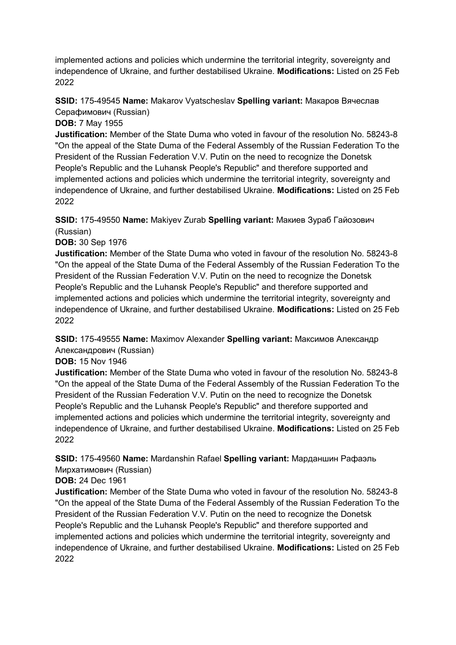implemented actions and policies which undermine the territorial integrity, sovereignty and independence of Ukraine, and further destabilised Ukraine. **Modifications:** Listed on 25 Feb 2022

**SSID:** 175-49545 **Name:** Makarov Vyatscheslav **Spelling variant:** Макаров Вячеслав Серафимович (Russian)

**DOB:** 7 May 1955

**Justification:** Member of the State Duma who voted in favour of the resolution No. 58243-8 "On the appeal of the State Duma of the Federal Assembly of the Russian Federation To the President of the Russian Federation V.V. Putin on the need to recognize the Donetsk People's Republic and the Luhansk People's Republic" and therefore supported and implemented actions and policies which undermine the territorial integrity, sovereignty and independence of Ukraine, and further destabilised Ukraine. **Modifications:** Listed on 25 Feb 2022

**SSID:** 175-49550 **Name:** Makiyev Zurab **Spelling variant:** Макиев Зураб Гайозович (Russian)

**DOB:** 30 Sep 1976

**Justification:** Member of the State Duma who voted in favour of the resolution No. 58243-8 "On the appeal of the State Duma of the Federal Assembly of the Russian Federation To the President of the Russian Federation V.V. Putin on the need to recognize the Donetsk People's Republic and the Luhansk People's Republic" and therefore supported and implemented actions and policies which undermine the territorial integrity, sovereignty and independence of Ukraine, and further destabilised Ukraine. **Modifications:** Listed on 25 Feb 2022

**SSID:** 175-49555 **Name:** Maximov Alexander **Spelling variant:** Максимов Александр Александрович (Russian)

**DOB:** 15 Nov 1946

**Justification:** Member of the State Duma who voted in favour of the resolution No. 58243-8 "On the appeal of the State Duma of the Federal Assembly of the Russian Federation To the President of the Russian Federation V.V. Putin on the need to recognize the Donetsk People's Republic and the Luhansk People's Republic" and therefore supported and implemented actions and policies which undermine the territorial integrity, sovereignty and independence of Ukraine, and further destabilised Ukraine. **Modifications:** Listed on 25 Feb 2022

**SSID:** 175-49560 **Name:** Mardanshin Rafael **Spelling variant:** Марданшин Рафаэль Мирхатимович (Russian)

**DOB:** 24 Dec 1961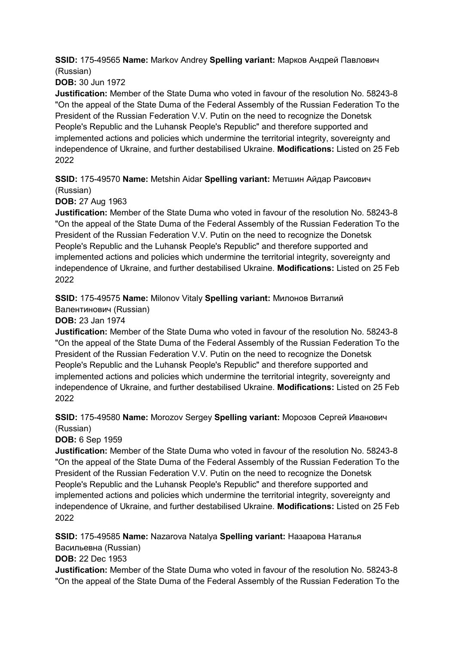**SSID:** 175-49565 **Name:** Markov Andrey **Spelling variant:** Марков Андрей Павлович (Russian)

**DOB:** 30 Jun 1972

**Justification:** Member of the State Duma who voted in favour of the resolution No. 58243-8 "On the appeal of the State Duma of the Federal Assembly of the Russian Federation To the President of the Russian Federation V.V. Putin on the need to recognize the Donetsk People's Republic and the Luhansk People's Republic" and therefore supported and implemented actions and policies which undermine the territorial integrity, sovereignty and independence of Ukraine, and further destabilised Ukraine. **Modifications:** Listed on 25 Feb 2022

**SSID:** 175-49570 **Name:** Metshin Aidar **Spelling variant:** Метшин Айдар Раисович (Russian)

**DOB:** 27 Aug 1963

**Justification:** Member of the State Duma who voted in favour of the resolution No. 58243-8 "On the appeal of the State Duma of the Federal Assembly of the Russian Federation To the President of the Russian Federation V.V. Putin on the need to recognize the Donetsk People's Republic and the Luhansk People's Republic" and therefore supported and implemented actions and policies which undermine the territorial integrity, sovereignty and independence of Ukraine, and further destabilised Ukraine. **Modifications:** Listed on 25 Feb 2022

**SSID:** 175-49575 **Name:** Milonov Vitaly **Spelling variant:** Милонов Виталий

Валентинович (Russian)

**DOB:** 23 Jan 1974

**Justification:** Member of the State Duma who voted in favour of the resolution No. 58243-8 "On the appeal of the State Duma of the Federal Assembly of the Russian Federation To the President of the Russian Federation V.V. Putin on the need to recognize the Donetsk People's Republic and the Luhansk People's Republic" and therefore supported and implemented actions and policies which undermine the territorial integrity, sovereignty and independence of Ukraine, and further destabilised Ukraine. **Modifications:** Listed on 25 Feb 2022

**SSID:** 175-49580 **Name:** Morozov Sergey **Spelling variant:** Морозов Сергей Иванович (Russian)

**DOB:** 6 Sep 1959

**Justification:** Member of the State Duma who voted in favour of the resolution No. 58243-8 "On the appeal of the State Duma of the Federal Assembly of the Russian Federation To the President of the Russian Federation V.V. Putin on the need to recognize the Donetsk People's Republic and the Luhansk People's Republic" and therefore supported and implemented actions and policies which undermine the territorial integrity, sovereignty and independence of Ukraine, and further destabilised Ukraine. **Modifications:** Listed on 25 Feb 2022

**SSID:** 175-49585 **Name:** Nazarova Natalya **Spelling variant:** Назарова Наталья

Васильевна (Russian)

**DOB:** 22 Dec 1953

**Justification:** Member of the State Duma who voted in favour of the resolution No. 58243-8 "On the appeal of the State Duma of the Federal Assembly of the Russian Federation To the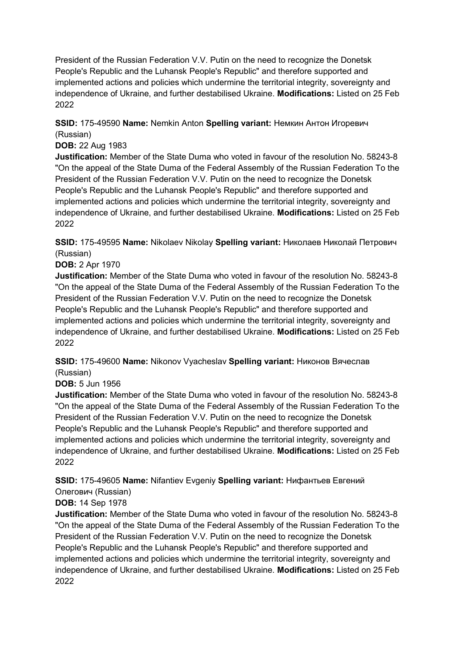President of the Russian Federation V.V. Putin on the need to recognize the Donetsk People's Republic and the Luhansk People's Republic" and therefore supported and implemented actions and policies which undermine the territorial integrity, sovereignty and independence of Ukraine, and further destabilised Ukraine. **Modifications:** Listed on 25 Feb 2022

**SSID:** 175-49590 **Name:** Nemkin Anton **Spelling variant:** Немкин Антон Игоревич (Russian)

#### **DOB:** 22 Aug 1983

**Justification:** Member of the State Duma who voted in favour of the resolution No. 58243-8 "On the appeal of the State Duma of the Federal Assembly of the Russian Federation To the President of the Russian Federation V.V. Putin on the need to recognize the Donetsk People's Republic and the Luhansk People's Republic" and therefore supported and implemented actions and policies which undermine the territorial integrity, sovereignty and independence of Ukraine, and further destabilised Ukraine. **Modifications:** Listed on 25 Feb 2022

**SSID:** 175-49595 **Name:** Nikolaev Nikolay **Spelling variant:** Николаев Николай Петрович (Russian)

**DOB:** 2 Apr 1970

**Justification:** Member of the State Duma who voted in favour of the resolution No. 58243-8 "On the appeal of the State Duma of the Federal Assembly of the Russian Federation To the President of the Russian Federation V.V. Putin on the need to recognize the Donetsk People's Republic and the Luhansk People's Republic" and therefore supported and implemented actions and policies which undermine the territorial integrity, sovereignty and independence of Ukraine, and further destabilised Ukraine. **Modifications:** Listed on 25 Feb 2022

**SSID:** 175-49600 **Name:** Nikonov Vyacheslav **Spelling variant:** Никонов Вячеслав (Russian)

**DOB:** 5 Jun 1956

**Justification:** Member of the State Duma who voted in favour of the resolution No. 58243-8 "On the appeal of the State Duma of the Federal Assembly of the Russian Federation To the President of the Russian Federation V.V. Putin on the need to recognize the Donetsk People's Republic and the Luhansk People's Republic" and therefore supported and implemented actions and policies which undermine the territorial integrity, sovereignty and independence of Ukraine, and further destabilised Ukraine. **Modifications:** Listed on 25 Feb 2022

**SSID:** 175-49605 **Name:** Nifantiev Evgeniy **Spelling variant:** Нифантьев Евгений

#### Олегович (Russian) **DOB:** 14 Sep 1978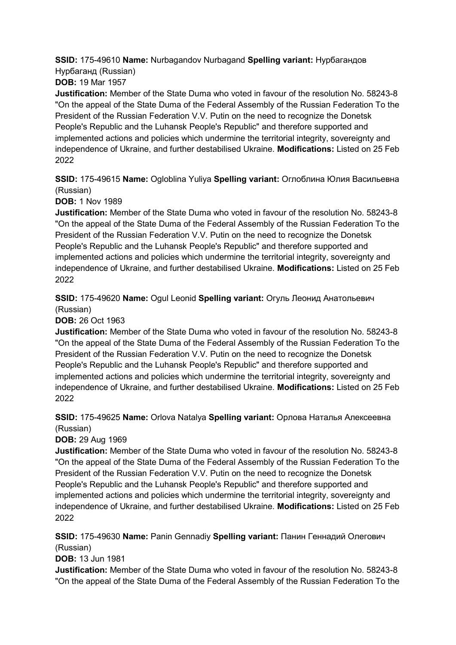**SSID:** 175-49610 **Name:** Nurbagandov Nurbagand **Spelling variant:** Нурбагандов Нурбаганд (Russian)

**DOB:** 19 Mar 1957

**Justification:** Member of the State Duma who voted in favour of the resolution No. 58243-8 "On the appeal of the State Duma of the Federal Assembly of the Russian Federation To the President of the Russian Federation V.V. Putin on the need to recognize the Donetsk People's Republic and the Luhansk People's Republic" and therefore supported and implemented actions and policies which undermine the territorial integrity, sovereignty and independence of Ukraine, and further destabilised Ukraine. **Modifications:** Listed on 25 Feb 2022

**SSID:** 175-49615 **Name:** Ogloblina Yuliya **Spelling variant:** Оглоблина Юлия Васильевна (Russian)

**DOB:** 1 Nov 1989

**Justification:** Member of the State Duma who voted in favour of the resolution No. 58243-8 "On the appeal of the State Duma of the Federal Assembly of the Russian Federation To the President of the Russian Federation V.V. Putin on the need to recognize the Donetsk People's Republic and the Luhansk People's Republic" and therefore supported and implemented actions and policies which undermine the territorial integrity, sovereignty and independence of Ukraine, and further destabilised Ukraine. **Modifications:** Listed on 25 Feb 2022

**SSID:** 175-49620 **Name:** Ogul Leonid **Spelling variant:** Огуль Леонид Анатольевич (Russian)

**DOB:** 26 Oct 1963

**Justification:** Member of the State Duma who voted in favour of the resolution No. 58243-8 "On the appeal of the State Duma of the Federal Assembly of the Russian Federation To the President of the Russian Federation V.V. Putin on the need to recognize the Donetsk People's Republic and the Luhansk People's Republic" and therefore supported and implemented actions and policies which undermine the territorial integrity, sovereignty and independence of Ukraine, and further destabilised Ukraine. **Modifications:** Listed on 25 Feb 2022

**SSID:** 175-49625 **Name:** Orlova Natalya **Spelling variant:** Орлова Наталья Алексеевна (Russian)

**DOB:** 29 Aug 1969

**Justification:** Member of the State Duma who voted in favour of the resolution No. 58243-8 "On the appeal of the State Duma of the Federal Assembly of the Russian Federation To the President of the Russian Federation V.V. Putin on the need to recognize the Donetsk People's Republic and the Luhansk People's Republic" and therefore supported and implemented actions and policies which undermine the territorial integrity, sovereignty and independence of Ukraine, and further destabilised Ukraine. **Modifications:** Listed on 25 Feb 2022

**SSID:** 175-49630 **Name:** Panin Gennadiy **Spelling variant:** Панин Геннадий Олегович (Russian)

**DOB:** 13 Jun 1981

**Justification:** Member of the State Duma who voted in favour of the resolution No. 58243-8 "On the appeal of the State Duma of the Federal Assembly of the Russian Federation To the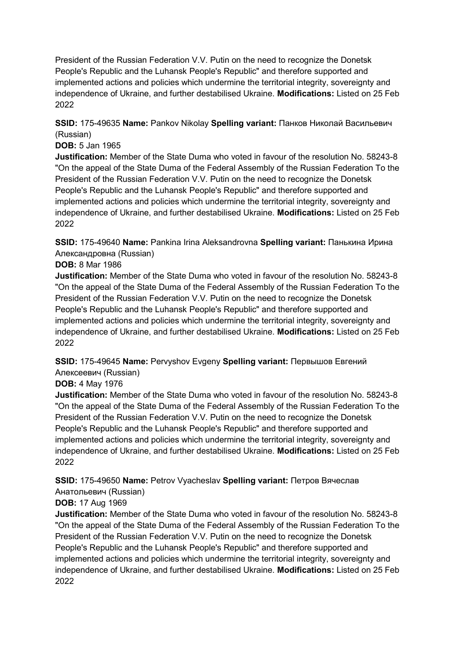President of the Russian Federation V.V. Putin on the need to recognize the Donetsk People's Republic and the Luhansk People's Republic" and therefore supported and implemented actions and policies which undermine the territorial integrity, sovereignty and independence of Ukraine, and further destabilised Ukraine. **Modifications:** Listed on 25 Feb 2022

**SSID:** 175-49635 **Name:** Pankov Nikolay **Spelling variant:** Панков Николай Васильевич (Russian)

### **DOB:** 5 Jan 1965

**Justification:** Member of the State Duma who voted in favour of the resolution No. 58243-8 "On the appeal of the State Duma of the Federal Assembly of the Russian Federation To the President of the Russian Federation V.V. Putin on the need to recognize the Donetsk People's Republic and the Luhansk People's Republic" and therefore supported and implemented actions and policies which undermine the territorial integrity, sovereignty and independence of Ukraine, and further destabilised Ukraine. **Modifications:** Listed on 25 Feb 2022

**SSID:** 175-49640 **Name:** Pankina Irina Aleksandrovna **Spelling variant:** Панькина Ирина Александровна (Russian)

#### **DOB:** 8 Mar 1986

**Justification:** Member of the State Duma who voted in favour of the resolution No. 58243-8 "On the appeal of the State Duma of the Federal Assembly of the Russian Federation To the President of the Russian Federation V.V. Putin on the need to recognize the Donetsk People's Republic and the Luhansk People's Republic" and therefore supported and implemented actions and policies which undermine the territorial integrity, sovereignty and independence of Ukraine, and further destabilised Ukraine. **Modifications:** Listed on 25 Feb 2022

**SSID:** 175-49645 **Name:** Pervyshov Evgeny **Spelling variant:** Первышов Евгений Алексеевич (Russian)

#### **DOB:** 4 May 1976

**Justification:** Member of the State Duma who voted in favour of the resolution No. 58243-8 "On the appeal of the State Duma of the Federal Assembly of the Russian Federation To the President of the Russian Federation V.V. Putin on the need to recognize the Donetsk People's Republic and the Luhansk People's Republic" and therefore supported and implemented actions and policies which undermine the territorial integrity, sovereignty and independence of Ukraine, and further destabilised Ukraine. **Modifications:** Listed on 25 Feb 2022

**SSID:** 175-49650 **Name:** Petrov Vyacheslav **Spelling variant:** Петров Вячеслав

# Анатольевич (Russian)

# **DOB:** 17 Aug 1969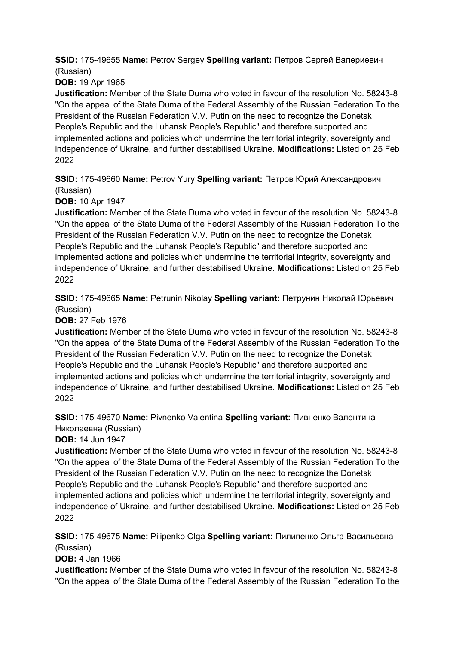**SSID:** 175-49655 **Name:** Petrov Sergey **Spelling variant:** Петров Сергей Валериевич (Russian)

**DOB:** 19 Apr 1965

**Justification:** Member of the State Duma who voted in favour of the resolution No. 58243-8 "On the appeal of the State Duma of the Federal Assembly of the Russian Federation To the President of the Russian Federation V.V. Putin on the need to recognize the Donetsk People's Republic and the Luhansk People's Republic" and therefore supported and implemented actions and policies which undermine the territorial integrity, sovereignty and independence of Ukraine, and further destabilised Ukraine. **Modifications:** Listed on 25 Feb 2022

**SSID:** 175-49660 **Name:** Petrov Yury **Spelling variant:** Петров Юрий Александрович (Russian)

**DOB:** 10 Apr 1947

**Justification:** Member of the State Duma who voted in favour of the resolution No. 58243-8 "On the appeal of the State Duma of the Federal Assembly of the Russian Federation To the President of the Russian Federation V.V. Putin on the need to recognize the Donetsk People's Republic and the Luhansk People's Republic" and therefore supported and implemented actions and policies which undermine the territorial integrity, sovereignty and independence of Ukraine, and further destabilised Ukraine. **Modifications:** Listed on 25 Feb 2022

**SSID:** 175-49665 **Name:** Petrunin Nikolay **Spelling variant:** Петрунин Николай Юрьевич (Russian)

**DOB:** 27 Feb 1976

**Justification:** Member of the State Duma who voted in favour of the resolution No. 58243-8 "On the appeal of the State Duma of the Federal Assembly of the Russian Federation To the President of the Russian Federation V.V. Putin on the need to recognize the Donetsk People's Republic and the Luhansk People's Republic" and therefore supported and implemented actions and policies which undermine the territorial integrity, sovereignty and independence of Ukraine, and further destabilised Ukraine. **Modifications:** Listed on 25 Feb 2022

**SSID:** 175-49670 **Name:** Pivnenko Valentina **Spelling variant:** Пивненко Валентина Николаевна (Russian)

**DOB:** 14 Jun 1947

**Justification:** Member of the State Duma who voted in favour of the resolution No. 58243-8 "On the appeal of the State Duma of the Federal Assembly of the Russian Federation To the President of the Russian Federation V.V. Putin on the need to recognize the Donetsk People's Republic and the Luhansk People's Republic" and therefore supported and implemented actions and policies which undermine the territorial integrity, sovereignty and independence of Ukraine, and further destabilised Ukraine. **Modifications:** Listed on 25 Feb 2022

**SSID:** 175-49675 **Name:** Pilipenko Olga **Spelling variant:** Пилипенко Ольга Васильевна (Russian)

**DOB:** 4 Jan 1966

**Justification:** Member of the State Duma who voted in favour of the resolution No. 58243-8 "On the appeal of the State Duma of the Federal Assembly of the Russian Federation To the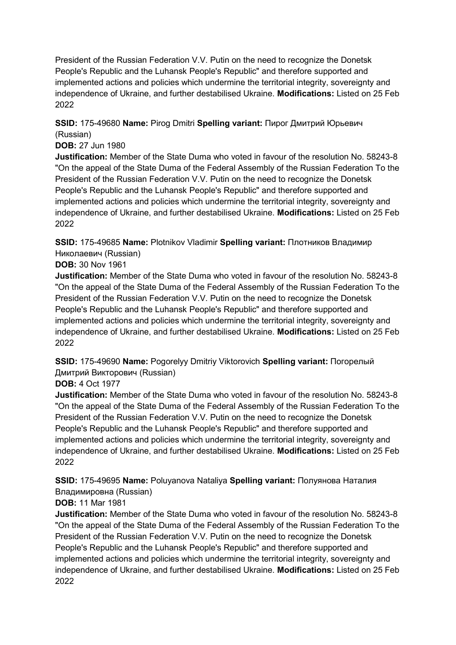President of the Russian Federation V.V. Putin on the need to recognize the Donetsk People's Republic and the Luhansk People's Republic" and therefore supported and implemented actions and policies which undermine the territorial integrity, sovereignty and independence of Ukraine, and further destabilised Ukraine. **Modifications:** Listed on 25 Feb 2022

**SSID:** 175-49680 **Name:** Pirog Dmitri **Spelling variant:** Пирог Дмитрий Юрьевич (Russian)

#### **DOB:** 27 Jun 1980

**Justification:** Member of the State Duma who voted in favour of the resolution No. 58243-8 "On the appeal of the State Duma of the Federal Assembly of the Russian Federation To the President of the Russian Federation V.V. Putin on the need to recognize the Donetsk People's Republic and the Luhansk People's Republic" and therefore supported and implemented actions and policies which undermine the territorial integrity, sovereignty and independence of Ukraine, and further destabilised Ukraine. **Modifications:** Listed on 25 Feb 2022

**SSID:** 175-49685 **Name:** Plotnikov Vladimir **Spelling variant:** Плотников Владимир Николаевич (Russian)

**DOB:** 30 Nov 1961

**Justification:** Member of the State Duma who voted in favour of the resolution No. 58243-8 "On the appeal of the State Duma of the Federal Assembly of the Russian Federation To the President of the Russian Federation V.V. Putin on the need to recognize the Donetsk People's Republic and the Luhansk People's Republic" and therefore supported and implemented actions and policies which undermine the territorial integrity, sovereignty and independence of Ukraine, and further destabilised Ukraine. **Modifications:** Listed on 25 Feb 2022

**SSID:** 175-49690 **Name:** Pogorelyy Dmitriy Viktorovich **Spelling variant:** Погорелый Дмитрий Викторович (Russian)

#### **DOB:** 4 Oct 1977

**Justification:** Member of the State Duma who voted in favour of the resolution No. 58243-8 "On the appeal of the State Duma of the Federal Assembly of the Russian Federation To the President of the Russian Federation V.V. Putin on the need to recognize the Donetsk People's Republic and the Luhansk People's Republic" and therefore supported and implemented actions and policies which undermine the territorial integrity, sovereignty and independence of Ukraine, and further destabilised Ukraine. **Modifications:** Listed on 25 Feb 2022

**SSID:** 175-49695 **Name:** Poluyanova Nataliya **Spelling variant:** Полуянова Наталия Владимировна (Russian)

# **DOB:** 11 Mar 1981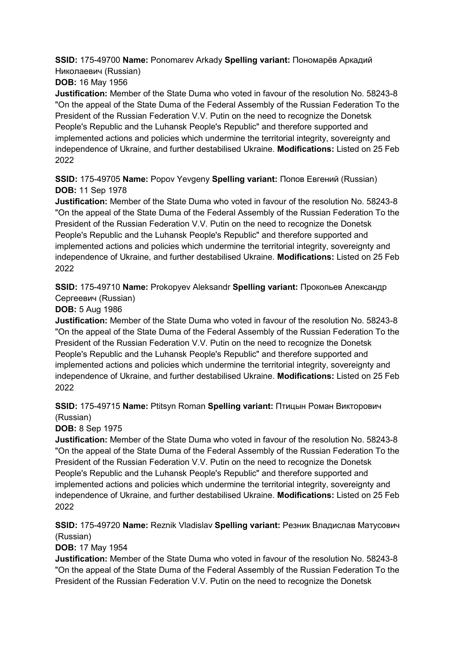**SSID:** 175-49700 **Name:** Ponomarev Arkady **Spelling variant:** Пономарёв Аркадий Николаевич (Russian)

**DOB:** 16 May 1956

**Justification:** Member of the State Duma who voted in favour of the resolution No. 58243-8 "On the appeal of the State Duma of the Federal Assembly of the Russian Federation To the President of the Russian Federation V.V. Putin on the need to recognize the Donetsk People's Republic and the Luhansk People's Republic" and therefore supported and implemented actions and policies which undermine the territorial integrity, sovereignty and independence of Ukraine, and further destabilised Ukraine. **Modifications:** Listed on 25 Feb 2022

**SSID:** 175-49705 **Name:** Popov Yevgeny **Spelling variant:** Попов Евгений (Russian) **DOB:** 11 Sep 1978

**Justification:** Member of the State Duma who voted in favour of the resolution No. 58243-8 "On the appeal of the State Duma of the Federal Assembly of the Russian Federation To the President of the Russian Federation V.V. Putin on the need to recognize the Donetsk People's Republic and the Luhansk People's Republic" and therefore supported and implemented actions and policies which undermine the territorial integrity, sovereignty and independence of Ukraine, and further destabilised Ukraine. **Modifications:** Listed on 25 Feb 2022

**SSID:** 175-49710 **Name:** Prokopyev Aleksandr **Spelling variant:** Прокопьев Александр Сергеевич (Russian)

### **DOB:** 5 Aug 1986

**Justification:** Member of the State Duma who voted in favour of the resolution No. 58243-8 "On the appeal of the State Duma of the Federal Assembly of the Russian Federation To the President of the Russian Federation V.V. Putin on the need to recognize the Donetsk People's Republic and the Luhansk People's Republic" and therefore supported and implemented actions and policies which undermine the territorial integrity, sovereignty and independence of Ukraine, and further destabilised Ukraine. **Modifications:** Listed on 25 Feb 2022

**SSID:** 175-49715 **Name:** Ptitsyn Roman **Spelling variant:** Птицын Роман Викторович (Russian)

**DOB:** 8 Sep 1975

**Justification:** Member of the State Duma who voted in favour of the resolution No. 58243-8 "On the appeal of the State Duma of the Federal Assembly of the Russian Federation To the President of the Russian Federation V.V. Putin on the need to recognize the Donetsk People's Republic and the Luhansk People's Republic" and therefore supported and implemented actions and policies which undermine the territorial integrity, sovereignty and independence of Ukraine, and further destabilised Ukraine. **Modifications:** Listed on 25 Feb 2022

**SSID:** 175-49720 **Name:** Reznik Vladislav **Spelling variant:** Резник Владислав Матусович (Russian)

**DOB:** 17 May 1954

**Justification:** Member of the State Duma who voted in favour of the resolution No. 58243-8 "On the appeal of the State Duma of the Federal Assembly of the Russian Federation To the President of the Russian Federation V.V. Putin on the need to recognize the Donetsk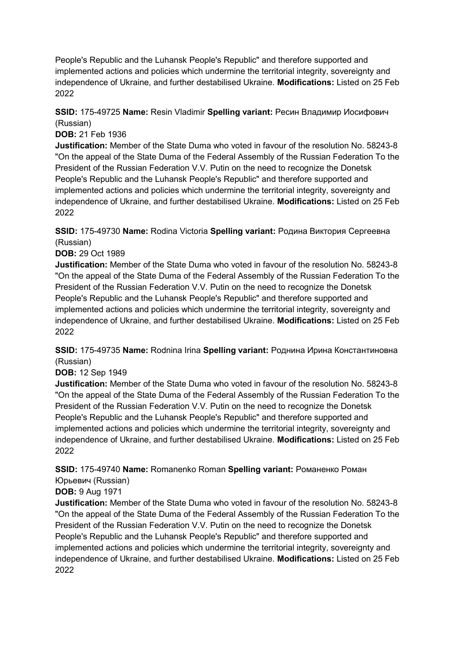People's Republic and the Luhansk People's Republic" and therefore supported and implemented actions and policies which undermine the territorial integrity, sovereignty and independence of Ukraine, and further destabilised Ukraine. **Modifications:** Listed on 25 Feb 2022

### **SSID:** 175-49725 **Name:** Resin Vladimir **Spelling variant:** Ресин Владимир Иосифович (Russian)

**DOB:** 21 Feb 1936

**Justification:** Member of the State Duma who voted in favour of the resolution No. 58243-8 "On the appeal of the State Duma of the Federal Assembly of the Russian Federation To the President of the Russian Federation V.V. Putin on the need to recognize the Donetsk People's Republic and the Luhansk People's Republic" and therefore supported and implemented actions and policies which undermine the territorial integrity, sovereignty and independence of Ukraine, and further destabilised Ukraine. **Modifications:** Listed on 25 Feb 2022

**SSID:** 175-49730 **Name:** Rodina Victoria **Spelling variant:** Родина Виктория Сергеевна (Russian)

#### **DOB:** 29 Oct 1989

**Justification:** Member of the State Duma who voted in favour of the resolution No. 58243-8 "On the appeal of the State Duma of the Federal Assembly of the Russian Federation To the President of the Russian Federation V.V. Putin on the need to recognize the Donetsk People's Republic and the Luhansk People's Republic" and therefore supported and implemented actions and policies which undermine the territorial integrity, sovereignty and independence of Ukraine, and further destabilised Ukraine. **Modifications:** Listed on 25 Feb 2022

**SSID:** 175-49735 **Name:** Rodnina Irina **Spelling variant:** Роднина Ирина Константиновна (Russian)

#### **DOB:** 12 Sep 1949

**Justification:** Member of the State Duma who voted in favour of the resolution No. 58243-8 "On the appeal of the State Duma of the Federal Assembly of the Russian Federation To the President of the Russian Federation V.V. Putin on the need to recognize the Donetsk People's Republic and the Luhansk People's Republic" and therefore supported and implemented actions and policies which undermine the territorial integrity, sovereignty and independence of Ukraine, and further destabilised Ukraine. **Modifications:** Listed on 25 Feb 2022

**SSID:** 175-49740 **Name:** Romanenko Roman **Spelling variant:** Романенко Роман Юрьевич (Russian)

# **DOB:** 9 Aug 1971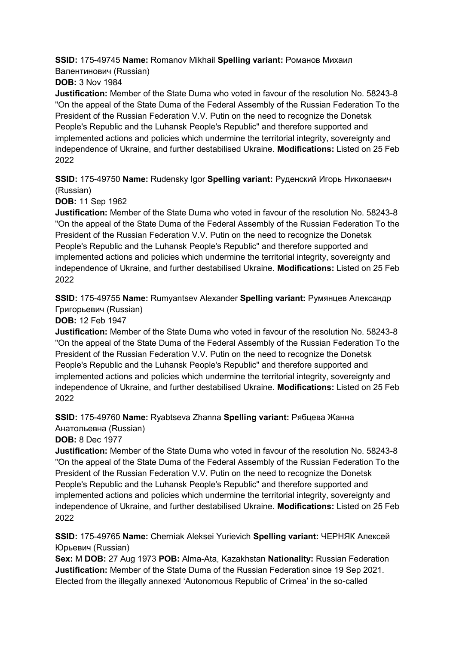**SSID:** 175-49745 **Name:** Romanov Mikhail **Spelling variant:** Романов Михаил Валентинович (Russian)

**DOB:** 3 Nov 1984

**Justification:** Member of the State Duma who voted in favour of the resolution No. 58243-8 "On the appeal of the State Duma of the Federal Assembly of the Russian Federation To the President of the Russian Federation V.V. Putin on the need to recognize the Donetsk People's Republic and the Luhansk People's Republic" and therefore supported and implemented actions and policies which undermine the territorial integrity, sovereignty and independence of Ukraine, and further destabilised Ukraine. **Modifications:** Listed on 25 Feb 2022

**SSID:** 175-49750 **Name:** Rudensky Igor **Spelling variant:** Руденский Игорь Николаевич (Russian)

**DOB:** 11 Sep 1962

**Justification:** Member of the State Duma who voted in favour of the resolution No. 58243-8 "On the appeal of the State Duma of the Federal Assembly of the Russian Federation To the President of the Russian Federation V.V. Putin on the need to recognize the Donetsk People's Republic and the Luhansk People's Republic" and therefore supported and implemented actions and policies which undermine the territorial integrity, sovereignty and independence of Ukraine, and further destabilised Ukraine. **Modifications:** Listed on 25 Feb 2022

**SSID:** 175-49755 **Name:** Rumyantsev Alexander **Spelling variant:** Румянцев Александр Григорьевич (Russian)

**DOB:** 12 Feb 1947

**Justification:** Member of the State Duma who voted in favour of the resolution No. 58243-8 "On the appeal of the State Duma of the Federal Assembly of the Russian Federation To the President of the Russian Federation V.V. Putin on the need to recognize the Donetsk People's Republic and the Luhansk People's Republic" and therefore supported and implemented actions and policies which undermine the territorial integrity, sovereignty and independence of Ukraine, and further destabilised Ukraine. **Modifications:** Listed on 25 Feb 2022

**SSID:** 175-49760 **Name:** Ryabtseva Zhanna **Spelling variant:** Рябцева Жанна Анатольевна (Russian)

**DOB:** 8 Dec 1977

**Justification:** Member of the State Duma who voted in favour of the resolution No. 58243-8 "On the appeal of the State Duma of the Federal Assembly of the Russian Federation To the President of the Russian Federation V.V. Putin on the need to recognize the Donetsk People's Republic and the Luhansk People's Republic" and therefore supported and implemented actions and policies which undermine the territorial integrity, sovereignty and independence of Ukraine, and further destabilised Ukraine. **Modifications:** Listed on 25 Feb 2022

**SSID:** 175-49765 **Name:** Cherniak Aleksei Yurievich **Spelling variant:** ЧЕРНЯК Алексей Юрьевич (Russian)

**Sex:** M **DOB:** 27 Aug 1973 **POB:** Alma-Ata, Kazakhstan **Nationality:** Russian Federation **Justification:** Member of the State Duma of the Russian Federation since 19 Sep 2021. Elected from the illegally annexed 'Autonomous Republic of Crimea' in the so-called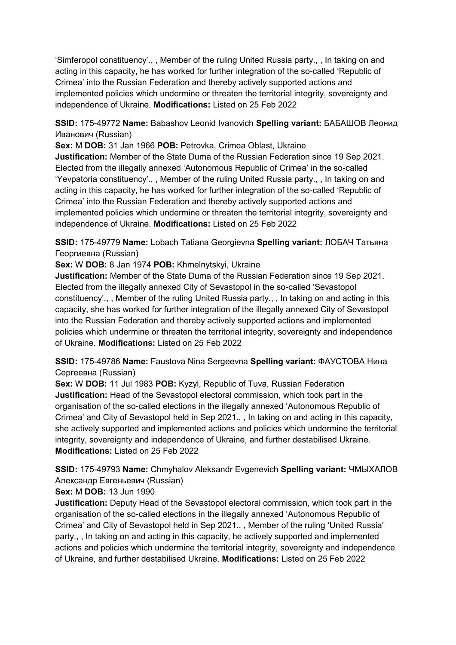'Simferopol constituency'., , Member of the ruling United Russia party., , In taking on and acting in this capacity, he has worked for further integration of the so-called 'Republic of Crimea' into the Russian Federation and thereby actively supported actions and implemented policies which undermine or threaten the territorial integrity, sovereignty and independence of Ukraine. **Modifications:** Listed on 25 Feb 2022

**SSID:** 175-49772 **Name:** Babashov Leonid Ivanovich **Spelling variant:** БАБАШОВ Леонид Иванович (Russian)

**Sex:** M **DOB:** 31 Jan 1966 **POB:** Petrovka, Crimea Oblast, Ukraine **Justification:** Member of the State Duma of the Russian Federation since 19 Sep 2021. Elected from the illegally annexed 'Autonomous Republic of Crimea' in the so-called 'Yevpatoria constituency'., , Member of the ruling United Russia party., , In taking on and acting in this capacity, he has worked for further integration of the so-called 'Republic of Crimea' into the Russian Federation and thereby actively supported actions and implemented policies which undermine or threaten the territorial integrity, sovereignty and independence of Ukraine. **Modifications:** Listed on 25 Feb 2022

**SSID:** 175-49779 **Name:** Lobach Tatiana Georgievna **Spelling variant:** ЛОБАЧ Татьяна Георгиевна (Russian)

**Sex:** W **DOB:** 8 Jan 1974 **POB:** Khmelnytskyi, Ukraine

**Justification:** Member of the State Duma of the Russian Federation since 19 Sep 2021. Elected from the illegally annexed City of Sevastopol in the so-called 'Sevastopol constituency'., , Member of the ruling United Russia party., , In taking on and acting in this capacity, she has worked for further integration of the illegally annexed City of Sevastopol into the Russian Federation and thereby actively supported actions and implemented policies which undermine or threaten the territorial integrity, sovereignty and independence of Ukraine. **Modifications:** Listed on 25 Feb 2022

**SSID:** 175-49786 **Name:** Faustova Nina Sergeevna **Spelling variant:** ФАУСТОВА Нина Сергеевна (Russian)

**Sex:** W **DOB:** 11 Jul 1983 **POB:** Kyzyl, Republic of Tuva, Russian Federation **Justification:** Head of the Sevastopol electoral commission, which took part in the organisation of the so-called elections in the illegally annexed 'Autonomous Republic of Crimea' and City of Sevastopol held in Sep 2021., , In taking on and acting in this capacity, she actively supported and implemented actions and policies which undermine the territorial integrity, sovereignty and independence of Ukraine, and further destabilised Ukraine. **Modifications:** Listed on 25 Feb 2022

**SSID:** 175-49793 **Name:** Chmyhalov Aleksandr Evgenevich **Spelling variant:** ЧМЫХАЛОВ Александр Евгеньевич (Russian)

**Sex:** M **DOB:** 13 Jun 1990

**Justification:** Deputy Head of the Sevastopol electoral commission, which took part in the organisation of the so-called elections in the illegally annexed 'Autonomous Republic of Crimea' and City of Sevastopol held in Sep 2021., , Member of the ruling 'United Russia' party., , In taking on and acting in this capacity, he actively supported and implemented actions and policies which undermine the territorial integrity, sovereignty and independence of Ukraine, and further destabilised Ukraine. **Modifications:** Listed on 25 Feb 2022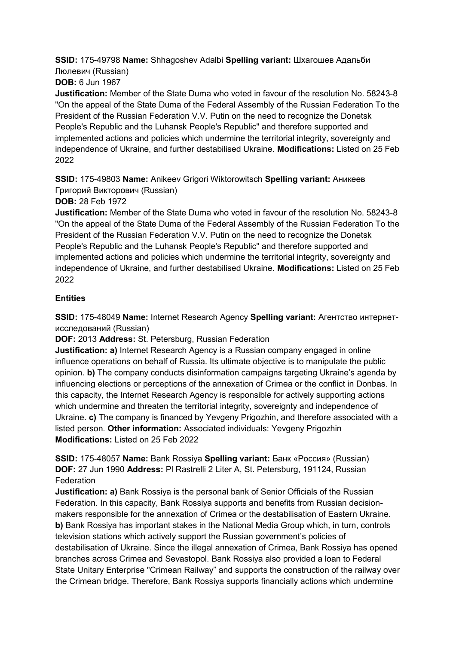**SSID:** 175-49798 **Name:** Shhagoshev Adalbi **Spelling variant:** Шхагошев Адальби Люлевич (Russian)

**DOB:** 6 Jun 1967

**Justification:** Member of the State Duma who voted in favour of the resolution No. 58243-8 "On the appeal of the State Duma of the Federal Assembly of the Russian Federation To the President of the Russian Federation V.V. Putin on the need to recognize the Donetsk People's Republic and the Luhansk People's Republic" and therefore supported and implemented actions and policies which undermine the territorial integrity, sovereignty and independence of Ukraine, and further destabilised Ukraine. **Modifications:** Listed on 25 Feb 2022

**SSID:** 175-49803 **Name:** Anikeev Grigori Wiktorowitsch **Spelling variant:** Аникеев Григорий Викторович (Russian)

**DOB:** 28 Feb 1972

**Justification:** Member of the State Duma who voted in favour of the resolution No. 58243-8 "On the appeal of the State Duma of the Federal Assembly of the Russian Federation To the President of the Russian Federation V.V. Putin on the need to recognize the Donetsk People's Republic and the Luhansk People's Republic" and therefore supported and implemented actions and policies which undermine the territorial integrity, sovereignty and independence of Ukraine, and further destabilised Ukraine. **Modifications:** Listed on 25 Feb 2022

### **Entities**

**SSID:** 175-48049 **Name:** Internet Research Agency **Spelling variant:** Агентство интернетисследований (Russian)

**DOF:** 2013 **Address:** St. Petersburg, Russian Federation

**Justification: a)** Internet Research Agency is a Russian company engaged in online influence operations on behalf of Russia. Its ultimate objective is to manipulate the public opinion. **b)** The company conducts disinformation campaigns targeting Ukraine's agenda by influencing elections or perceptions of the annexation of Crimea or the conflict in Donbas. In this capacity, the Internet Research Agency is responsible for actively supporting actions which undermine and threaten the territorial integrity, sovereignty and independence of Ukraine. **c)** The company is financed by Yevgeny Prigozhin, and therefore associated with a listed person. **Other information:** Associated individuals: Yevgeny Prigozhin **Modifications:** Listed on 25 Feb 2022

**SSID:** 175-48057 **Name:** Bank Rossiya **Spelling variant:** Банк «Россия» (Russian) **DOF:** 27 Jun 1990 **Address:** Pl Rastrelli 2 Liter A, St. Petersburg, 191124, Russian Federation

**Justification: a)** Bank Rossiya is the personal bank of Senior Officials of the Russian Federation. In this capacity, Bank Rossiya supports and benefits from Russian decisionmakers responsible for the annexation of Crimea or the destabilisation of Eastern Ukraine. **b)** Bank Rossiya has important stakes in the National Media Group which, in turn, controls television stations which actively support the Russian government's policies of destabilisation of Ukraine. Since the illegal annexation of Crimea, Bank Rossiya has opened branches across Crimea and Sevastopol. Bank Rossiya also provided a loan to Federal State Unitary Enterprise "Crimean Railway" and supports the construction of the railway over the Crimean bridge. Therefore, Bank Rossiya supports financially actions which undermine